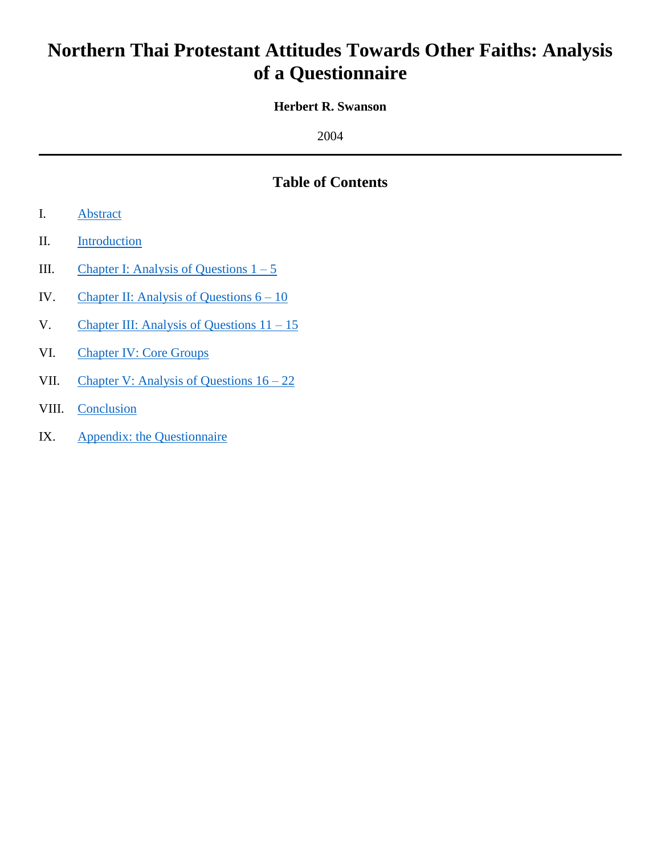# **Northern Thai Protestant Attitudes Towards Other Faiths: Analysis of a Questionnaire**

## **Herbert R. Swanson**

2004

## **Table of Contents**

- I. [Abstract](#page-1-0)
- II. [Introduction](#page-2-0)
- III. Chapter I: Analysis of Questions  $1 5$
- IV. Chapter II: Analysis of Questions  $6 10$
- V. Chapter III: Analysis of Questions  $11 15$
- VI. [Chapter IV: Core Groups](#page-54-0)
- VII. [Chapter V: Analysis of Questions 16 –](#page-62-0) 22
- VIII. [Conclusion](#page-65-0)
- IX. [Appendix: the Questionnaire](#page-67-0)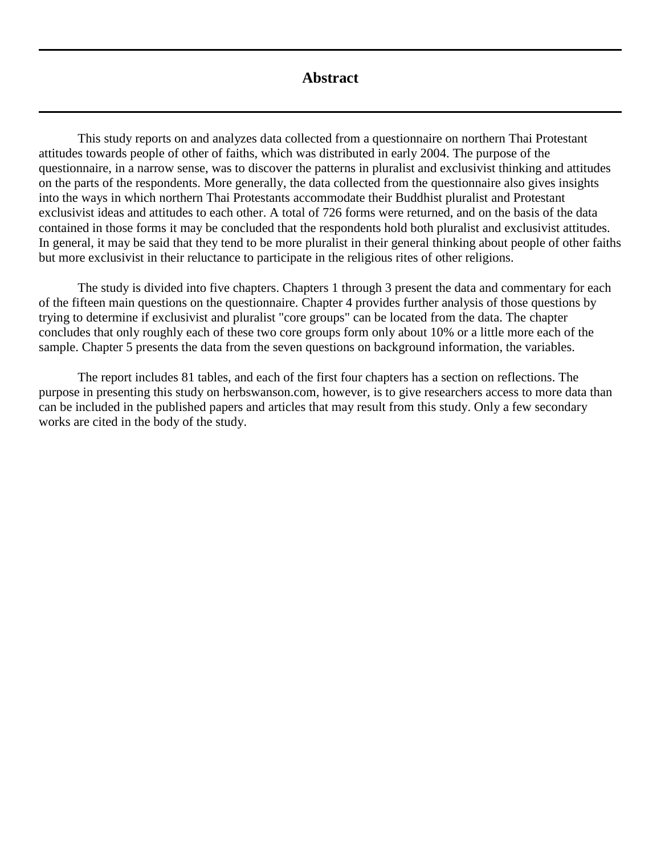## **Abstract**

<span id="page-1-0"></span>This study reports on and analyzes data collected from a questionnaire on northern Thai Protestant attitudes towards people of other of faiths, which was distributed in early 2004. The purpose of the questionnaire, in a narrow sense, was to discover the patterns in pluralist and exclusivist thinking and attitudes on the parts of the respondents. More generally, the data collected from the questionnaire also gives insights into the ways in which northern Thai Protestants accommodate their Buddhist pluralist and Protestant exclusivist ideas and attitudes to each other. A total of 726 forms were returned, and on the basis of the data contained in those forms it may be concluded that the respondents hold both pluralist and exclusivist attitudes. In general, it may be said that they tend to be more pluralist in their general thinking about people of other faiths but more exclusivist in their reluctance to participate in the religious rites of other religions.

The study is divided into five chapters. Chapters 1 through 3 present the data and commentary for each of the fifteen main questions on the questionnaire. Chapter 4 provides further analysis of those questions by trying to determine if exclusivist and pluralist "core groups" can be located from the data. The chapter concludes that only roughly each of these two core groups form only about 10% or a little more each of the sample. Chapter 5 presents the data from the seven questions on background information, the variables.

The report includes 81 tables, and each of the first four chapters has a section on reflections. The purpose in presenting this study on herbswanson.com, however, is to give researchers access to more data than can be included in the published papers and articles that may result from this study. Only a few secondary works are cited in the body of the study.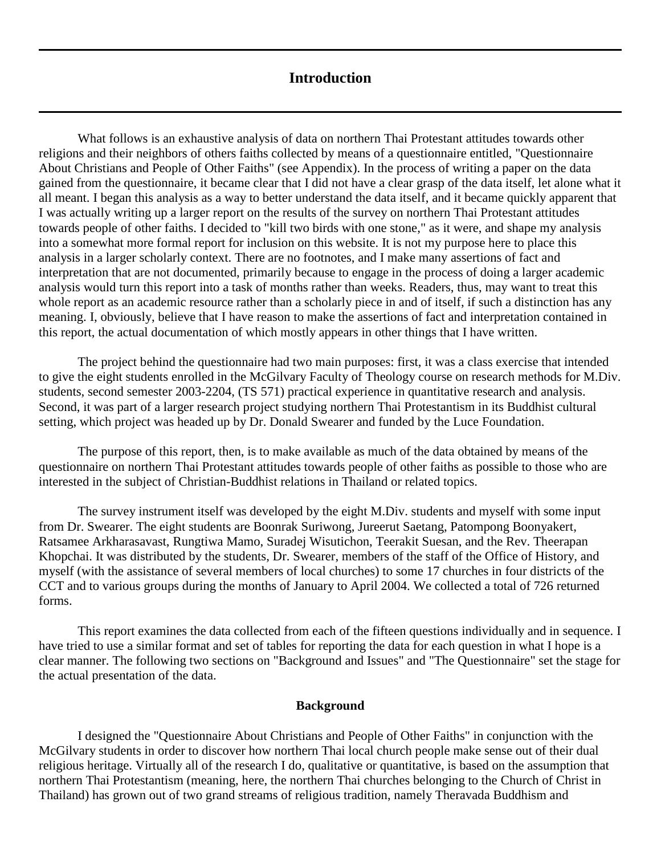## **Introduction**

<span id="page-2-0"></span>What follows is an exhaustive analysis of data on northern Thai Protestant attitudes towards other religions and their neighbors of others faiths collected by means of a questionnaire entitled, "Questionnaire About Christians and People of Other Faiths" (see Appendix). In the process of writing a paper on the data gained from the questionnaire, it became clear that I did not have a clear grasp of the data itself, let alone what it all meant. I began this analysis as a way to better understand the data itself, and it became quickly apparent that I was actually writing up a larger report on the results of the survey on northern Thai Protestant attitudes towards people of other faiths. I decided to "kill two birds with one stone," as it were, and shape my analysis into a somewhat more formal report for inclusion on this website. It is not my purpose here to place this analysis in a larger scholarly context. There are no footnotes, and I make many assertions of fact and interpretation that are not documented, primarily because to engage in the process of doing a larger academic analysis would turn this report into a task of months rather than weeks. Readers, thus, may want to treat this whole report as an academic resource rather than a scholarly piece in and of itself, if such a distinction has any meaning. I, obviously, believe that I have reason to make the assertions of fact and interpretation contained in this report, the actual documentation of which mostly appears in other things that I have written.

The project behind the questionnaire had two main purposes: first, it was a class exercise that intended to give the eight students enrolled in the McGilvary Faculty of Theology course on research methods for M.Div. students, second semester 2003-2204, (TS 571) practical experience in quantitative research and analysis. Second, it was part of a larger research project studying northern Thai Protestantism in its Buddhist cultural setting, which project was headed up by Dr. Donald Swearer and funded by the Luce Foundation.

The purpose of this report, then, is to make available as much of the data obtained by means of the questionnaire on northern Thai Protestant attitudes towards people of other faiths as possible to those who are interested in the subject of Christian-Buddhist relations in Thailand or related topics.

The survey instrument itself was developed by the eight M.Div. students and myself with some input from Dr. Swearer. The eight students are Boonrak Suriwong, Jureerut Saetang, Patompong Boonyakert, Ratsamee Arkharasavast, Rungtiwa Mamo, Suradej Wisutichon, Teerakit Suesan, and the Rev. Theerapan Khopchai. It was distributed by the students, Dr. Swearer, members of the staff of the Office of History, and myself (with the assistance of several members of local churches) to some 17 churches in four districts of the CCT and to various groups during the months of January to April 2004. We collected a total of 726 returned forms.

This report examines the data collected from each of the fifteen questions individually and in sequence. I have tried to use a similar format and set of tables for reporting the data for each question in what I hope is a clear manner. The following two sections on "Background and Issues" and "The Questionnaire" set the stage for the actual presentation of the data.

#### **Background**

I designed the "Questionnaire About Christians and People of Other Faiths" in conjunction with the McGilvary students in order to discover how northern Thai local church people make sense out of their dual religious heritage. Virtually all of the research I do, qualitative or quantitative, is based on the assumption that northern Thai Protestantism (meaning, here, the northern Thai churches belonging to the [Church of Christ in](http://herbswanson.com/post.php?pid=8)  [Thailand\)](http://herbswanson.com/post.php?pid=8) has grown out of two grand streams of religious tradition, namely Theravada Buddhism and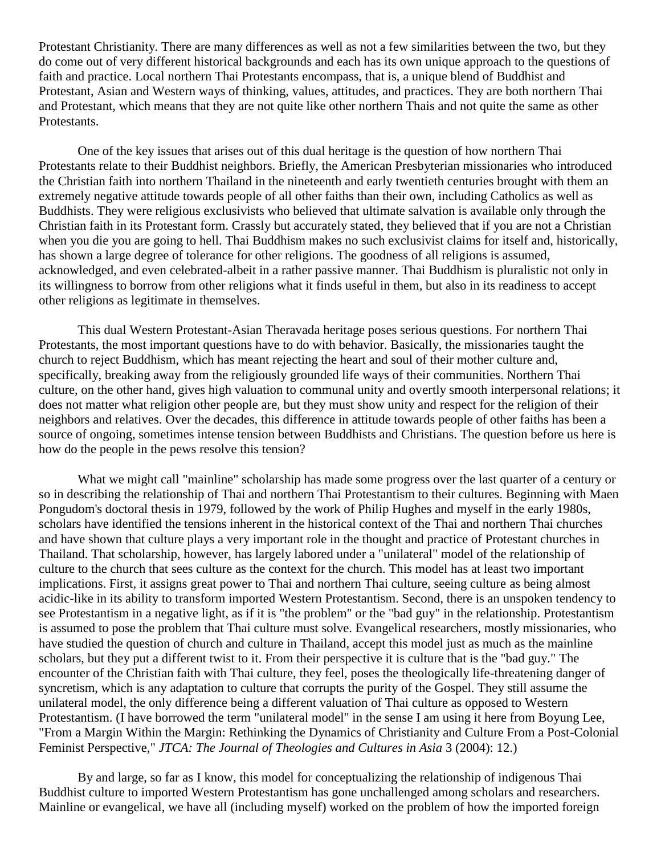Protestant Christianity. There are many differences as well as not a few similarities between the two, but they do come out of very different historical backgrounds and each has its own unique approach to the questions of faith and practice. Local northern Thai Protestants encompass, that is, a unique blend of Buddhist and Protestant, Asian and Western ways of thinking, values, attitudes, and practices. They are both northern Thai and Protestant, which means that they are not quite like other northern Thais and not quite the same as other Protestants.

One of the key issues that arises out of this dual heritage is the question of how northern Thai Protestants relate to their Buddhist neighbors. Briefly, the American Presbyterian missionaries who introduced the Christian faith into northern Thailand in the nineteenth and early twentieth centuries brought with them an extremely negative attitude towards people of all other faiths than their own, including Catholics as well as Buddhists. They were religious exclusivists who believed that ultimate salvation is available only through the Christian faith in its Protestant form. Crassly but accurately stated, they believed that if you are not a Christian when you die you are going to hell. Thai Buddhism makes no such exclusivist claims for itself and, historically, has shown a large degree of tolerance for other religions. The goodness of all religions is assumed, acknowledged, and even celebrated-albeit in a rather passive manner. Thai Buddhism is pluralistic not only in its willingness to borrow from other religions what it finds useful in them, but also in its readiness to accept other religions as legitimate in themselves.

This dual Western Protestant-Asian Theravada heritage poses serious questions. For northern Thai Protestants, the most important questions have to do with behavior. Basically, the missionaries taught the church to reject Buddhism, which has meant rejecting the heart and soul of their mother culture and, specifically, breaking away from the religiously grounded life ways of their communities. Northern Thai culture, on the other hand, gives high valuation to communal unity and overtly smooth interpersonal relations; it does not matter what religion other people are, but they must show unity and respect for the religion of their neighbors and relatives. Over the decades, this difference in attitude towards people of other faiths has been a source of ongoing, sometimes intense tension between Buddhists and Christians. The question before us here is how do the people in the pews resolve this tension?

What we might call "mainline" scholarship has made some progress over the last quarter of a century or so in describing the relationship of Thai and northern Thai Protestantism to their cultures. Beginning with Maen Pongudom's doctoral thesis in 1979, followed by the work of Philip Hughes and myself in the early 1980s, scholars have identified the tensions inherent in the historical context of the Thai and northern Thai churches and have shown that culture plays a very important role in the thought and practice of Protestant churches in Thailand. That scholarship, however, has largely labored under a "unilateral" model of the relationship of culture to the church that sees culture as the context for the church. This model has at least two important implications. First, it assigns great power to Thai and northern Thai culture, seeing culture as being almost acidic-like in its ability to transform imported Western Protestantism. Second, there is an unspoken tendency to see Protestantism in a negative light, as if it is "the problem" or the "bad guy" in the relationship. Protestantism is assumed to pose the problem that Thai culture must solve. Evangelical researchers, mostly missionaries, who have studied the question of church and culture in Thailand, accept this model just as much as the mainline scholars, but they put a different twist to it. From their perspective it is culture that is the "bad guy." The encounter of the Christian faith with Thai culture, they feel, poses the theologically life-threatening danger of syncretism, which is any adaptation to culture that corrupts the purity of the Gospel. They still assume the unilateral model, the only difference being a different valuation of Thai culture as opposed to Western Protestantism. (I have borrowed the term "unilateral model" in the sense I am using it here from Boyung Lee, "From a Margin Within the Margin: Rethinking the Dynamics of Christianity and Culture From a Post-Colonial Feminist Perspective," *JTCA: The Journal of Theologies and Cultures in Asia* 3 (2004): 12.)

By and large, so far as I know, this model for conceptualizing the relationship of indigenous Thai Buddhist culture to imported Western Protestantism has gone unchallenged among scholars and researchers. Mainline or evangelical, we have all (including myself) worked on the problem of how the imported foreign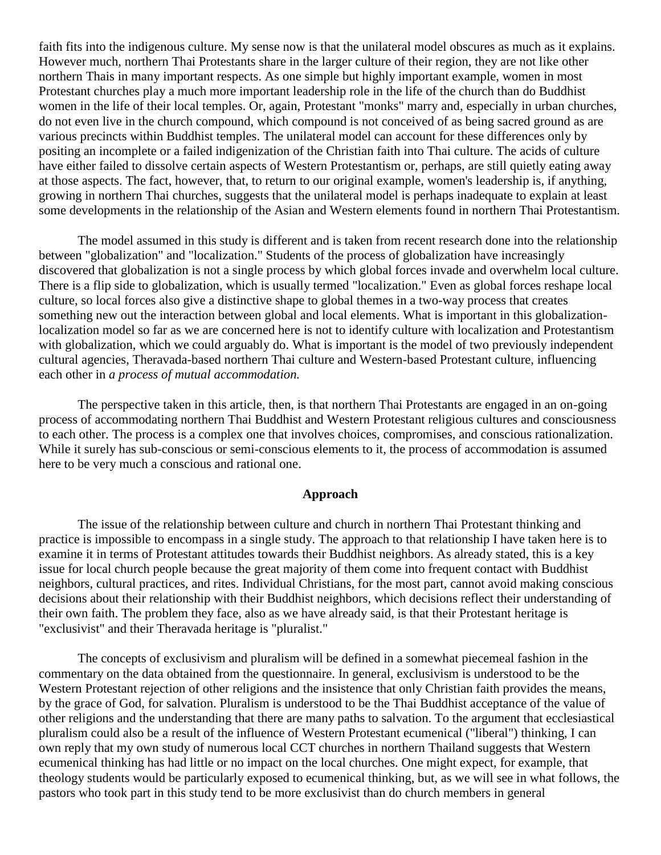faith fits into the indigenous culture. My sense now is that the unilateral model obscures as much as it explains. However much, northern Thai Protestants share in the larger culture of their region, they are not like other northern Thais in many important respects. As one simple but highly important example, women in most Protestant churches play a much more important leadership role in the life of the church than do Buddhist women in the life of their local temples. Or, again, Protestant "monks" marry and, especially in urban churches, do not even live in the church compound, which compound is not conceived of as being sacred ground as are various precincts within Buddhist temples. The unilateral model can account for these differences only by positing an incomplete or a failed indigenization of the Christian faith into Thai culture. The acids of culture have either failed to dissolve certain aspects of Western Protestantism or, perhaps, are still quietly eating away at those aspects. The fact, however, that, to return to our original example, women's leadership is, if anything, growing in northern Thai churches, suggests that the unilateral model is perhaps inadequate to explain at least some developments in the relationship of the Asian and Western elements found in northern Thai Protestantism.

The model assumed in this study is different and is taken from recent research done into the relationship between "globalization" and "localization." Students of the process of globalization have increasingly discovered that globalization is not a single process by which global forces invade and overwhelm local culture. There is a flip side to globalization, which is usually termed "localization." Even as global forces reshape local culture, so local forces also give a distinctive shape to global themes in a two-way process that creates something new out the interaction between global and local elements. What is important in this globalizationlocalization model so far as we are concerned here is not to identify culture with localization and Protestantism with globalization, which we could arguably do. What is important is the model of two previously independent cultural agencies, Theravada-based northern Thai culture and Western-based Protestant culture, influencing each other in *a process of mutual accommodation.*

The perspective taken in this article, then, is that northern Thai Protestants are engaged in an on-going process of accommodating northern Thai Buddhist and Western Protestant religious cultures and consciousness to each other. The process is a complex one that involves choices, compromises, and conscious rationalization. While it surely has sub-conscious or semi-conscious elements to it, the process of accommodation is assumed here to be very much a conscious and rational one.

## **Approach**

The issue of the relationship between culture and church in northern Thai Protestant thinking and practice is impossible to encompass in a single study. The approach to that relationship I have taken here is to examine it in terms of Protestant attitudes towards their Buddhist neighbors. As already stated, this is a key issue for local church people because the great majority of them come into frequent contact with Buddhist neighbors, cultural practices, and rites. Individual Christians, for the most part, cannot avoid making conscious decisions about their relationship with their Buddhist neighbors, which decisions reflect their understanding of their own faith. The problem they face, also as we have already said, is that their Protestant heritage is "exclusivist" and their Theravada heritage is "pluralist."

The concepts of exclusivism and pluralism will be defined in a somewhat piecemeal fashion in the commentary on the data obtained from the questionnaire. In general, exclusivism is understood to be the Western Protestant rejection of other religions and the insistence that only Christian faith provides the means, by the grace of God, for salvation. Pluralism is understood to be the Thai Buddhist acceptance of the value of other religions and the understanding that there are many paths to salvation. To the argument that ecclesiastical pluralism could also be a result of the influence of Western Protestant ecumenical ("liberal") thinking, I can own reply that my own study of numerous local CCT churches in northern Thailand suggests that Western ecumenical thinking has had little or no impact on the local churches. One might expect, for example, that theology students would be particularly exposed to ecumenical thinking, but, as we will see in what follows, the pastors who took part in this study tend to be more exclusivist than do church members in general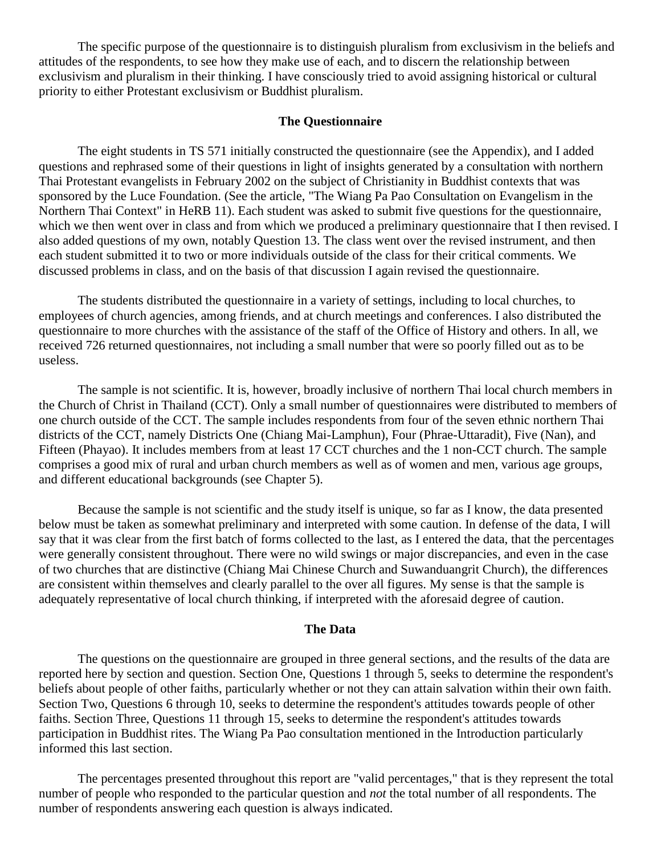The specific purpose of the questionnaire is to distinguish pluralism from exclusivism in the beliefs and attitudes of the respondents, to see how they make use of each, and to discern the relationship between exclusivism and pluralism in their thinking. I have consciously tried to avoid assigning historical or cultural priority to either Protestant exclusivism or Buddhist pluralism.

## **The Questionnaire**

The eight students in TS 571 initially constructed the questionnaire (see the Appendix), and I added questions and rephrased some of their questions in light of insights generated by a consultation with northern Thai Protestant evangelists in February 2002 on the subject of Christianity in Buddhist contexts that was sponsored by the Luce Foundation. (See the article, "The Wiang Pa Pao Consultation on Evangelism in the Northern Thai Context" in [HeRB 11\)](http://herbswanson.com/post.php?pid=27#article1). Each student was asked to submit five questions for the questionnaire, which we then went over in class and from which we produced a preliminary questionnaire that I then revised. I also added questions of my own, notably Question 13. The class went over the revised instrument, and then each student submitted it to two or more individuals outside of the class for their critical comments. We discussed problems in class, and on the basis of that discussion I again revised the questionnaire.

The students distributed the questionnaire in a variety of settings, including to local churches, to employees of church agencies, among friends, and at church meetings and conferences. I also distributed the questionnaire to more churches with the assistance of the staff of the Office of History and others. In all, we received 726 returned questionnaires, not including a small number that were so poorly filled out as to be useless.

The sample is not scientific. It is, however, broadly inclusive of northern Thai local church members in the Church of Christ in Thailand (CCT). Only a small number of questionnaires were distributed to members of one church outside of the CCT. The sample includes respondents from four of the seven ethnic northern Thai districts of the CCT, namely Districts One (Chiang Mai-Lamphun), Four (Phrae-Uttaradit), Five (Nan), and Fifteen (Phayao). It includes members from at least 17 CCT churches and the 1 non-CCT church. The sample comprises a good mix of rural and urban church members as well as of women and men, various age groups, and different educational backgrounds (see Chapter 5).

Because the sample is not scientific and the study itself is unique, so far as I know, the data presented below must be taken as somewhat preliminary and interpreted with some caution. In defense of the data, I will say that it was clear from the first batch of forms collected to the last, as I entered the data, that the percentages were generally consistent throughout. There were no wild swings or major discrepancies, and even in the case of two churches that are distinctive (Chiang Mai Chinese Church and Suwanduangrit Church), the differences are consistent within themselves and clearly parallel to the over all figures. My sense is that the sample is adequately representative of local church thinking, if interpreted with the aforesaid degree of caution.

#### **The Data**

The questions on the questionnaire are grouped in three general sections, and the results of the data are reported here by section and question. Section One, Questions 1 through 5, seeks to determine the respondent's beliefs about people of other faiths, particularly whether or not they can attain salvation within their own faith. Section Two, Questions 6 through 10, seeks to determine the respondent's attitudes towards people of other faiths. Section Three, Questions 11 through 15, seeks to determine the respondent's attitudes towards participation in Buddhist rites. The Wiang Pa Pao consultation mentioned in the Introduction particularly informed this last section.

The percentages presented throughout this report are "valid percentages," that is they represent the total number of people who responded to the particular question and *not* the total number of all respondents. The number of respondents answering each question is always indicated.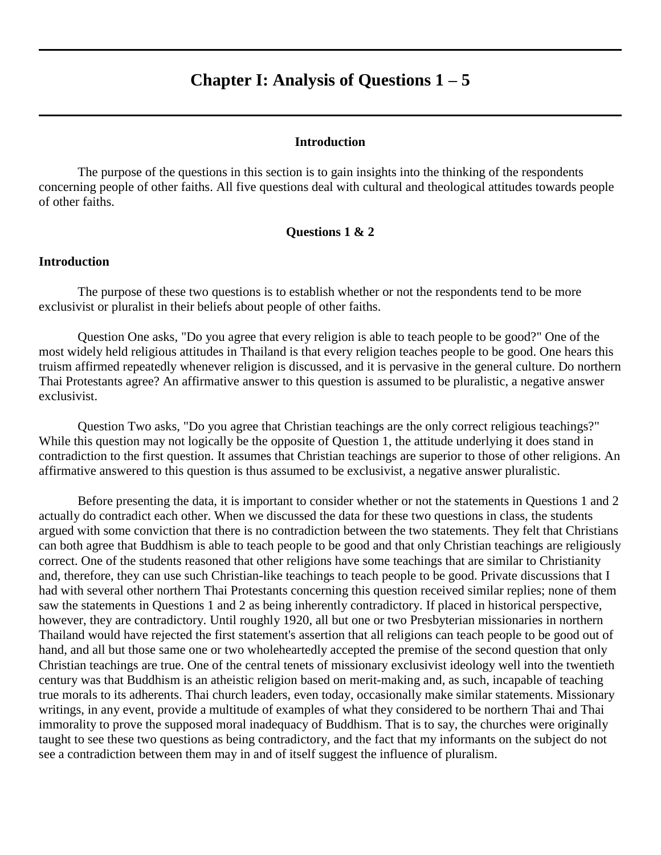## **Chapter I: Analysis of Questions 1 – 5**

#### **Introduction**

<span id="page-6-0"></span>The purpose of the questions in this section is to gain insights into the thinking of the respondents concerning people of other faiths. All five questions deal with cultural and theological attitudes towards people of other faiths.

## **Questions 1 & 2**

#### **Introduction**

The purpose of these two questions is to establish whether or not the respondents tend to be more exclusivist or pluralist in their beliefs about people of other faiths.

Question One asks, "Do you agree that every religion is able to teach people to be good?" One of the most widely held religious attitudes in Thailand is that every religion teaches people to be good. One hears this truism affirmed repeatedly whenever religion is discussed, and it is pervasive in the general culture. Do northern Thai Protestants agree? An affirmative answer to this question is assumed to be pluralistic, a negative answer exclusivist.

Question Two asks, "Do you agree that Christian teachings are the only correct religious teachings?" While this question may not logically be the opposite of Question 1, the attitude underlying it does stand in contradiction to the first question. It assumes that Christian teachings are superior to those of other religions. An affirmative answered to this question is thus assumed to be exclusivist, a negative answer pluralistic.

Before presenting the data, it is important to consider whether or not the statements in Questions 1 and 2 actually do contradict each other. When we discussed the data for these two questions in class, the students argued with some conviction that there is no contradiction between the two statements. They felt that Christians can both agree that Buddhism is able to teach people to be good and that only Christian teachings are religiously correct. One of the students reasoned that other religions have some teachings that are similar to Christianity and, therefore, they can use such Christian-like teachings to teach people to be good. Private discussions that I had with several other northern Thai Protestants concerning this question received similar replies; none of them saw the statements in Questions 1 and 2 as being inherently contradictory. If placed in historical perspective, however, they are contradictory. Until roughly 1920, all but one or two Presbyterian missionaries in northern Thailand would have rejected the first statement's assertion that all religions can teach people to be good out of hand, and all but those same one or two wholeheartedly accepted the premise of the second question that only Christian teachings are true. One of the central tenets of missionary exclusivist ideology well into the twentieth century was that Buddhism is an atheistic religion based on merit-making and, as such, incapable of teaching true morals to its adherents. Thai church leaders, even today, occasionally make similar statements. Missionary writings, in any event, provide a multitude of examples of what they considered to be northern Thai and Thai immorality to prove the supposed moral inadequacy of Buddhism. That is to say, the churches were originally taught to see these two questions as being contradictory, and the fact that my informants on the subject do not see a contradiction between them may in and of itself suggest the influence of pluralism.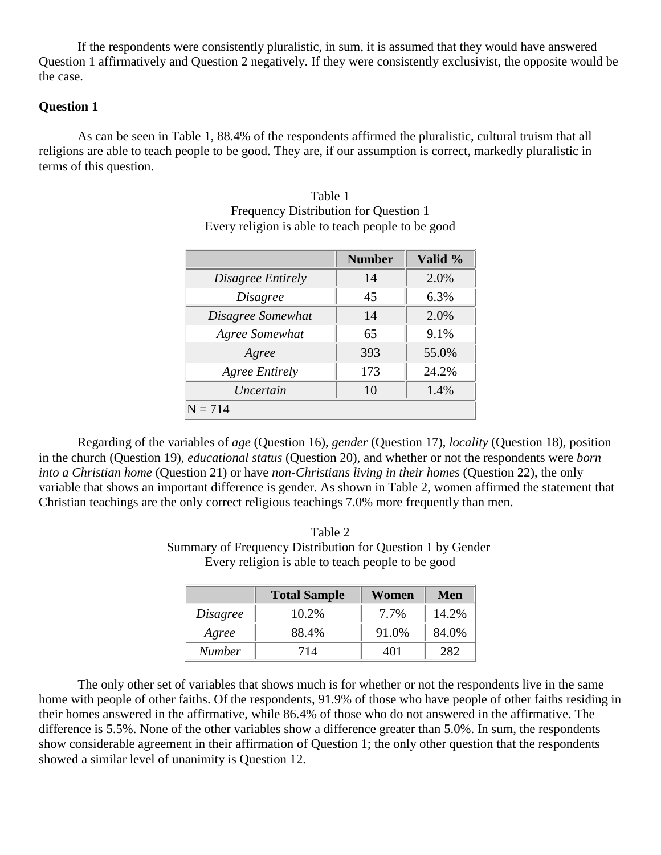If the respondents were consistently pluralistic, in sum, it is assumed that they would have answered Question 1 affirmatively and Question 2 negatively. If they were consistently exclusivist, the opposite would be the case.

## **Question 1**

As can be seen in Table 1, 88.4% of the respondents affirmed the pluralistic, cultural truism that all religions are able to teach people to be good. They are, if our assumption is correct, markedly pluralistic in terms of this question.

|                       | <b>Number</b> | Valid % |
|-----------------------|---------------|---------|
| Disagree Entirely     | 14            | 2.0%    |
| <i>Disagree</i>       | 45            | 6.3%    |
| Disagree Somewhat     | 14            | 2.0%    |
| Agree Somewhat        | 65            | 9.1%    |
| Agree                 | 393           | 55.0%   |
| <b>Agree Entirely</b> | 173           | 24.2%   |
| Uncertain             | 10            | 1.4%    |
| $= 714$               |               |         |

Table 1 Frequency Distribution for Question 1 Every religion is able to teach people to be good

Regarding of the variables of *age* (Question 16), *gender* (Question 17), *locality* (Question 18), position in the church (Question 19), *educational status* (Question 20), and whether or not the respondents were *born into a Christian home* (Question 21) or have *non-Christians living in their homes* (Question 22), the only variable that shows an important difference is gender. As shown in Table 2, women affirmed the statement that Christian teachings are the only correct religious teachings 7.0% more frequently than men.

Table 2 Summary of Frequency Distribution for Question 1 by Gender Every religion is able to teach people to be good

|               | <b>Total Sample</b> | Women | Men   |
|---------------|---------------------|-------|-------|
| Disagree      | 10.2%               | 7.7%  | 14.2% |
| Agree         | 88.4%               | 91.0% | 84.0% |
| <b>Number</b> | 714                 | 401   | 282   |

The only other set of variables that shows much is for whether or not the respondents live in the same home with people of other faiths. Of the respondents, 91.9% of those who have people of other faiths residing in their homes answered in the affirmative, while 86.4% of those who do not answered in the affirmative. The difference is 5.5%. None of the other variables show a difference greater than 5.0%. In sum, the respondents show considerable agreement in their affirmation of Question 1; the only other question that the respondents showed a similar level of unanimity is Question 12.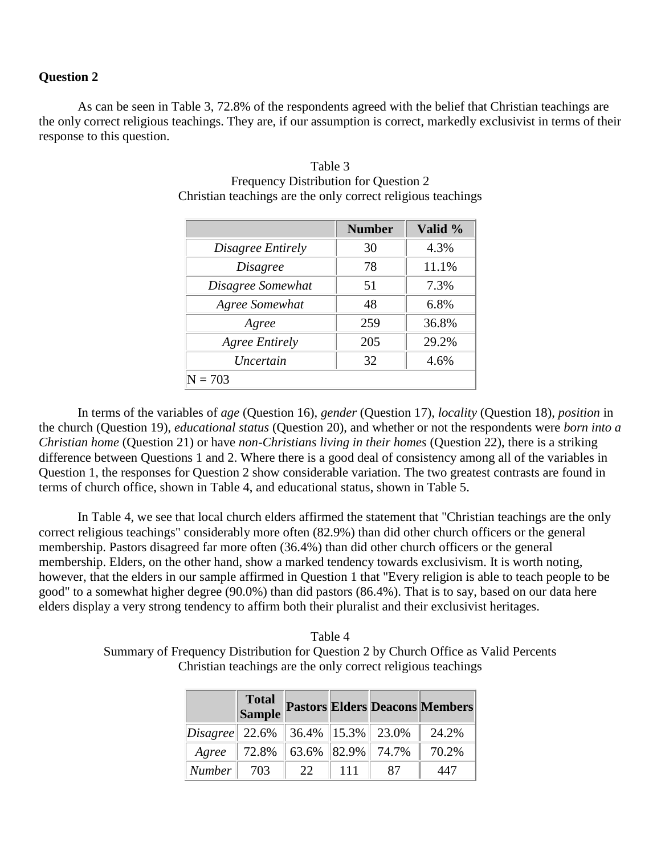#### **Question 2**

As can be seen in Table 3, 72.8% of the respondents agreed with the belief that Christian teachings are the only correct religious teachings. They are, if our assumption is correct, markedly exclusivist in terms of their response to this question.

|                       | <b>Number</b> | Valid % |
|-----------------------|---------------|---------|
| Disagree Entirely     | 30            | 4.3%    |
| <i>Disagree</i>       | 78            | 11.1%   |
| Disagree Somewhat     | 51            | 7.3%    |
| Agree Somewhat        | 48            | 6.8%    |
| Agree                 | 259           | 36.8%   |
| <b>Agree Entirely</b> | 205           | 29.2%   |
| Uncertain             | 32            | 4.6%    |
| 703                   |               |         |

### Table 3 Frequency Distribution for Question 2 Christian teachings are the only correct religious teachings

In terms of the variables of *age* (Question 16), *gender* (Question 17), *locality* (Question 18), *position* in the church (Question 19), *educational status* (Question 20), and whether or not the respondents were *born into a Christian home* (Question 21) or have *non-Christians living in their homes* (Question 22), there is a striking difference between Questions 1 and 2. Where there is a good deal of consistency among all of the variables in Question 1, the responses for Question 2 show considerable variation. The two greatest contrasts are found in terms of church office, shown in Table 4, and educational status, shown in Table 5.

In Table 4, we see that local church elders affirmed the statement that "Christian teachings are the only correct religious teachings" considerably more often (82.9%) than did other church officers or the general membership. Pastors disagreed far more often (36.4%) than did other church officers or the general membership. Elders, on the other hand, show a marked tendency towards exclusivism. It is worth noting, however, that the elders in our sample affirmed in Question 1 that "Every religion is able to teach people to be good" to a somewhat higher degree (90.0%) than did pastors (86.4%). That is to say, based on our data here elders display a very strong tendency to affirm both their pluralist and their exclusivist heritages.

Table 4 Summary of Frequency Distribution for Question 2 by Church Office as Valid Percents Christian teachings are the only correct religious teachings

|                                         |                                       |    |      |    | Total<br>Sample Pastors Elders Deacons Members |
|-----------------------------------------|---------------------------------------|----|------|----|------------------------------------------------|
| <i>Disagree</i> 22.6% 36.4% 15.3% 23.0% |                                       |    |      |    | 24.2%                                          |
|                                         | Agree   72.8%   63.6%   82.9%   74.7% |    |      |    | 70.2%                                          |
| $\vert$ Number $\vert$                  | 703                                   | 22 | -111 | 87 | 447                                            |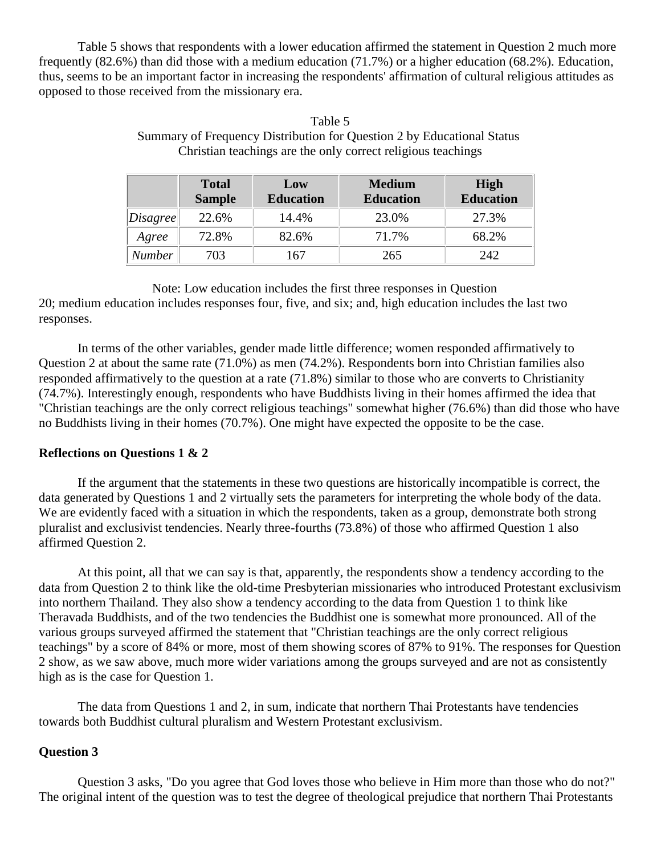Table 5 shows that respondents with a lower education affirmed the statement in Question 2 much more frequently (82.6%) than did those with a medium education (71.7%) or a higher education (68.2%). Education, thus, seems to be an important factor in increasing the respondents' affirmation of cultural religious attitudes as opposed to those received from the missionary era.

|          | <b>Total</b><br><b>Sample</b> | Low<br><b>Education</b> | <b>Medium</b><br><b>Education</b> | <b>High</b><br><b>Education</b> |
|----------|-------------------------------|-------------------------|-----------------------------------|---------------------------------|
| Disagree | 22.6%                         | 14.4%                   | 23.0%                             | 27.3%                           |
| Agree    | 72.8%                         | 82.6%                   | 71.7%                             | 68.2%                           |
| Number   | 703                           | 167                     | 265                               | 242                             |

| Table 5                                                                |
|------------------------------------------------------------------------|
| Summary of Frequency Distribution for Question 2 by Educational Status |
| Christian teachings are the only correct religious teachings           |

Note: Low education includes the first three responses in Question 20; medium education includes responses four, five, and six; and, high education includes the last two responses.

In terms of the other variables, gender made little difference; women responded affirmatively to Question 2 at about the same rate (71.0%) as men (74.2%). Respondents born into Christian families also responded affirmatively to the question at a rate (71.8%) similar to those who are converts to Christianity (74.7%). Interestingly enough, respondents who have Buddhists living in their homes affirmed the idea that "Christian teachings are the only correct religious teachings" somewhat higher (76.6%) than did those who have no Buddhists living in their homes (70.7%). One might have expected the opposite to be the case.

#### **Reflections on Questions 1 & 2**

If the argument that the statements in these two questions are historically incompatible is correct, the data generated by Questions 1 and 2 virtually sets the parameters for interpreting the whole body of the data. We are evidently faced with a situation in which the respondents, taken as a group, demonstrate both strong pluralist and exclusivist tendencies. Nearly three-fourths (73.8%) of those who affirmed Question 1 also affirmed Question 2.

At this point, all that we can say is that, apparently, the respondents show a tendency according to the data from Question 2 to think like the old-time Presbyterian missionaries who introduced Protestant exclusivism into northern Thailand. They also show a tendency according to the data from Question 1 to think like Theravada Buddhists, and of the two tendencies the Buddhist one is somewhat more pronounced. All of the various groups surveyed affirmed the statement that "Christian teachings are the only correct religious teachings" by a score of 84% or more, most of them showing scores of 87% to 91%. The responses for Question 2 show, as we saw above, much more wider variations among the groups surveyed and are not as consistently high as is the case for Question 1.

The data from Questions 1 and 2, in sum, indicate that northern Thai Protestants have tendencies towards both Buddhist cultural pluralism and Western Protestant exclusivism.

#### **Question 3**

Question 3 asks, "Do you agree that God loves those who believe in Him more than those who do not?" The original intent of the question was to test the degree of theological prejudice that northern Thai Protestants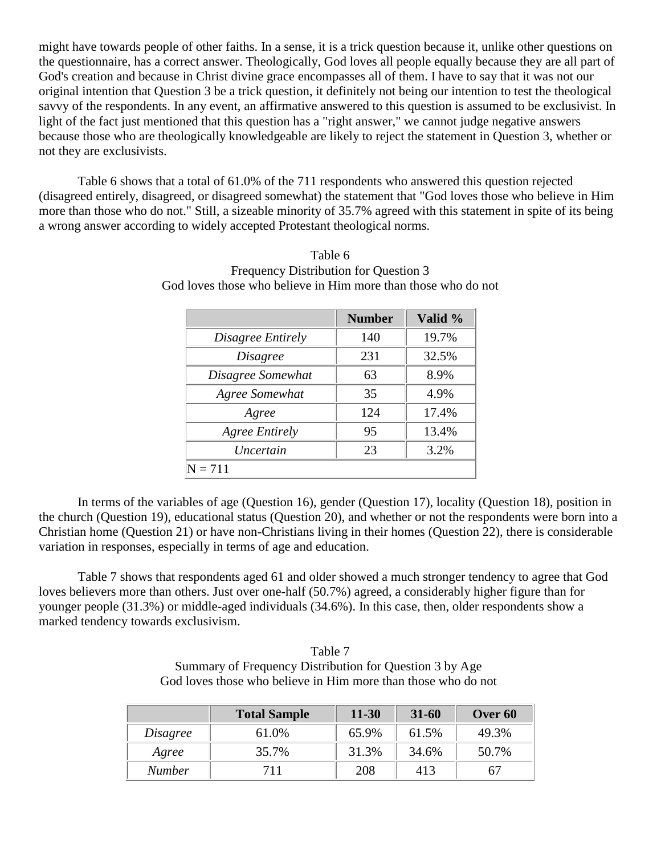might have towards people of other faiths. In a sense, it is a trick question because it, unlike other questions on the questionnaire, has a correct answer. Theologically, God loves all people equally because they are all part of God's creation and because in Christ divine grace encompasses all of them. I have to say that it was not our original intention that Question 3 be a trick question, it definitely not being our intention to test the theological savvy of the respondents. In any event, an affirmative answered to this question is assumed to be exclusivist. In light of the fact just mentioned that this question has a "right answer," we cannot judge negative answers because those who are theologically knowledgeable are likely to reject the statement in Question 3, whether or not they are exclusivists.

Table 6 shows that a total of 61.0% of the 711 respondents who answered this question rejected (disagreed entirely, disagreed, or disagreed somewhat) the statement that "God loves those who believe in Him more than those who do not." Still, a sizeable minority of 35.7% agreed with this statement in spite of its being a wrong answer according to widely accepted Protestant theological norms.

|                       | <b>Number</b> | Valid % |
|-----------------------|---------------|---------|
| Disagree Entirely     | 140           | 19.7%   |
| <i>Disagree</i>       | 231           | 32.5%   |
| Disagree Somewhat     | 63            | 8.9%    |
| Agree Somewhat        | 35            | 4.9%    |
| Agree                 | 124           | 17.4%   |
| <b>Agree Entirely</b> | 95            | 13.4%   |
| Uncertain             | 23            | 3.2%    |
| $N = 711$             |               |         |

Table 6 Frequency Distribution for Question 3 God loves those who believe in Him more than those who do not

In terms of the variables of age (Question 16), gender (Question 17), locality (Question 18), position in the church (Question 19), educational status (Question 20), and whether or not the respondents were born into a Christian home (Question 21) or have non-Christians living in their homes (Question 22), there is considerable variation in responses, especially in terms of age and education.

Table 7 shows that respondents aged 61 and older showed a much stronger tendency to agree that God loves believers more than others. Just over one-half (50.7%) agreed, a considerably higher figure than for younger people (31.3%) or middle-aged individuals (34.6%). In this case, then, older respondents show a marked tendency towards exclusivism.

| Table 7                                                       |
|---------------------------------------------------------------|
| Summary of Frequency Distribution for Question 3 by Age       |
| God loves those who believe in Him more than those who do not |

|                 | <b>Total Sample</b> | $11 - 30$ | $31 - 60$ | Over 60 |
|-----------------|---------------------|-----------|-----------|---------|
| <i>Disagree</i> | 61.0%               | 65.9%     | 61.5%     | 49.3%   |
| Agree           | 35.7%               | 31.3%     | 34.6%     | 50.7%   |
| <b>Number</b>   | 711                 | 208       | 413       | h/      |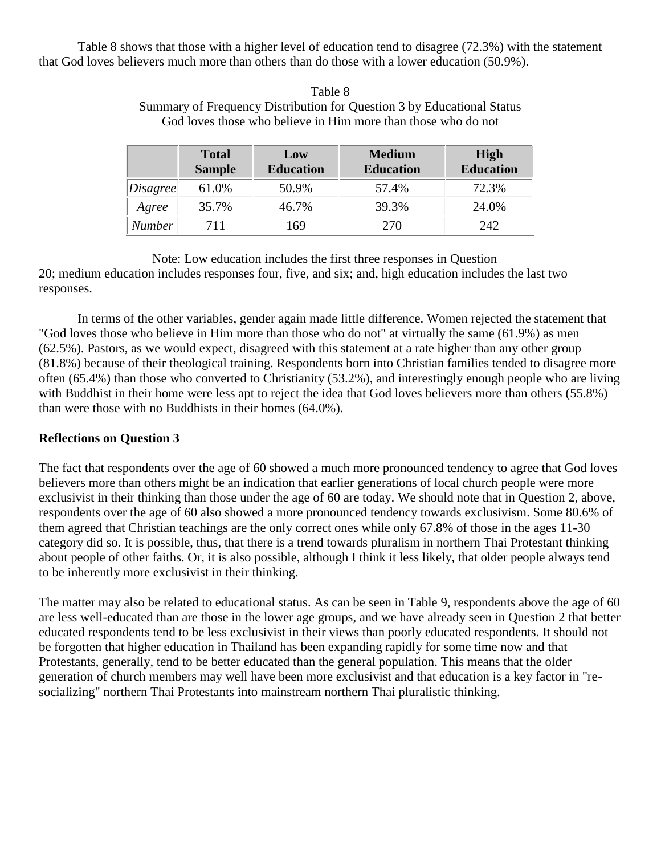Table 8 shows that those with a higher level of education tend to disagree (72.3%) with the statement that God loves believers much more than others than do those with a lower education (50.9%).

|          | <b>Total</b><br><b>Sample</b> | Low<br><b>Education</b> | <b>Medium</b><br><b>Education</b> | <b>High</b><br><b>Education</b> |
|----------|-------------------------------|-------------------------|-----------------------------------|---------------------------------|
| Disagree | 61.0%                         | 50.9%                   | 57.4%                             | 72.3%                           |
| Agree    | 35.7%                         | 46.7%                   | 39.3%                             | 24.0%                           |
| Number   | 711                           | 169                     | 270                               | 242                             |

### Table 8 Summary of Frequency Distribution for Question 3 by Educational Status God loves those who believe in Him more than those who do not

Note: Low education includes the first three responses in Question 20; medium education includes responses four, five, and six; and, high education includes the last two responses.

In terms of the other variables, gender again made little difference. Women rejected the statement that "God loves those who believe in Him more than those who do not" at virtually the same (61.9%) as men (62.5%). Pastors, as we would expect, disagreed with this statement at a rate higher than any other group (81.8%) because of their theological training. Respondents born into Christian families tended to disagree more often (65.4%) than those who converted to Christianity (53.2%), and interestingly enough people who are living with Buddhist in their home were less apt to reject the idea that God loves believers more than others (55.8%) than were those with no Buddhists in their homes (64.0%).

## **Reflections on Question 3**

The fact that respondents over the age of 60 showed a much more pronounced tendency to agree that God loves believers more than others might be an indication that earlier generations of local church people were more exclusivist in their thinking than those under the age of 60 are today. We should note that in Question 2, above, respondents over the age of 60 also showed a more pronounced tendency towards exclusivism. Some 80.6% of them agreed that Christian teachings are the only correct ones while only 67.8% of those in the ages 11-30 category did so. It is possible, thus, that there is a trend towards pluralism in northern Thai Protestant thinking about people of other faiths. Or, it is also possible, although I think it less likely, that older people always tend to be inherently more exclusivist in their thinking.

The matter may also be related to educational status. As can be seen in Table 9, respondents above the age of 60 are less well-educated than are those in the lower age groups, and we have already seen in Question 2 that better educated respondents tend to be less exclusivist in their views than poorly educated respondents. It should not be forgotten that higher education in Thailand has been expanding rapidly for some time now and that Protestants, generally, tend to be better educated than the general population. This means that the older generation of church members may well have been more exclusivist and that education is a key factor in "resocializing" northern Thai Protestants into mainstream northern Thai pluralistic thinking.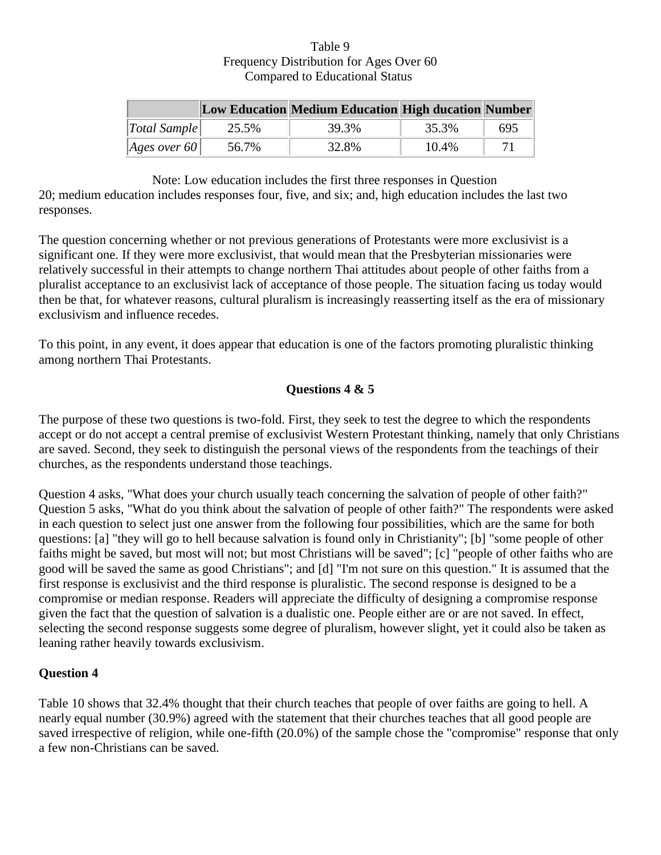## Table 9 Frequency Distribution for Ages Over 60 Compared to Educational Status

|                              |       | <b>Low Education Medium Education High ducation Number</b> |          |     |
|------------------------------|-------|------------------------------------------------------------|----------|-----|
| $\vert Total \ Sample \vert$ | 25.5% | 39.3%                                                      | 35.3%    | 695 |
| Ages over 60                 | 56.7% | 32.8%                                                      | $10.4\%$ |     |

Note: Low education includes the first three responses in Question

20; medium education includes responses four, five, and six; and, high education includes the last two responses.

The question concerning whether or not previous generations of Protestants were more exclusivist is a significant one. If they were more exclusivist, that would mean that the Presbyterian missionaries were relatively successful in their attempts to change northern Thai attitudes about people of other faiths from a pluralist acceptance to an exclusivist lack of acceptance of those people. The situation facing us today would then be that, for whatever reasons, cultural pluralism is increasingly reasserting itself as the era of missionary exclusivism and influence recedes.

To this point, in any event, it does appear that education is one of the factors promoting pluralistic thinking among northern Thai Protestants.

## **Questions 4 & 5**

The purpose of these two questions is two-fold. First, they seek to test the degree to which the respondents accept or do not accept a central premise of exclusivist Western Protestant thinking, namely that only Christians are saved. Second, they seek to distinguish the personal views of the respondents from the teachings of their churches, as the respondents understand those teachings.

Question 4 asks, "What does your church usually teach concerning the salvation of people of other faith?" Question 5 asks, "What do you think about the salvation of people of other faith?" The respondents were asked in each question to select just one answer from the following four possibilities, which are the same for both questions: [a] "they will go to hell because salvation is found only in Christianity"; [b] "some people of other faiths might be saved, but most will not; but most Christians will be saved"; [c] "people of other faiths who are good will be saved the same as good Christians"; and [d] "I'm not sure on this question." It is assumed that the first response is exclusivist and the third response is pluralistic. The second response is designed to be a compromise or median response. Readers will appreciate the difficulty of designing a compromise response given the fact that the question of salvation is a dualistic one. People either are or are not saved. In effect, selecting the second response suggests some degree of pluralism, however slight, yet it could also be taken as leaning rather heavily towards exclusivism.

## **Question 4**

Table 10 shows that 32.4% thought that their church teaches that people of over faiths are going to hell. A nearly equal number (30.9%) agreed with the statement that their churches teaches that all good people are saved irrespective of religion, while one-fifth (20.0%) of the sample chose the "compromise" response that only a few non-Christians can be saved.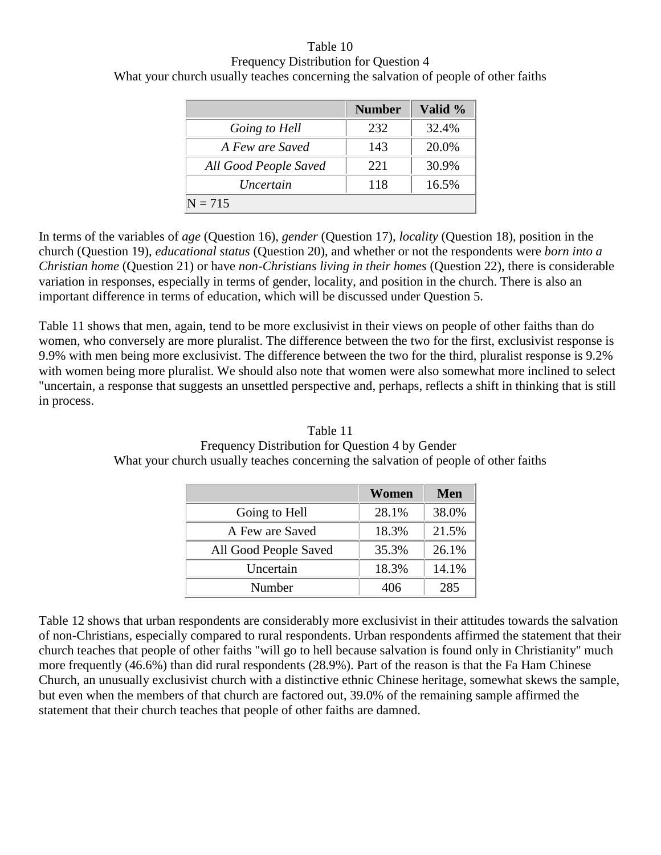Table 10 Frequency Distribution for Question 4 What your church usually teaches concerning the salvation of people of other faiths

|                       | <b>Number</b> | Valid % |
|-----------------------|---------------|---------|
| Going to Hell         | 232           | 32.4%   |
| A Few are Saved       | 143           | 20.0%   |
| All Good People Saved | 22.1          | 30.9%   |
| <i>Uncertain</i>      | 118           | 16.5%   |
| $N = 715$             |               |         |

In terms of the variables of *age* (Question 16), *gender* (Question 17), *locality* (Question 18), position in the church (Question 19), *educational status* (Question 20), and whether or not the respondents were *born into a Christian home* (Question 21) or have *non-Christians living in their homes* (Question 22), there is considerable variation in responses, especially in terms of gender, locality, and position in the church. There is also an important difference in terms of education, which will be discussed under Question 5.

Table 11 shows that men, again, tend to be more exclusivist in their views on people of other faiths than do women, who conversely are more pluralist. The difference between the two for the first, exclusivist response is 9.9% with men being more exclusivist. The difference between the two for the third, pluralist response is 9.2% with women being more pluralist. We should also note that women were also somewhat more inclined to select "uncertain, a response that suggests an unsettled perspective and, perhaps, reflects a shift in thinking that is still in process.

|                       | Women | Men   |
|-----------------------|-------|-------|
| Going to Hell         | 28.1% | 38.0% |
| A Few are Saved       | 18.3% | 21.5% |
| All Good People Saved | 35.3% | 26.1% |
| Uncertain             | 18.3% | 14.1% |
| Number                | 406   | 285   |

Table 11 Frequency Distribution for Question 4 by Gender What your church usually teaches concerning the salvation of people of other faiths

Table 12 shows that urban respondents are considerably more exclusivist in their attitudes towards the salvation of non-Christians, especially compared to rural respondents. Urban respondents affirmed the statement that their church teaches that people of other faiths "will go to hell because salvation is found only in Christianity" much more frequently (46.6%) than did rural respondents (28.9%). Part of the reason is that the Fa Ham Chinese Church, an unusually exclusivist church with a distinctive ethnic Chinese heritage, somewhat skews the sample, but even when the members of that church are factored out, 39.0% of the remaining sample affirmed the statement that their church teaches that people of other faiths are damned.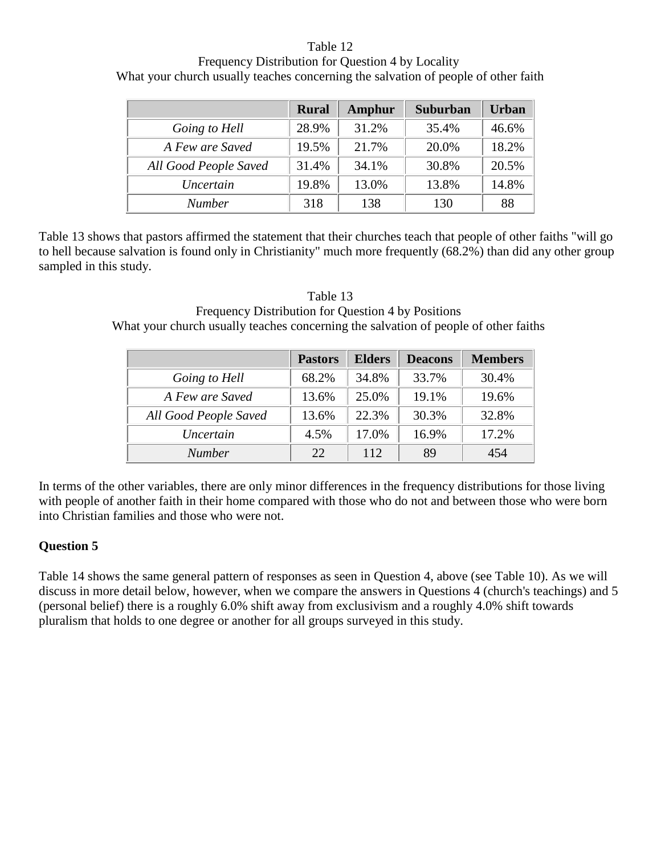## Table 12

Frequency Distribution for Question 4 by Locality What your church usually teaches concerning the salvation of people of other faith

|                       | <b>Rural</b> | <b>Amphur</b> | <b>Suburban</b> | <b>Urban</b> |
|-----------------------|--------------|---------------|-----------------|--------------|
| Going to Hell         | 28.9%        | 31.2%         | 35.4%           | 46.6%        |
| A Few are Saved       | 19.5%        | 21.7%         | 20.0%           | 18.2%        |
| All Good People Saved | 31.4%        | 34.1%         | 30.8%           | 20.5%        |
| Uncertain             | 19.8%        | 13.0%         | 13.8%           | 14.8%        |
| <b>Number</b>         | 318          | 138           | 130             | 88           |

Table 13 shows that pastors affirmed the statement that their churches teach that people of other faiths "will go to hell because salvation is found only in Christianity" much more frequently (68.2%) than did any other group sampled in this study.

| Table 13                                                                            |
|-------------------------------------------------------------------------------------|
| Frequency Distribution for Question 4 by Positions                                  |
| What your church usually teaches concerning the salvation of people of other faiths |

|                       | <b>Pastors</b> | <b>Elders</b> | <b>Deacons</b> | <b>Members</b> |
|-----------------------|----------------|---------------|----------------|----------------|
| Going to Hell         | 68.2%          | 34.8%         | 33.7%          | 30.4%          |
| A Few are Saved       | 13.6%          | 25.0%         | 19.1%          | 19.6%          |
| All Good People Saved | 13.6%          | 22.3%         | 30.3%          | 32.8%          |
| Uncertain             | 4.5%           | 17.0%         | 16.9%          | 17.2%          |
| <i>Number</i>         | 22.            | 112           | 89             | 454            |

In terms of the other variables, there are only minor differences in the frequency distributions for those living with people of another faith in their home compared with those who do not and between those who were born into Christian families and those who were not.

## **Question 5**

Table 14 shows the same general pattern of responses as seen in Question 4, above (see Table 10). As we will discuss in more detail below, however, when we compare the answers in Questions 4 (church's teachings) and 5 (personal belief) there is a roughly 6.0% shift away from exclusivism and a roughly 4.0% shift towards pluralism that holds to one degree or another for all groups surveyed in this study.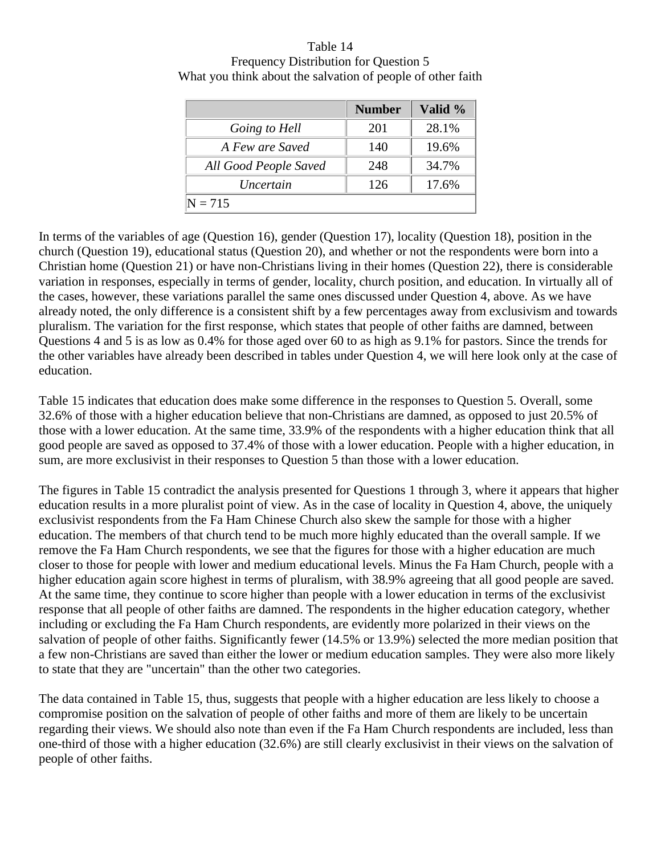Table 14 Frequency Distribution for Question 5 What you think about the salvation of people of other faith

|                       | <b>Number</b> | Valid % |
|-----------------------|---------------|---------|
| Going to Hell         | 201           | 28.1%   |
| A Few are Saved       | 140           | 19.6%   |
| All Good People Saved | 248           | 34.7%   |
| Uncertain             | 126           | 17.6%   |
| $N = 715$             |               |         |

In terms of the variables of age (Question 16), gender (Question 17), locality (Question 18), position in the church (Question 19), educational status (Question 20), and whether or not the respondents were born into a Christian home (Question 21) or have non-Christians living in their homes (Question 22), there is considerable variation in responses, especially in terms of gender, locality, church position, and education. In virtually all of the cases, however, these variations parallel the same ones discussed under Question 4, above. As we have already noted, the only difference is a consistent shift by a few percentages away from exclusivism and towards pluralism. The variation for the first response, which states that people of other faiths are damned, between Questions 4 and 5 is as low as 0.4% for those aged over 60 to as high as 9.1% for pastors. Since the trends for the other variables have already been described in tables under Question 4, we will here look only at the case of education.

Table 15 indicates that education does make some difference in the responses to Question 5. Overall, some 32.6% of those with a higher education believe that non-Christians are damned, as opposed to just 20.5% of those with a lower education. At the same time, 33.9% of the respondents with a higher education think that all good people are saved as opposed to 37.4% of those with a lower education. People with a higher education, in sum, are more exclusivist in their responses to Question 5 than those with a lower education.

The figures in Table 15 contradict the analysis presented for Questions 1 through 3, where it appears that higher education results in a more pluralist point of view. As in the case of locality in Question 4, above, the uniquely exclusivist respondents from the Fa Ham Chinese Church also skew the sample for those with a higher education. The members of that church tend to be much more highly educated than the overall sample. If we remove the Fa Ham Church respondents, we see that the figures for those with a higher education are much closer to those for people with lower and medium educational levels. Minus the Fa Ham Church, people with a higher education again score highest in terms of pluralism, with 38.9% agreeing that all good people are saved. At the same time, they continue to score higher than people with a lower education in terms of the exclusivist response that all people of other faiths are damned. The respondents in the higher education category, whether including or excluding the Fa Ham Church respondents, are evidently more polarized in their views on the salvation of people of other faiths. Significantly fewer (14.5% or 13.9%) selected the more median position that a few non-Christians are saved than either the lower or medium education samples. They were also more likely to state that they are "uncertain" than the other two categories.

The data contained in Table 15, thus, suggests that people with a higher education are less likely to choose a compromise position on the salvation of people of other faiths and more of them are likely to be uncertain regarding their views. We should also note than even if the Fa Ham Church respondents are included, less than one-third of those with a higher education (32.6%) are still clearly exclusivist in their views on the salvation of people of other faiths.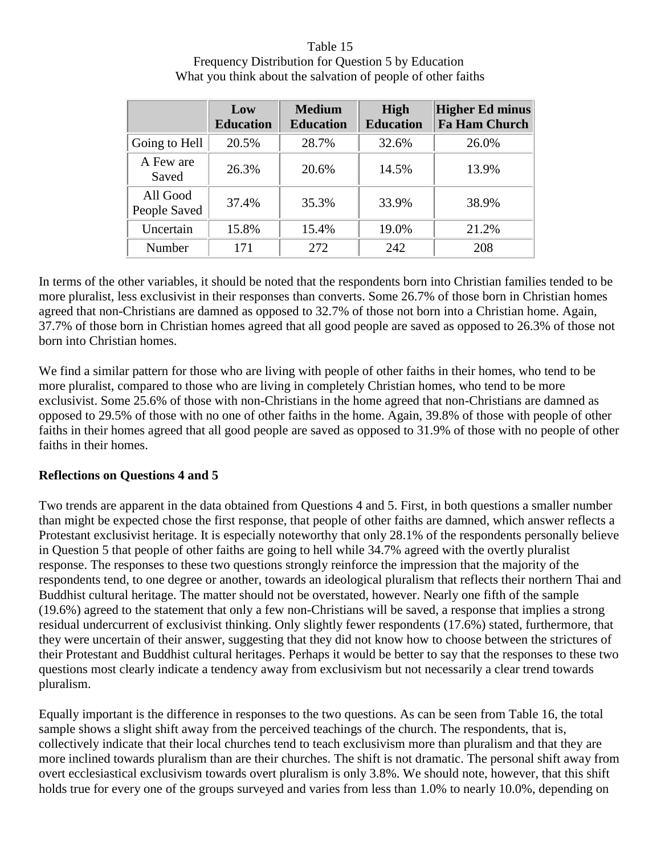| Table 15                                                     |
|--------------------------------------------------------------|
| Frequency Distribution for Question 5 by Education           |
| What you think about the salvation of people of other faiths |

|                          | Low<br><b>Education</b> | <b>Medium</b><br><b>Education</b> | <b>High</b><br><b>Education</b> | <b>Higher Ed minus</b><br><b>Fa Ham Church</b> |
|--------------------------|-------------------------|-----------------------------------|---------------------------------|------------------------------------------------|
| Going to Hell            | 20.5%                   | 28.7%                             | 32.6%                           | 26.0%                                          |
| A Few are<br>Saved       | 26.3%                   | 20.6%                             | 14.5%                           | 13.9%                                          |
| All Good<br>People Saved | 37.4%                   | 35.3%                             | 33.9%                           | 38.9%                                          |
| Uncertain                | 15.8%                   | 15.4%                             | 19.0%                           | 21.2%                                          |
| Number                   | 171                     | 272                               | 242                             | 208                                            |

In terms of the other variables, it should be noted that the respondents born into Christian families tended to be more pluralist, less exclusivist in their responses than converts. Some 26.7% of those born in Christian homes agreed that non-Christians are damned as opposed to 32.7% of those not born into a Christian home. Again, 37.7% of those born in Christian homes agreed that all good people are saved as opposed to 26.3% of those not born into Christian homes.

We find a similar pattern for those who are living with people of other faiths in their homes, who tend to be more pluralist, compared to those who are living in completely Christian homes, who tend to be more exclusivist. Some 25.6% of those with non-Christians in the home agreed that non-Christians are damned as opposed to 29.5% of those with no one of other faiths in the home. Again, 39.8% of those with people of other faiths in their homes agreed that all good people are saved as opposed to 31.9% of those with no people of other faiths in their homes.

## **Reflections on Questions 4 and 5**

Two trends are apparent in the data obtained from Questions 4 and 5. First, in both questions a smaller number than might be expected chose the first response, that people of other faiths are damned, which answer reflects a Protestant exclusivist heritage. It is especially noteworthy that only 28.1% of the respondents personally believe in Question 5 that people of other faiths are going to hell while 34.7% agreed with the overtly pluralist response. The responses to these two questions strongly reinforce the impression that the majority of the respondents tend, to one degree or another, towards an ideological pluralism that reflects their northern Thai and Buddhist cultural heritage. The matter should not be overstated, however. Nearly one fifth of the sample (19.6%) agreed to the statement that only a few non-Christians will be saved, a response that implies a strong residual undercurrent of exclusivist thinking. Only slightly fewer respondents (17.6%) stated, furthermore, that they were uncertain of their answer, suggesting that they did not know how to choose between the strictures of their Protestant and Buddhist cultural heritages. Perhaps it would be better to say that the responses to these two questions most clearly indicate a tendency away from exclusivism but not necessarily a clear trend towards pluralism.

Equally important is the difference in responses to the two questions. As can be seen from Table 16, the total sample shows a slight shift away from the perceived teachings of the church. The respondents, that is, collectively indicate that their local churches tend to teach exclusivism more than pluralism and that they are more inclined towards pluralism than are their churches. The shift is not dramatic. The personal shift away from overt ecclesiastical exclusivism towards overt pluralism is only 3.8%. We should note, however, that this shift holds true for every one of the groups surveyed and varies from less than 1.0% to nearly 10.0%, depending on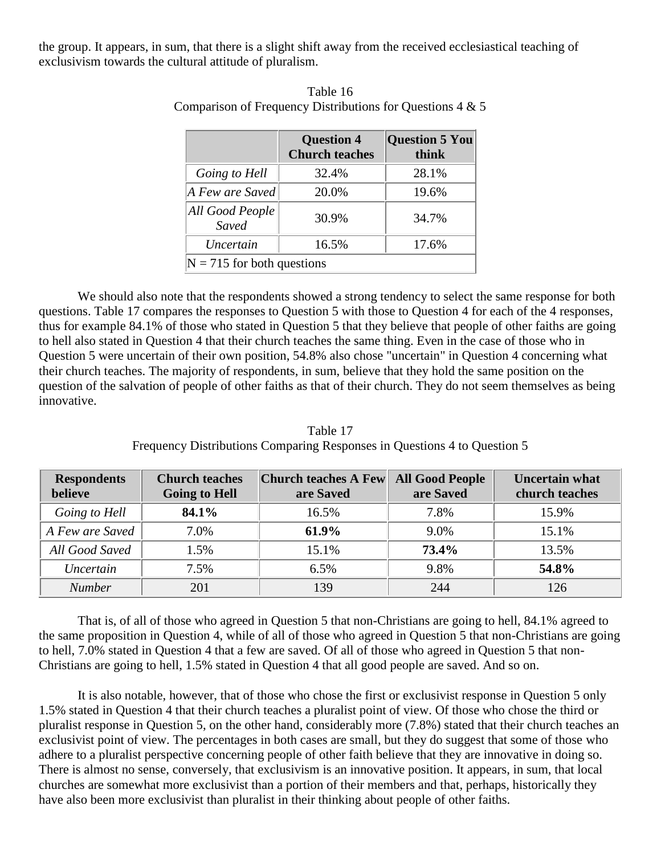the group. It appears, in sum, that there is a slight shift away from the received ecclesiastical teaching of exclusivism towards the cultural attitude of pluralism.

|                              | <b>Question 4</b><br><b>Church teaches</b> | <b>Question 5 You</b><br>think |  |  |
|------------------------------|--------------------------------------------|--------------------------------|--|--|
| Going to Hell                | 32.4%                                      | 28.1%                          |  |  |
| $A$ Few are Saved            | 20.0%                                      | 19.6%                          |  |  |
| All Good People<br>Saved     | 30.9%                                      | 34.7%                          |  |  |
| Uncertain                    | 16.5%                                      | 17.6%                          |  |  |
| $N = 715$ for both questions |                                            |                                |  |  |

Table 16 Comparison of Frequency Distributions for Questions 4 & 5

We should also note that the respondents showed a strong tendency to select the same response for both questions. Table 17 compares the responses to Question 5 with those to Question 4 for each of the 4 responses, thus for example 84.1% of those who stated in Question 5 that they believe that people of other faiths are going to hell also stated in Question 4 that their church teaches the same thing. Even in the case of those who in Question 5 were uncertain of their own position, 54.8% also chose "uncertain" in Question 4 concerning what their church teaches. The majority of respondents, in sum, believe that they hold the same position on the question of the salvation of people of other faiths as that of their church. They do not seem themselves as being innovative.

| <b>Respondents</b><br>believe | <b>Church teaches</b><br><b>Going to Hell</b> | <b>Church teaches A Few</b><br>are Saved | <b>All Good People</b><br>are Saved | <b>Uncertain what</b><br>church teaches |
|-------------------------------|-----------------------------------------------|------------------------------------------|-------------------------------------|-----------------------------------------|
| Going to Hell                 | 84.1%                                         | 16.5%                                    | 7.8%                                | 15.9%                                   |
| A Few are Saved               | 7.0%                                          | 61.9%                                    | 9.0%                                | 15.1%                                   |
| All Good Saved                | 1.5%                                          | 15.1%                                    | 73.4%                               | 13.5%                                   |
| Uncertain                     | 7.5%                                          | 6.5%                                     | 9.8%                                | 54.8%                                   |
| <b>Number</b>                 | 201                                           | 139                                      | 244                                 | 126                                     |

Table 17 Frequency Distributions Comparing Responses in Questions 4 to Question 5

That is, of all of those who agreed in Question 5 that non-Christians are going to hell, 84.1% agreed to the same proposition in Question 4, while of all of those who agreed in Question 5 that non-Christians are going to hell, 7.0% stated in Question 4 that a few are saved. Of all of those who agreed in Question 5 that non-Christians are going to hell, 1.5% stated in Question 4 that all good people are saved. And so on.

It is also notable, however, that of those who chose the first or exclusivist response in Question 5 only 1.5% stated in Question 4 that their church teaches a pluralist point of view. Of those who chose the third or pluralist response in Question 5, on the other hand, considerably more (7.8%) stated that their church teaches an exclusivist point of view. The percentages in both cases are small, but they do suggest that some of those who adhere to a pluralist perspective concerning people of other faith believe that they are innovative in doing so. There is almost no sense, conversely, that exclusivism is an innovative position. It appears, in sum, that local churches are somewhat more exclusivist than a portion of their members and that, perhaps, historically they have also been more exclusivist than pluralist in their thinking about people of other faiths.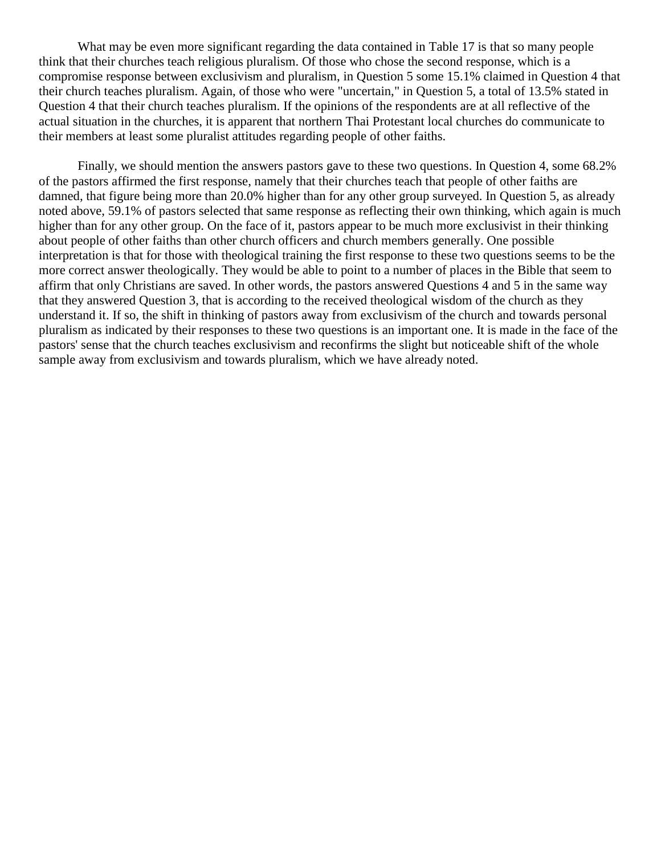What may be even more significant regarding the data contained in Table 17 is that so many people think that their churches teach religious pluralism. Of those who chose the second response, which is a compromise response between exclusivism and pluralism, in Question 5 some 15.1% claimed in Question 4 that their church teaches pluralism. Again, of those who were "uncertain," in Question 5, a total of 13.5% stated in Question 4 that their church teaches pluralism. If the opinions of the respondents are at all reflective of the actual situation in the churches, it is apparent that northern Thai Protestant local churches do communicate to their members at least some pluralist attitudes regarding people of other faiths.

Finally, we should mention the answers pastors gave to these two questions. In Question 4, some 68.2% of the pastors affirmed the first response, namely that their churches teach that people of other faiths are damned, that figure being more than 20.0% higher than for any other group surveyed. In Question 5, as already noted above, 59.1% of pastors selected that same response as reflecting their own thinking, which again is much higher than for any other group. On the face of it, pastors appear to be much more exclusivist in their thinking about people of other faiths than other church officers and church members generally. One possible interpretation is that for those with theological training the first response to these two questions seems to be the more correct answer theologically. They would be able to point to a number of places in the Bible that seem to affirm that only Christians are saved. In other words, the pastors answered Questions 4 and 5 in the same way that they answered Question 3, that is according to the received theological wisdom of the church as they understand it. If so, the shift in thinking of pastors away from exclusivism of the church and towards personal pluralism as indicated by their responses to these two questions is an important one. It is made in the face of the pastors' sense that the church teaches exclusivism and reconfirms the slight but noticeable shift of the whole sample away from exclusivism and towards pluralism, which we have already noted.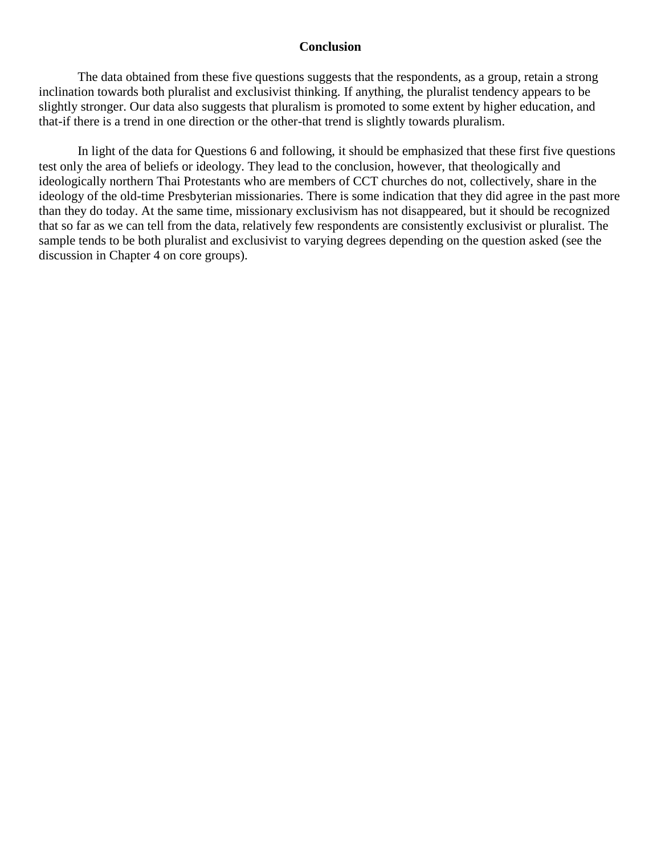#### **Conclusion**

The data obtained from these five questions suggests that the respondents, as a group, retain a strong inclination towards both pluralist and exclusivist thinking. If anything, the pluralist tendency appears to be slightly stronger. Our data also suggests that pluralism is promoted to some extent by higher education, and that-if there is a trend in one direction or the other-that trend is slightly towards pluralism.

In light of the data for Questions 6 and following, it should be emphasized that these first five questions test only the area of beliefs or ideology. They lead to the conclusion, however, that theologically and ideologically northern Thai Protestants who are members of CCT churches do not, collectively, share in the ideology of the old-time Presbyterian missionaries. There is some indication that they did agree in the past more than they do today. At the same time, missionary exclusivism has not disappeared, but it should be recognized that so far as we can tell from the data, relatively few respondents are consistently exclusivist or pluralist. The sample tends to be both pluralist and exclusivist to varying degrees depending on the question asked (see the discussion in Chapter 4 on core groups).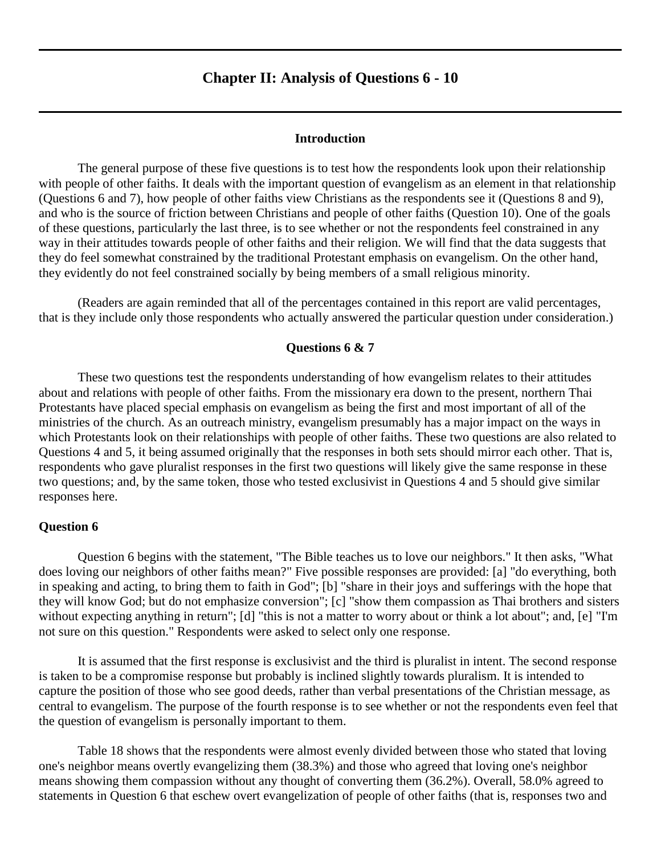## **Chapter II: Analysis of Questions 6 - 10**

#### **Introduction**

<span id="page-20-0"></span>The general purpose of these five questions is to test how the respondents look upon their relationship with people of other faiths. It deals with the important question of evangelism as an element in that relationship (Questions 6 and 7), how people of other faiths view Christians as the respondents see it (Questions 8 and 9), and who is the source of friction between Christians and people of other faiths (Question 10). One of the goals of these questions, particularly the last three, is to see whether or not the respondents feel constrained in any way in their attitudes towards people of other faiths and their religion. We will find that the data suggests that they do feel somewhat constrained by the traditional Protestant emphasis on evangelism. On the other hand, they evidently do not feel constrained socially by being members of a small religious minority.

(Readers are again reminded that all of the percentages contained in this report are valid percentages, that is they include only those respondents who actually answered the particular question under consideration.)

#### **Questions 6 & 7**

These two questions test the respondents understanding of how evangelism relates to their attitudes about and relations with people of other faiths. From the missionary era down to the present, northern Thai Protestants have placed special emphasis on evangelism as being the first and most important of all of the ministries of the church. As an outreach ministry, evangelism presumably has a major impact on the ways in which Protestants look on their relationships with people of other faiths. These two questions are also related to Questions 4 and 5, it being assumed originally that the responses in both sets should mirror each other. That is, respondents who gave pluralist responses in the first two questions will likely give the same response in these two questions; and, by the same token, those who tested exclusivist in Questions 4 and 5 should give similar responses here.

#### **Question 6**

Question 6 begins with the statement, "The Bible teaches us to love our neighbors." It then asks, "What does loving our neighbors of other faiths mean?" Five possible responses are provided: [a] "do everything, both in speaking and acting, to bring them to faith in God"; [b] "share in their joys and sufferings with the hope that they will know God; but do not emphasize conversion"; [c] "show them compassion as Thai brothers and sisters without expecting anything in return"; [d] "this is not a matter to worry about or think a lot about"; and, [e] "I'm not sure on this question." Respondents were asked to select only one response.

It is assumed that the first response is exclusivist and the third is pluralist in intent. The second response is taken to be a compromise response but probably is inclined slightly towards pluralism. It is intended to capture the position of those who see good deeds, rather than verbal presentations of the Christian message, as central to evangelism. The purpose of the fourth response is to see whether or not the respondents even feel that the question of evangelism is personally important to them.

Table 18 shows that the respondents were almost evenly divided between those who stated that loving one's neighbor means overtly evangelizing them (38.3%) and those who agreed that loving one's neighbor means showing them compassion without any thought of converting them (36.2%). Overall, 58.0% agreed to statements in Question 6 that eschew overt evangelization of people of other faiths (that is, responses two and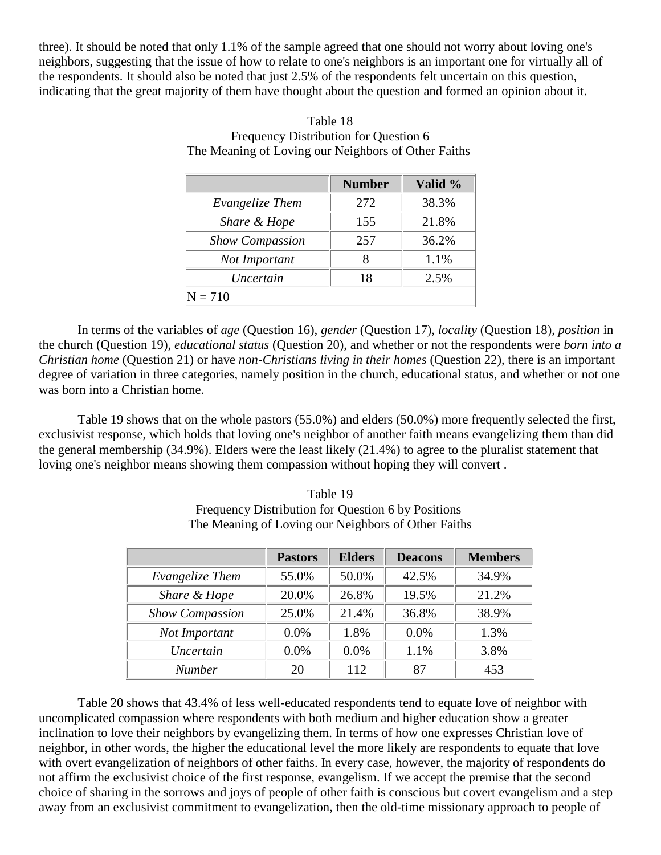three). It should be noted that only 1.1% of the sample agreed that one should not worry about loving one's neighbors, suggesting that the issue of how to relate to one's neighbors is an important one for virtually all of the respondents. It should also be noted that just 2.5% of the respondents felt uncertain on this question, indicating that the great majority of them have thought about the question and formed an opinion about it.

|                        | <b>Number</b> | Valid % |
|------------------------|---------------|---------|
| Evangelize Them        | 272           | 38.3%   |
| Share & Hope           | 155           | 21.8%   |
| <b>Show Compassion</b> | 257           | 36.2%   |
| Not Important          |               | 1.1%    |
| <i>Uncertain</i>       | 18            | 2.5%    |
| $N = 710$              |               |         |

## Table 18 Frequency Distribution for Question 6 The Meaning of Loving our Neighbors of Other Faiths

In terms of the variables of *age* (Question 16), *gender* (Question 17), *locality* (Question 18), *position* in the church (Question 19), *educational status* (Question 20), and whether or not the respondents were *born into a Christian home* (Question 21) or have *non-Christians living in their homes* (Question 22), there is an important degree of variation in three categories, namely position in the church, educational status, and whether or not one was born into a Christian home.

Table 19 shows that on the whole pastors (55.0%) and elders (50.0%) more frequently selected the first, exclusivist response, which holds that loving one's neighbor of another faith means evangelizing them than did the general membership (34.9%). Elders were the least likely (21.4%) to agree to the pluralist statement that loving one's neighbor means showing them compassion without hoping they will convert .

|                        | <b>Pastors</b> | <b>Elders</b> | <b>Deacons</b> | <b>Members</b> |
|------------------------|----------------|---------------|----------------|----------------|
| Evangelize Them        | 55.0%          | 50.0%         | 42.5%          | 34.9%          |
| Share & Hope           | 20.0%          | 26.8%         | 19.5%          | 21.2%          |
| <b>Show Compassion</b> | 25.0%          | 21.4%         | 36.8%          | 38.9%          |
| Not Important          | $0.0\%$        | 1.8%          | $0.0\%$        | 1.3%           |
| Uncertain              | $0.0\%$        | 0.0%          | 1.1%           | 3.8%           |
| <b>Number</b>          | 20             | 112           | 87             | 453            |

Table 19 Frequency Distribution for Question 6 by Positions The Meaning of Loving our Neighbors of Other Faiths

Table 20 shows that 43.4% of less well-educated respondents tend to equate love of neighbor with uncomplicated compassion where respondents with both medium and higher education show a greater inclination to love their neighbors by evangelizing them. In terms of how one expresses Christian love of neighbor, in other words, the higher the educational level the more likely are respondents to equate that love with overt evangelization of neighbors of other faiths. In every case, however, the majority of respondents do not affirm the exclusivist choice of the first response, evangelism. If we accept the premise that the second choice of sharing in the sorrows and joys of people of other faith is conscious but covert evangelism and a step away from an exclusivist commitment to evangelization, then the old-time missionary approach to people of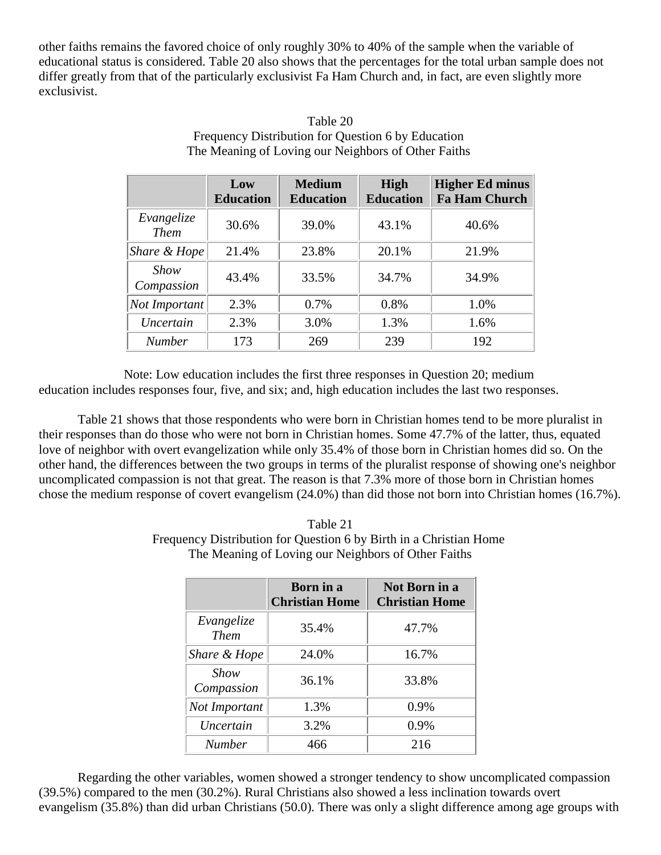other faiths remains the favored choice of only roughly 30% to 40% of the sample when the variable of educational status is considered. Table 20 also shows that the percentages for the total urban sample does not differ greatly from that of the particularly exclusivist Fa Ham Church and, in fact, are even slightly more exclusivist.

|                              | Low<br><b>Education</b> | <b>Medium</b><br><b>Education</b> | <b>High</b><br><b>Education</b> | <b>Higher Ed minus</b><br><b>Fa Ham Church</b> |
|------------------------------|-------------------------|-----------------------------------|---------------------------------|------------------------------------------------|
| Evangelize<br><b>Them</b>    | 30.6%                   | 39.0%                             | 43.1%                           | 40.6%                                          |
| Share & Hope                 | 21.4%                   | 23.8%                             | 20.1%                           | 21.9%                                          |
| Show<br>Compassion           | 43.4%                   | 33.5%                             | 34.7%                           | 34.9%                                          |
| $\vert Not\; Important\vert$ | 2.3%                    | 0.7%                              | 0.8%                            | 1.0%                                           |
| Uncertain                    | 2.3%                    | 3.0%                              | 1.3%                            | 1.6%                                           |
| <b>Number</b>                | 173                     | 269                               | 239                             | 192                                            |

## Table 20 Frequency Distribution for Question 6 by Education The Meaning of Loving our Neighbors of Other Faiths

Note: Low education includes the first three responses in Question 20; medium education includes responses four, five, and six; and, high education includes the last two responses.

Table 21 shows that those respondents who were born in Christian homes tend to be more pluralist in their responses than do those who were not born in Christian homes. Some 47.7% of the latter, thus, equated love of neighbor with overt evangelization while only 35.4% of those born in Christian homes did so. On the other hand, the differences between the two groups in terms of the pluralist response of showing one's neighbor uncomplicated compassion is not that great. The reason is that 7.3% more of those born in Christian homes chose the medium response of covert evangelism (24.0%) than did those not born into Christian homes (16.7%).

| Table 21                                                           |
|--------------------------------------------------------------------|
| Frequency Distribution for Question 6 by Birth in a Christian Home |
| The Meaning of Loving our Neighbors of Other Faiths                |

|                           | Born in a<br><b>Christian Home</b> | Not Born in a<br><b>Christian Home</b> |
|---------------------------|------------------------------------|----------------------------------------|
| Evangelize<br><b>Them</b> | 35.4%                              | 47.7%                                  |
| Share & Hope              | 24.0%                              | 16.7%                                  |
| Show<br>Compassion        | 36.1%                              | 33.8%                                  |
| Not Important             | 1.3%                               | 0.9%                                   |
| Uncertain                 | 3.2%                               | 0.9%                                   |
| <b>Number</b>             | 466                                | 216                                    |

Regarding the other variables, women showed a stronger tendency to show uncomplicated compassion (39.5%) compared to the men (30.2%). Rural Christians also showed a less inclination towards overt evangelism (35.8%) than did urban Christians (50.0). There was only a slight difference among age groups with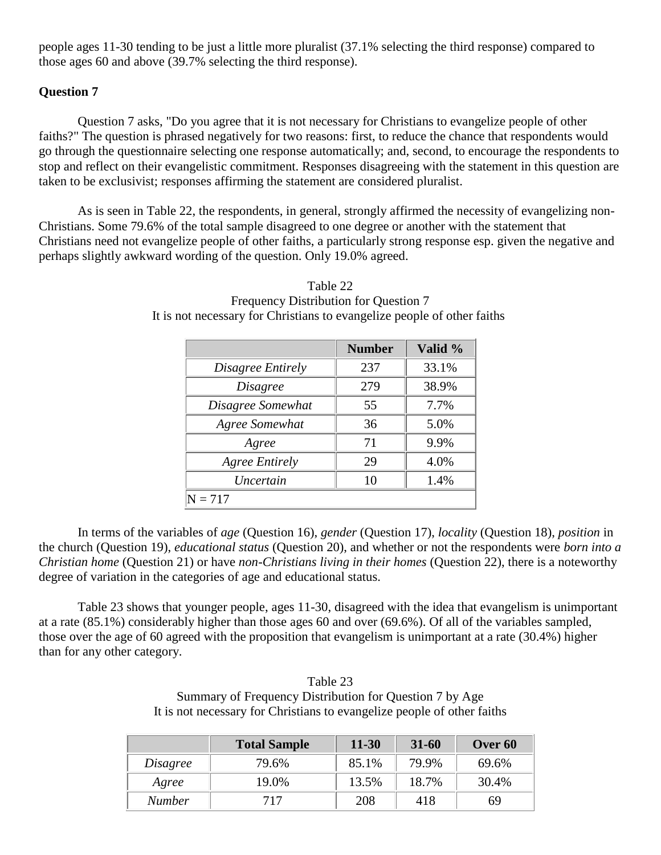people ages 11-30 tending to be just a little more pluralist (37.1% selecting the third response) compared to those ages 60 and above (39.7% selecting the third response).

## **Question 7**

Question 7 asks, "Do you agree that it is not necessary for Christians to evangelize people of other faiths?" The question is phrased negatively for two reasons: first, to reduce the chance that respondents would go through the questionnaire selecting one response automatically; and, second, to encourage the respondents to stop and reflect on their evangelistic commitment. Responses disagreeing with the statement in this question are taken to be exclusivist; responses affirming the statement are considered pluralist.

As is seen in Table 22, the respondents, in general, strongly affirmed the necessity of evangelizing non-Christians. Some 79.6% of the total sample disagreed to one degree or another with the statement that Christians need not evangelize people of other faiths, a particularly strong response esp. given the negative and perhaps slightly awkward wording of the question. Only 19.0% agreed.

|                       | <b>Number</b> | Valid % |
|-----------------------|---------------|---------|
| Disagree Entirely     | 237           | 33.1%   |
| <i>Disagree</i>       | 279           | 38.9%   |
| Disagree Somewhat     | 55            | 7.7%    |
| Agree Somewhat        | 36            | 5.0%    |
| Agree                 | 71            | 9.9%    |
| <b>Agree Entirely</b> | 29            | 4.0%    |
| Uncertain             | 10            | 1.4%    |
| $N = 717$             |               |         |

Table 22 Frequency Distribution for Question 7 It is not necessary for Christians to evangelize people of other faiths

In terms of the variables of *age* (Question 16), *gender* (Question 17), *locality* (Question 18), *position* in the church (Question 19), *educational status* (Question 20), and whether or not the respondents were *born into a Christian home* (Question 21) or have *non-Christians living in their homes* (Question 22), there is a noteworthy degree of variation in the categories of age and educational status.

Table 23 shows that younger people, ages 11-30, disagreed with the idea that evangelism is unimportant at a rate (85.1%) considerably higher than those ages 60 and over (69.6%). Of all of the variables sampled, those over the age of 60 agreed with the proposition that evangelism is unimportant at a rate (30.4%) higher than for any other category.

Table 23 Summary of Frequency Distribution for Question 7 by Age It is not necessary for Christians to evangelize people of other faiths

|               | <b>Total Sample</b> | $11 - 30$ | $31 - 60$ | Over 60 |
|---------------|---------------------|-----------|-----------|---------|
| Disagree      | 79.6%               | 85.1%     | 79.9%     | 69.6%   |
| Agree         | 19.0%               | 13.5%     | 18.7%     | 30.4%   |
| <b>Number</b> | 717                 | 208       | 418       | 69      |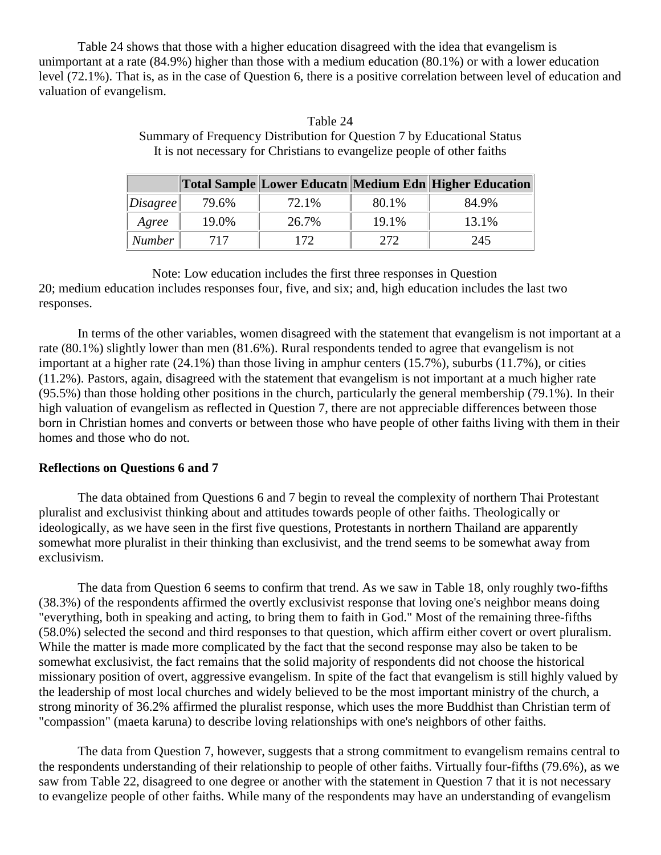Table 24 shows that those with a higher education disagreed with the idea that evangelism is unimportant at a rate (84.9%) higher than those with a medium education (80.1%) or with a lower education level (72.1%). That is, as in the case of Question 6, there is a positive correlation between level of education and valuation of evangelism.

Table 24

## Summary of Frequency Distribution for Question 7 by Educational Status It is not necessary for Christians to evangelize people of other faiths **Total Sample Lower Educatn Medium Edn Higher Education**

|               |       |       |       | Fotal Sample   Lower Equeath   Medium Edn   Higher Equeation |
|---------------|-------|-------|-------|--------------------------------------------------------------|
| Disagree      | 79.6% | 72.1% | 80.1% | 84.9%                                                        |
| Agree         | 19.0% | 26.7% | 19.1% | 13.1%                                                        |
| <b>Number</b> | 717   | 172.  | 272   | 245                                                          |

Note: Low education includes the first three responses in Question 20; medium education includes responses four, five, and six; and, high education includes the last two responses.

In terms of the other variables, women disagreed with the statement that evangelism is not important at a rate (80.1%) slightly lower than men (81.6%). Rural respondents tended to agree that evangelism is not important at a higher rate (24.1%) than those living in amphur centers (15.7%), suburbs (11.7%), or cities (11.2%). Pastors, again, disagreed with the statement that evangelism is not important at a much higher rate (95.5%) than those holding other positions in the church, particularly the general membership (79.1%). In their high valuation of evangelism as reflected in Question 7, there are not appreciable differences between those born in Christian homes and converts or between those who have people of other faiths living with them in their homes and those who do not.

## **Reflections on Questions 6 and 7**

The data obtained from Questions 6 and 7 begin to reveal the complexity of northern Thai Protestant pluralist and exclusivist thinking about and attitudes towards people of other faiths. Theologically or ideologically, as we have seen in the first five questions, Protestants in northern Thailand are apparently somewhat more pluralist in their thinking than exclusivist, and the trend seems to be somewhat away from exclusivism.

The data from Question 6 seems to confirm that trend. As we saw in Table 18, only roughly two-fifths (38.3%) of the respondents affirmed the overtly exclusivist response that loving one's neighbor means doing "everything, both in speaking and acting, to bring them to faith in God." Most of the remaining three-fifths (58.0%) selected the second and third responses to that question, which affirm either covert or overt pluralism. While the matter is made more complicated by the fact that the second response may also be taken to be somewhat exclusivist, the fact remains that the solid majority of respondents did not choose the historical missionary position of overt, aggressive evangelism. In spite of the fact that evangelism is still highly valued by the leadership of most local churches and widely believed to be the most important ministry of the church, a strong minority of 36.2% affirmed the pluralist response, which uses the more Buddhist than Christian term of "compassion" (maeta karuna) to describe loving relationships with one's neighbors of other faiths.

The data from Question 7, however, suggests that a strong commitment to evangelism remains central to the respondents understanding of their relationship to people of other faiths. Virtually four-fifths (79.6%), as we saw from Table 22, disagreed to one degree or another with the statement in Question 7 that it is not necessary to evangelize people of other faiths. While many of the respondents may have an understanding of evangelism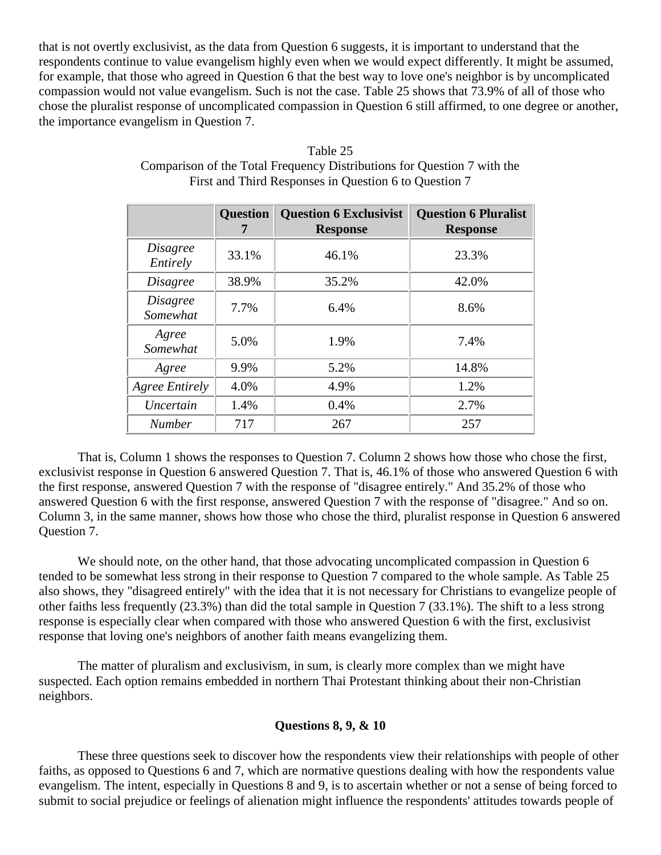that is not overtly exclusivist, as the data from Question 6 suggests, it is important to understand that the respondents continue to value evangelism highly even when we would expect differently. It might be assumed, for example, that those who agreed in Question 6 that the best way to love one's neighbor is by uncomplicated compassion would not value evangelism. Such is not the case. Table 25 shows that 73.9% of all of those who chose the pluralist response of uncomplicated compassion in Question 6 still affirmed, to one degree or another, the importance evangelism in Question 7.

|                             | <b>Question</b> | <b>Question 6 Exclusivist</b><br><b>Response</b> | <b>Question 6 Pluralist</b><br><b>Response</b> |
|-----------------------------|-----------------|--------------------------------------------------|------------------------------------------------|
| <i>Disagree</i><br>Entirely | 33.1%           | 46.1%                                            | 23.3%                                          |
| <i>Disagree</i>             | 38.9%           | 35.2%                                            | 42.0%                                          |
| <i>Disagree</i><br>Somewhat | 7.7%            | 6.4%                                             | 8.6%                                           |
| Agree<br>Somewhat           | 5.0%            | 1.9%                                             | 7.4%                                           |
| Agree                       | 9.9%            | 5.2%                                             | 14.8%                                          |
| <b>Agree Entirely</b>       | 4.0%            | 4.9%                                             | 1.2%                                           |
| Uncertain                   | 1.4%            | 0.4%                                             | 2.7%                                           |
| <b>Number</b>               | 717             | 267                                              | 257                                            |

| Table 25                                                                |
|-------------------------------------------------------------------------|
| Comparison of the Total Frequency Distributions for Question 7 with the |
| First and Third Responses in Question 6 to Question 7                   |

That is, Column 1 shows the responses to Question 7. Column 2 shows how those who chose the first, exclusivist response in Question 6 answered Question 7. That is, 46.1% of those who answered Question 6 with the first response, answered Question 7 with the response of "disagree entirely." And 35.2% of those who answered Question 6 with the first response, answered Question 7 with the response of "disagree." And so on. Column 3, in the same manner, shows how those who chose the third, pluralist response in Question 6 answered Question 7.

We should note, on the other hand, that those advocating uncomplicated compassion in Question 6 tended to be somewhat less strong in their response to Question 7 compared to the whole sample. As Table 25 also shows, they "disagreed entirely" with the idea that it is not necessary for Christians to evangelize people of other faiths less frequently (23.3%) than did the total sample in Question 7 (33.1%). The shift to a less strong response is especially clear when compared with those who answered Question 6 with the first, exclusivist response that loving one's neighbors of another faith means evangelizing them.

The matter of pluralism and exclusivism, in sum, is clearly more complex than we might have suspected. Each option remains embedded in northern Thai Protestant thinking about their non-Christian neighbors.

## **Questions 8, 9, & 10**

These three questions seek to discover how the respondents view their relationships with people of other faiths, as opposed to Questions 6 and 7, which are normative questions dealing with how the respondents value evangelism. The intent, especially in Questions 8 and 9, is to ascertain whether or not a sense of being forced to submit to social prejudice or feelings of alienation might influence the respondents' attitudes towards people of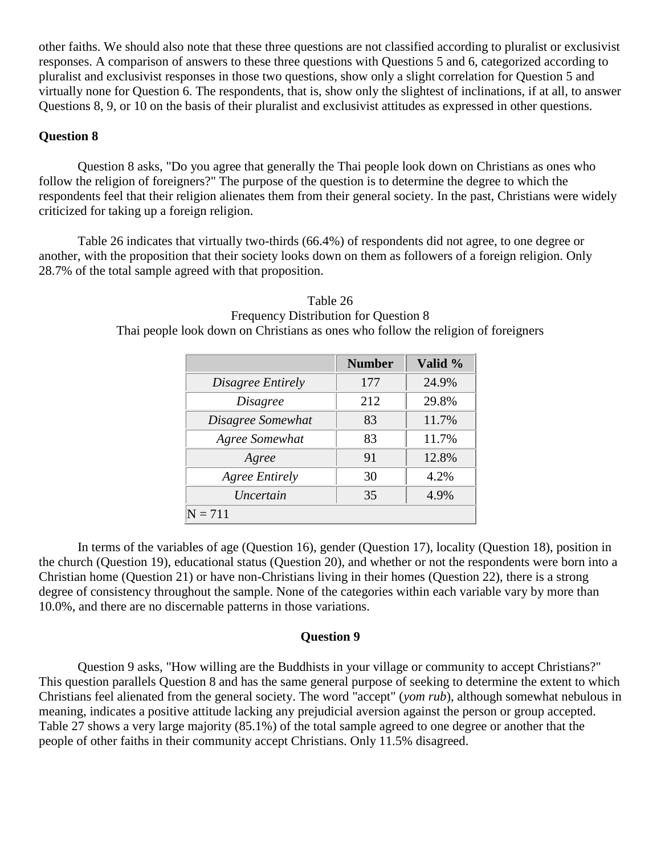other faiths. We should also note that these three questions are not classified according to pluralist or exclusivist responses. A comparison of answers to these three questions with Questions 5 and 6, categorized according to pluralist and exclusivist responses in those two questions, show only a slight correlation for Question 5 and virtually none for Question 6. The respondents, that is, show only the slightest of inclinations, if at all, to answer Questions 8, 9, or 10 on the basis of their pluralist and exclusivist attitudes as expressed in other questions.

## **Question 8**

Question 8 asks, "Do you agree that generally the Thai people look down on Christians as ones who follow the religion of foreigners?" The purpose of the question is to determine the degree to which the respondents feel that their religion alienates them from their general society. In the past, Christians were widely criticized for taking up a foreign religion.

Table 26 indicates that virtually two-thirds (66.4%) of respondents did not agree, to one degree or another, with the proposition that their society looks down on them as followers of a foreign religion. Only 28.7% of the total sample agreed with that proposition.

|                       | <b>Number</b> | Valid % |
|-----------------------|---------------|---------|
| Disagree Entirely     | 177           | 24.9%   |
| <i>Disagree</i>       | 212           | 29.8%   |
| Disagree Somewhat     | 83            | 11.7%   |
| Agree Somewhat        | 83            | 11.7%   |
| Agree                 | 91            | 12.8%   |
| <b>Agree Entirely</b> | 30            | 4.2%    |
| Uncertain             | 35            | 4.9%    |
|                       |               |         |

Table 26 Frequency Distribution for Question 8 Thai people look down on Christians as ones who follow the religion of foreigners

In terms of the variables of age (Question 16), gender (Question 17), locality (Question 18), position in the church (Question 19), educational status (Question 20), and whether or not the respondents were born into a Christian home (Question 21) or have non-Christians living in their homes (Question 22), there is a strong degree of consistency throughout the sample. None of the categories within each variable vary by more than 10.0%, and there are no discernable patterns in those variations.

#### **Question 9**

Question 9 asks, "How willing are the Buddhists in your village or community to accept Christians?" This question parallels Question 8 and has the same general purpose of seeking to determine the extent to which Christians feel alienated from the general society. The word "accept" (*yom rub*), although somewhat nebulous in meaning, indicates a positive attitude lacking any prejudicial aversion against the person or group accepted. Table 27 shows a very large majority (85.1%) of the total sample agreed to one degree or another that the people of other faiths in their community accept Christians. Only 11.5% disagreed.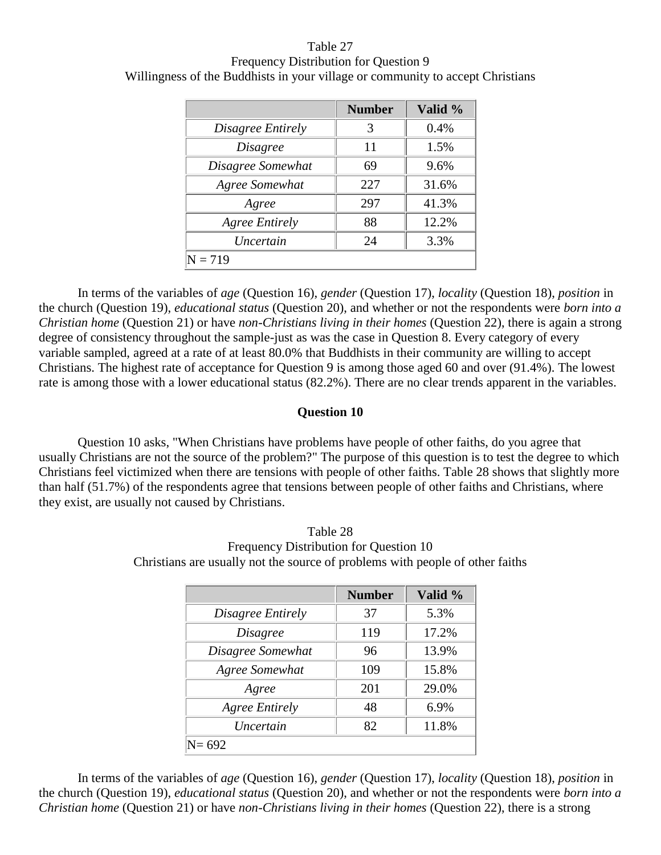Table 27 Frequency Distribution for Question 9 Willingness of the Buddhists in your village or community to accept Christians

|                       | <b>Number</b> | Valid % |
|-----------------------|---------------|---------|
| Disagree Entirely     | 3             | 0.4%    |
| <i>Disagree</i>       | 11            | 1.5%    |
| Disagree Somewhat     | 69            | 9.6%    |
| Agree Somewhat        | 227           | 31.6%   |
| Agree                 | 297           | 41.3%   |
| <b>Agree Entirely</b> | 88            | 12.2%   |
| Uncertain             | 24            | 3.3%    |
| $= 719$               |               |         |

In terms of the variables of *age* (Question 16), *gender* (Question 17), *locality* (Question 18), *position* in the church (Question 19), *educational status* (Question 20), and whether or not the respondents were *born into a Christian home* (Question 21) or have *non-Christians living in their homes* (Question 22), there is again a strong degree of consistency throughout the sample-just as was the case in Question 8. Every category of every variable sampled, agreed at a rate of at least 80.0% that Buddhists in their community are willing to accept Christians. The highest rate of acceptance for Question 9 is among those aged 60 and over (91.4%). The lowest rate is among those with a lower educational status (82.2%). There are no clear trends apparent in the variables.

#### **Question 10**

Question 10 asks, "When Christians have problems have people of other faiths, do you agree that usually Christians are not the source of the problem?" The purpose of this question is to test the degree to which Christians feel victimized when there are tensions with people of other faiths. Table 28 shows that slightly more than half (51.7%) of the respondents agree that tensions between people of other faiths and Christians, where they exist, are usually not caused by Christians.

|                       | <b>Number</b> | Valid % |
|-----------------------|---------------|---------|
| Disagree Entirely     | 37            | 5.3%    |
| Disagree              | 119           | 17.2%   |
| Disagree Somewhat     | 96            | 13.9%   |
| Agree Somewhat        | 109           | 15.8%   |
| Agree                 | 201           | 29.0%   |
| <b>Agree Entirely</b> | 48            | 6.9%    |
| <i>Uncertain</i>      | 82            | 11.8%   |
|                       |               |         |

Table 28 Frequency Distribution for Question 10 Christians are usually not the source of problems with people of other faiths

In terms of the variables of *age* (Question 16), *gender* (Question 17), *locality* (Question 18), *position* in the church (Question 19), *educational status* (Question 20), and whether or not the respondents were *born into a Christian home* (Question 21) or have *non-Christians living in their homes* (Question 22), there is a strong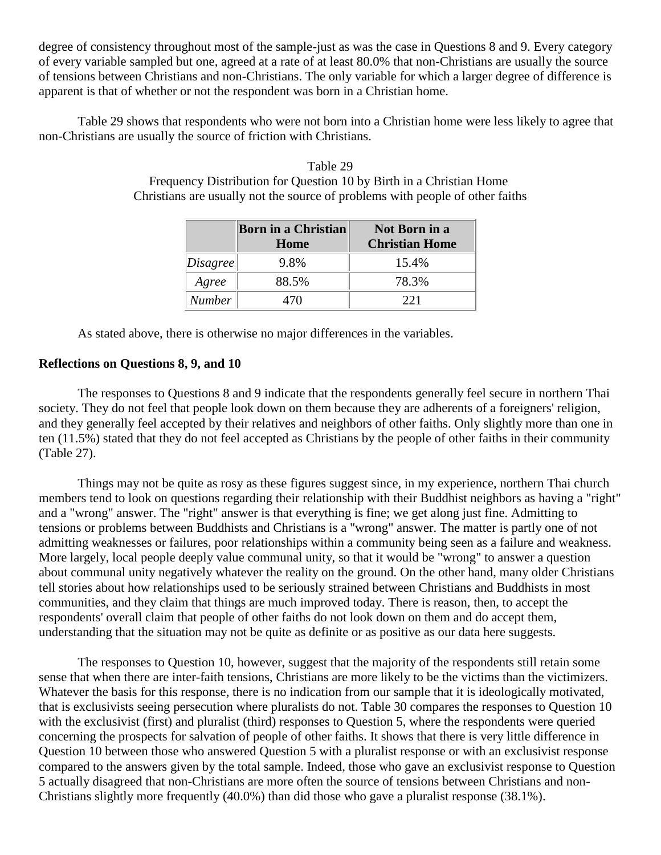degree of consistency throughout most of the sample-just as was the case in Questions 8 and 9. Every category of every variable sampled but one, agreed at a rate of at least 80.0% that non-Christians are usually the source of tensions between Christians and non-Christians. The only variable for which a larger degree of difference is apparent is that of whether or not the respondent was born in a Christian home.

Table 29 shows that respondents who were not born into a Christian home were less likely to agree that non-Christians are usually the source of friction with Christians.

|          | Born in a Christian<br>Home | <b>Not Born in a</b><br><b>Christian Home</b> |
|----------|-----------------------------|-----------------------------------------------|
| Disagree | 9.8%                        | 15.4%                                         |
| Agree    | 88.5%                       | 78.3%                                         |
| Number   | 470.                        | 221                                           |

Table 29 Frequency Distribution for Question 10 by Birth in a Christian Home Christians are usually not the source of problems with people of other faiths

As stated above, there is otherwise no major differences in the variables.

## **Reflections on Questions 8, 9, and 10**

The responses to Questions 8 and 9 indicate that the respondents generally feel secure in northern Thai society. They do not feel that people look down on them because they are adherents of a foreigners' religion, and they generally feel accepted by their relatives and neighbors of other faiths. Only slightly more than one in ten (11.5%) stated that they do not feel accepted as Christians by the people of other faiths in their community (Table 27).

Things may not be quite as rosy as these figures suggest since, in my experience, northern Thai church members tend to look on questions regarding their relationship with their Buddhist neighbors as having a "right" and a "wrong" answer. The "right" answer is that everything is fine; we get along just fine. Admitting to tensions or problems between Buddhists and Christians is a "wrong" answer. The matter is partly one of not admitting weaknesses or failures, poor relationships within a community being seen as a failure and weakness. More largely, local people deeply value communal unity, so that it would be "wrong" to answer a question about communal unity negatively whatever the reality on the ground. On the other hand, many older Christians tell stories about how relationships used to be seriously strained between Christians and Buddhists in most communities, and they claim that things are much improved today. There is reason, then, to accept the respondents' overall claim that people of other faiths do not look down on them and do accept them, understanding that the situation may not be quite as definite or as positive as our data here suggests.

The responses to Question 10, however, suggest that the majority of the respondents still retain some sense that when there are inter-faith tensions, Christians are more likely to be the victims than the victimizers. Whatever the basis for this response, there is no indication from our sample that it is ideologically motivated, that is exclusivists seeing persecution where pluralists do not. Table 30 compares the responses to Question 10 with the exclusivist (first) and pluralist (third) responses to Question 5, where the respondents were queried concerning the prospects for salvation of people of other faiths. It shows that there is very little difference in Question 10 between those who answered Question 5 with a pluralist response or with an exclusivist response compared to the answers given by the total sample. Indeed, those who gave an exclusivist response to Question 5 actually disagreed that non-Christians are more often the source of tensions between Christians and non-Christians slightly more frequently (40.0%) than did those who gave a pluralist response (38.1%).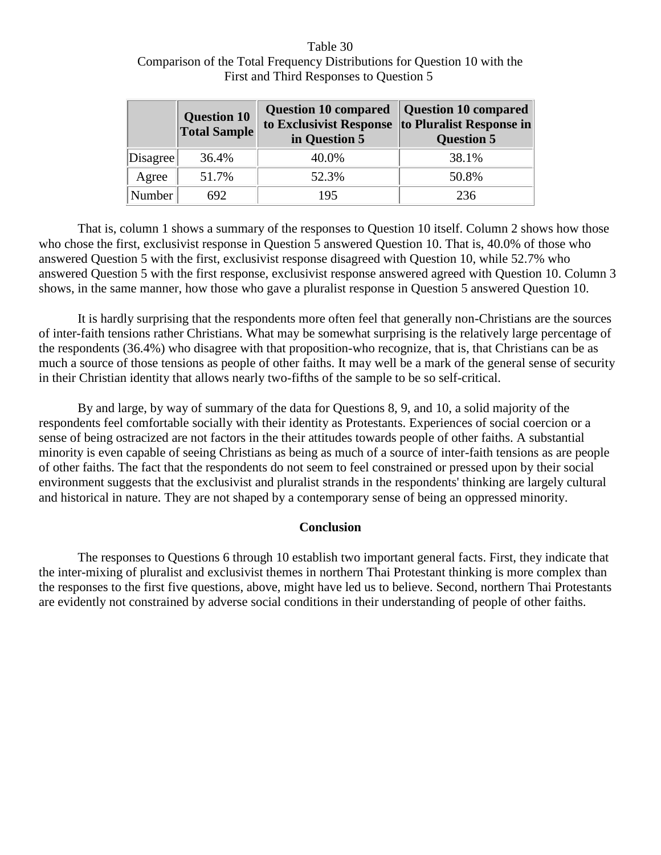| Table 30                                                                 |
|--------------------------------------------------------------------------|
| Comparison of the Total Frequency Distributions for Question 10 with the |
| First and Third Responses to Question 5                                  |

|          | <b>Question 10</b><br><b>Total Sample</b> | Question 10 compared   Question 10 compared<br>to Exclusivist Response to Pluralist Response in<br>in Question 5 | <b>Question 5</b> |
|----------|-------------------------------------------|------------------------------------------------------------------------------------------------------------------|-------------------|
| Disagree | 36.4%                                     | 40.0%                                                                                                            | 38.1%             |
| Agree    | 51.7%                                     | 52.3%                                                                                                            | 50.8%             |
| Number   | 692                                       | 195                                                                                                              | 236               |

That is, column 1 shows a summary of the responses to Question 10 itself. Column 2 shows how those who chose the first, exclusivist response in Question 5 answered Question 10. That is, 40.0% of those who answered Question 5 with the first, exclusivist response disagreed with Question 10, while 52.7% who answered Question 5 with the first response, exclusivist response answered agreed with Question 10. Column 3 shows, in the same manner, how those who gave a pluralist response in Question 5 answered Question 10.

It is hardly surprising that the respondents more often feel that generally non-Christians are the sources of inter-faith tensions rather Christians. What may be somewhat surprising is the relatively large percentage of the respondents (36.4%) who disagree with that proposition-who recognize, that is, that Christians can be as much a source of those tensions as people of other faiths. It may well be a mark of the general sense of security in their Christian identity that allows nearly two-fifths of the sample to be so self-critical.

By and large, by way of summary of the data for Questions 8, 9, and 10, a solid majority of the respondents feel comfortable socially with their identity as Protestants. Experiences of social coercion or a sense of being ostracized are not factors in the their attitudes towards people of other faiths. A substantial minority is even capable of seeing Christians as being as much of a source of inter-faith tensions as are people of other faiths. The fact that the respondents do not seem to feel constrained or pressed upon by their social environment suggests that the exclusivist and pluralist strands in the respondents' thinking are largely cultural and historical in nature. They are not shaped by a contemporary sense of being an oppressed minority.

#### **Conclusion**

The responses to Questions 6 through 10 establish two important general facts. First, they indicate that the inter-mixing of pluralist and exclusivist themes in northern Thai Protestant thinking is more complex than the responses to the first five questions, above, might have led us to believe. Second, northern Thai Protestants are evidently not constrained by adverse social conditions in their understanding of people of other faiths.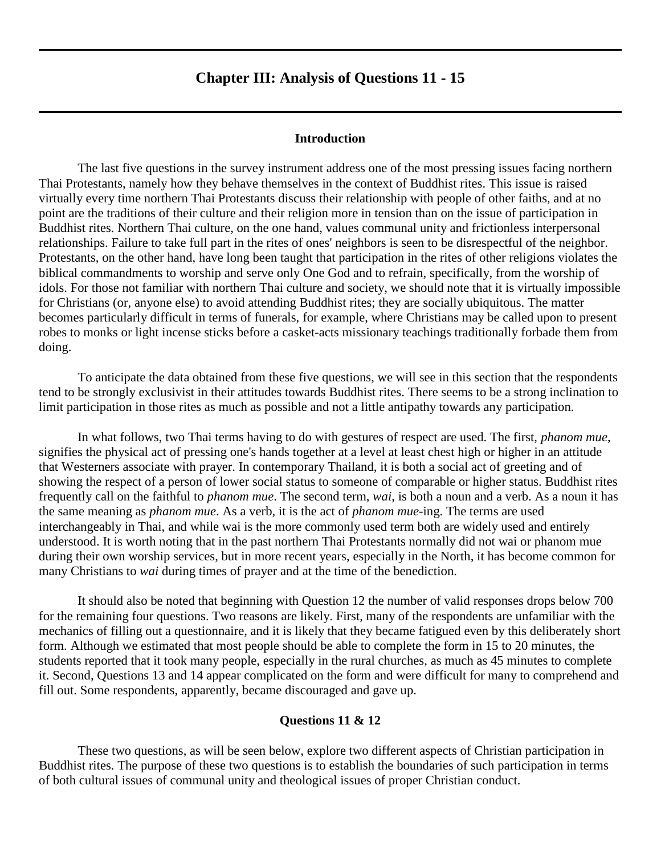## **Chapter III: Analysis of Questions 11 - 15**

#### **Introduction**

<span id="page-30-0"></span>The last five questions in the survey instrument address one of the most pressing issues facing northern Thai Protestants, namely how they behave themselves in the context of Buddhist rites. This issue is raised virtually every time northern Thai Protestants discuss their relationship with people of other faiths, and at no point are the traditions of their culture and their religion more in tension than on the issue of participation in Buddhist rites. Northern Thai culture, on the one hand, values communal unity and frictionless interpersonal relationships. Failure to take full part in the rites of ones' neighbors is seen to be disrespectful of the neighbor. Protestants, on the other hand, have long been taught that participation in the rites of other religions violates the biblical commandments to worship and serve only One God and to refrain, specifically, from the worship of idols. For those not familiar with northern Thai culture and society, we should note that it is virtually impossible for Christians (or, anyone else) to avoid attending Buddhist rites; they are socially ubiquitous. The matter becomes particularly difficult in terms of funerals, for example, where Christians may be called upon to present robes to monks or light incense sticks before a casket-acts missionary teachings traditionally forbade them from doing.

To anticipate the data obtained from these five questions, we will see in this section that the respondents tend to be strongly exclusivist in their attitudes towards Buddhist rites. There seems to be a strong inclination to limit participation in those rites as much as possible and not a little antipathy towards any participation.

In what follows, two Thai terms having to do with gestures of respect are used. The first, *phanom mue*, signifies the physical act of pressing one's hands together at a level at least chest high or higher in an attitude that Westerners associate with prayer. In contemporary Thailand, it is both a social act of greeting and of showing the respect of a person of lower social status to someone of comparable or higher status. Buddhist rites frequently call on the faithful to *phanom mue*. The second term, *wai*, is both a noun and a verb. As a noun it has the same meaning as *phanom mue*. As a verb, it is the act of *phanom mue*-ing. The terms are used interchangeably in Thai, and while wai is the more commonly used term both are widely used and entirely understood. It is worth noting that in the past northern Thai Protestants normally did not wai or phanom mue during their own worship services, but in more recent years, especially in the North, it has become common for many Christians to *wai* during times of prayer and at the time of the benediction.

It should also be noted that beginning with Question 12 the number of valid responses drops below 700 for the remaining four questions. Two reasons are likely. First, many of the respondents are unfamiliar with the mechanics of filling out a questionnaire, and it is likely that they became fatigued even by this deliberately short form. Although we estimated that most people should be able to complete the form in 15 to 20 minutes, the students reported that it took many people, especially in the rural churches, as much as 45 minutes to complete it. Second, Questions 13 and 14 appear complicated on the form and were difficult for many to comprehend and fill out. Some respondents, apparently, became discouraged and gave up.

#### **Questions 11 & 12**

These two questions, as will be seen below, explore two different aspects of Christian participation in Buddhist rites. The purpose of these two questions is to establish the boundaries of such participation in terms of both cultural issues of communal unity and theological issues of proper Christian conduct.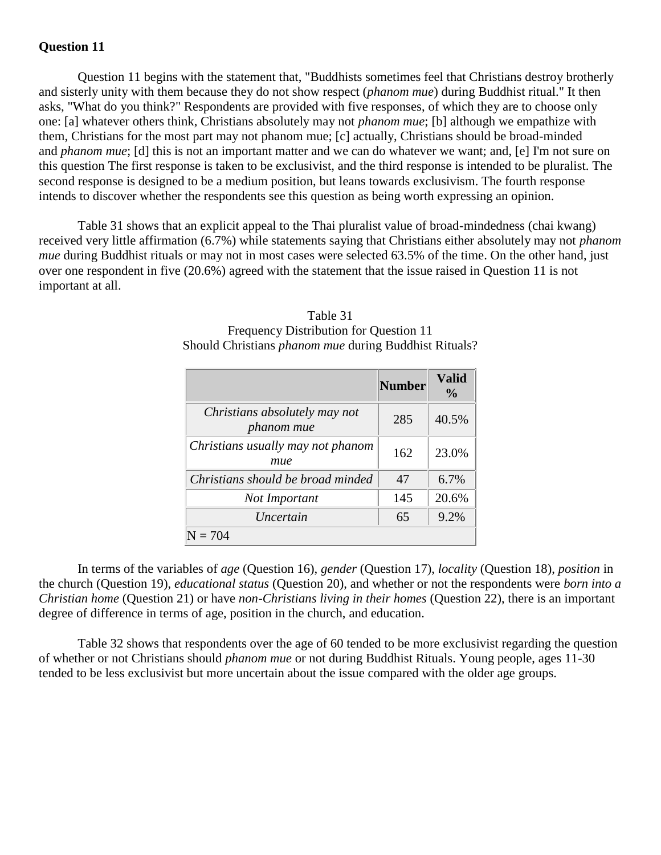## **Question 11**

Question 11 begins with the statement that, "Buddhists sometimes feel that Christians destroy brotherly and sisterly unity with them because they do not show respect (*phanom mue*) during Buddhist ritual." It then asks, "What do you think?" Respondents are provided with five responses, of which they are to choose only one: [a] whatever others think, Christians absolutely may not *phanom mue*; [b] although we empathize with them, Christians for the most part may not phanom mue; [c] actually, Christians should be broad-minded and *phanom mue*; [d] this is not an important matter and we can do whatever we want; and, [e] I'm not sure on this question The first response is taken to be exclusivist, and the third response is intended to be pluralist. The second response is designed to be a medium position, but leans towards exclusivism. The fourth response intends to discover whether the respondents see this question as being worth expressing an opinion.

Table 31 shows that an explicit appeal to the Thai pluralist value of broad-mindedness (chai kwang) received very little affirmation (6.7%) while statements saying that Christians either absolutely may not *phanom mue* during Buddhist rituals or may not in most cases were selected 63.5% of the time. On the other hand, just over one respondent in five (20.6%) agreed with the statement that the issue raised in Question 11 is not important at all.

|                                                    | <b>Number</b> | Valid<br>$\frac{0}{0}$ |
|----------------------------------------------------|---------------|------------------------|
| Christians absolutely may not<br><i>phanom mue</i> | 285           | 40.5%                  |
| Christians usually may not phanom<br>mue           | 162           | 23.0%                  |
| Christians should be broad minded                  | 47            | 6.7%                   |
| Not Important                                      | 145           | 20.6%                  |
| Uncertain                                          | 65            | 9.2%                   |
|                                                    |               |                        |

## Table 31 Frequency Distribution for Question 11 Should Christians *phanom mue* during Buddhist Rituals?

In terms of the variables of *age* (Question 16), *gender* (Question 17), *locality* (Question 18), *position* in the church (Question 19), *educational status* (Question 20), and whether or not the respondents were *born into a Christian home* (Question 21) or have *non-Christians living in their homes* (Question 22), there is an important degree of difference in terms of age, position in the church, and education.

Table 32 shows that respondents over the age of 60 tended to be more exclusivist regarding the question of whether or not Christians should *phanom mue* or not during Buddhist Rituals. Young people, ages 11-30 tended to be less exclusivist but more uncertain about the issue compared with the older age groups.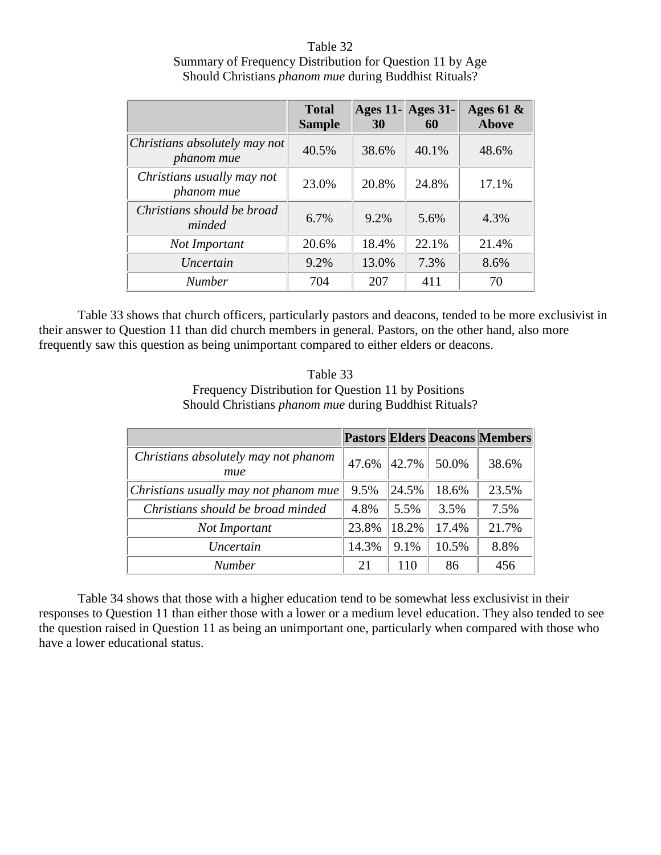Table 32 Summary of Frequency Distribution for Question 11 by Age Should Christians *phanom mue* during Buddhist Rituals?

|                                             | <b>Total</b><br><b>Sample</b> | $ {\rm Ages} 11 -  {\rm Ages} 31 -$<br>30 | 60    | Ages 61 $\&$<br>Above |
|---------------------------------------------|-------------------------------|-------------------------------------------|-------|-----------------------|
| Christians absolutely may not<br>phanom mue | 40.5%                         | 38.6%                                     | 40.1% | 48.6%                 |
| Christians usually may not<br>phanom mue    | 23.0%                         | 20.8%                                     | 24.8% | 17.1%                 |
| Christians should be broad<br>minded        | 6.7%                          | 9.2%                                      | 5.6%  | 4.3%                  |
| Not Important                               | 20.6%                         | 18.4%                                     | 22.1% | 21.4%                 |
| Uncertain                                   | 9.2%                          | 13.0%                                     | 7.3%  | 8.6%                  |
| <b>Number</b>                               | 704                           | 207                                       | 411   | 70                    |

Table 33 shows that church officers, particularly pastors and deacons, tended to be more exclusivist in their answer to Question 11 than did church members in general. Pastors, on the other hand, also more frequently saw this question as being unimportant compared to either elders or deacons.

| Table 33                                                     |
|--------------------------------------------------------------|
| Frequency Distribution for Question 11 by Positions          |
| Should Christians <i>phanom mue</i> during Buddhist Rituals? |

|                                             |       |       |       | <b>Pastors Elders Deacons Members</b> |
|---------------------------------------------|-------|-------|-------|---------------------------------------|
| Christians absolutely may not phanom<br>mue | 47.6% | 42.7% | 50.0% | 38.6%                                 |
| Christians usually may not phanom mue       | 9.5%  | 24.5% | 18.6% | 23.5%                                 |
| Christians should be broad minded           | 4.8%  | 5.5%  | 3.5%  | 7.5%                                  |
| Not Important                               | 23.8% | 18.2% | 17.4% | 21.7%                                 |
| Uncertain                                   | 14.3% | 9.1%  | 10.5% | 8.8%                                  |
| <b>Number</b>                               | 21    | 110   | 86    | 456                                   |

Table 34 shows that those with a higher education tend to be somewhat less exclusivist in their responses to Question 11 than either those with a lower or a medium level education. They also tended to see the question raised in Question 11 as being an unimportant one, particularly when compared with those who have a lower educational status.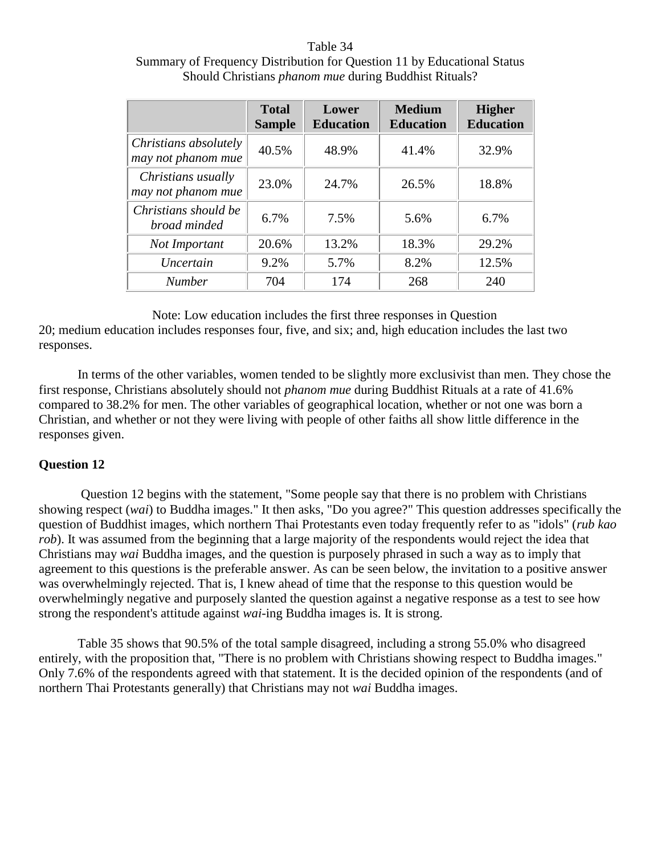## Table 34 Summary of Frequency Distribution for Question 11 by Educational Status Should Christians *phanom mue* during Buddhist Rituals?

|                                             | <b>Total</b><br><b>Sample</b> | Lower<br><b>Education</b> | <b>Medium</b><br><b>Education</b> | <b>Higher</b><br><b>Education</b> |
|---------------------------------------------|-------------------------------|---------------------------|-----------------------------------|-----------------------------------|
| Christians absolutely<br>may not phanom mue | 40.5%                         | 48.9%                     | 41.4%                             | 32.9%                             |
| Christians usually<br>may not phanom mue    | 23.0%                         | 24.7%                     | 26.5%                             | 18.8%                             |
| Christians should be<br>broad minded        | 6.7%                          | 7.5%                      | 5.6%                              | $6.7\%$                           |
| Not Important                               | 20.6%                         | 13.2%                     | 18.3%                             | 29.2%                             |
| Uncertain                                   | 9.2%                          | 5.7%                      | 8.2%                              | 12.5%                             |
| <b>Number</b>                               | 704                           | 174                       | 268                               | 240                               |

Note: Low education includes the first three responses in Question

20; medium education includes responses four, five, and six; and, high education includes the last two responses.

In terms of the other variables, women tended to be slightly more exclusivist than men. They chose the first response, Christians absolutely should not *phanom mue* during Buddhist Rituals at a rate of 41.6% compared to 38.2% for men. The other variables of geographical location, whether or not one was born a Christian, and whether or not they were living with people of other faiths all show little difference in the responses given.

## **Question 12**

Question 12 begins with the statement, "Some people say that there is no problem with Christians showing respect (*wai*) to Buddha images." It then asks, "Do you agree?" This question addresses specifically the question of Buddhist images, which northern Thai Protestants even today frequently refer to as "idols" (*rub kao rob*). It was assumed from the beginning that a large majority of the respondents would reject the idea that Christians may *wai* Buddha images, and the question is purposely phrased in such a way as to imply that agreement to this questions is the preferable answer. As can be seen below, the invitation to a positive answer was overwhelmingly rejected. That is, I knew ahead of time that the response to this question would be overwhelmingly negative and purposely slanted the question against a negative response as a test to see how strong the respondent's attitude against *wai*-ing Buddha images is. It is strong.

Table 35 shows that 90.5% of the total sample disagreed, including a strong 55.0% who disagreed entirely, with the proposition that, "There is no problem with Christians showing respect to Buddha images." Only 7.6% of the respondents agreed with that statement. It is the decided opinion of the respondents (and of northern Thai Protestants generally) that Christians may not *wai* Buddha images.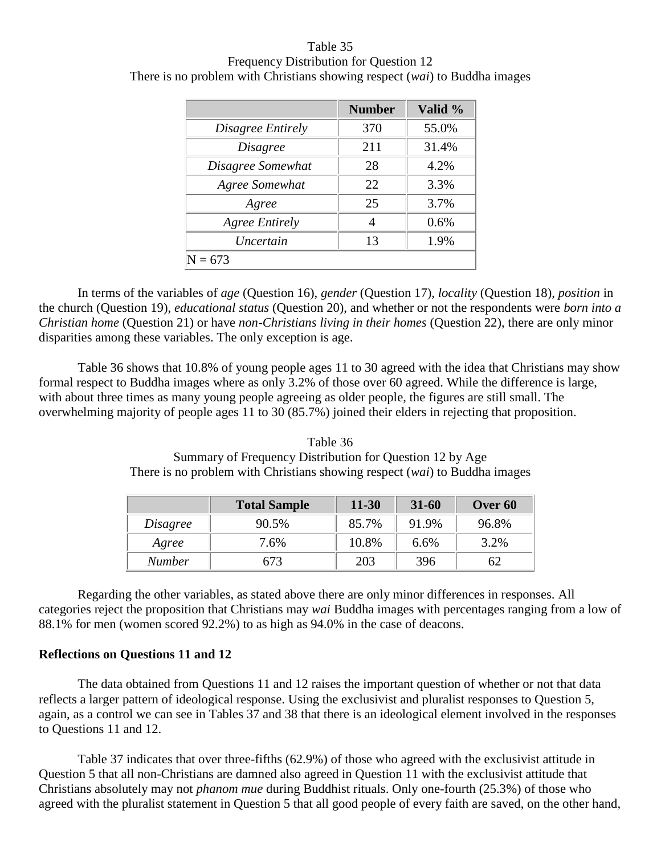Table 35 Frequency Distribution for Question 12 There is no problem with Christians showing respect (*wai*) to Buddha images

|                       | <b>Number</b> | Valid % |  |  |
|-----------------------|---------------|---------|--|--|
| Disagree Entirely     | 370           | 55.0%   |  |  |
| <i>Disagree</i>       | 211           | 31.4%   |  |  |
| Disagree Somewhat     | 28            | 4.2%    |  |  |
| Agree Somewhat        | 22            | 3.3%    |  |  |
| Agree                 | 25            | 3.7%    |  |  |
| <b>Agree Entirely</b> | 4             | 0.6%    |  |  |
| Uncertain             | 13            | 1.9%    |  |  |
| 73                    |               |         |  |  |

In terms of the variables of *age* (Question 16), *gender* (Question 17), *locality* (Question 18), *position* in the church (Question 19), *educational status* (Question 20), and whether or not the respondents were *born into a Christian home* (Question 21) or have *non-Christians living in their homes* (Question 22), there are only minor disparities among these variables. The only exception is age.

Table 36 shows that 10.8% of young people ages 11 to 30 agreed with the idea that Christians may show formal respect to Buddha images where as only 3.2% of those over 60 agreed. While the difference is large, with about three times as many young people agreeing as older people, the figures are still small. The overwhelming majority of people ages 11 to 30 (85.7%) joined their elders in rejecting that proposition.

Table 36 Summary of Frequency Distribution for Question 12 by Age There is no problem with Christians showing respect (*wai*) to Buddha images

|               | <b>Total Sample</b> | $11 - 30$ | $31 - 60$ | Over 60 |
|---------------|---------------------|-----------|-----------|---------|
| Disagree      | 90.5%               | 85.7%     | 91.9%     | 96.8%   |
| Agree         | 7.6%                | 10.8%     | 6.6%      | 3.2%    |
| <b>Number</b> | 673                 | 203       | 396       | 62      |

Regarding the other variables, as stated above there are only minor differences in responses. All categories reject the proposition that Christians may *wai* Buddha images with percentages ranging from a low of 88.1% for men (women scored 92.2%) to as high as 94.0% in the case of deacons.

#### **Reflections on Questions 11 and 12**

The data obtained from Questions 11 and 12 raises the important question of whether or not that data reflects a larger pattern of ideological response. Using the exclusivist and pluralist responses to Question 5, again, as a control we can see in Tables 37 and 38 that there is an ideological element involved in the responses to Questions 11 and 12.

Table 37 indicates that over three-fifths (62.9%) of those who agreed with the exclusivist attitude in Question 5 that all non-Christians are damned also agreed in Question 11 with the exclusivist attitude that Christians absolutely may not *phanom mue* during Buddhist rituals. Only one-fourth (25.3%) of those who agreed with the pluralist statement in Question 5 that all good people of every faith are saved, on the other hand,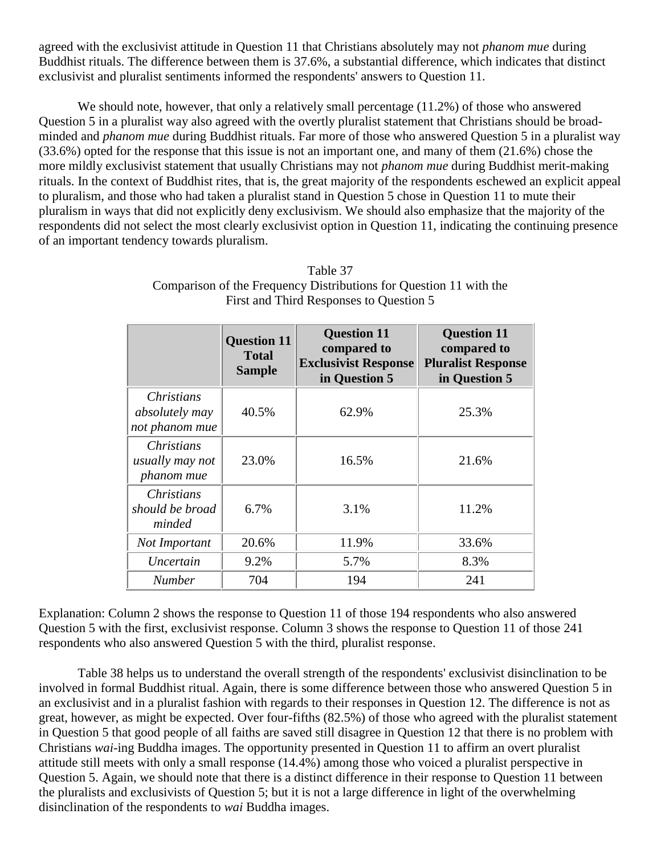agreed with the exclusivist attitude in Question 11 that Christians absolutely may not *phanom mue* during Buddhist rituals. The difference between them is 37.6%, a substantial difference, which indicates that distinct exclusivist and pluralist sentiments informed the respondents' answers to Question 11.

We should note, however, that only a relatively small percentage  $(11.2%)$  of those who answered Question 5 in a pluralist way also agreed with the overtly pluralist statement that Christians should be broadminded and *phanom mue* during Buddhist rituals. Far more of those who answered Question 5 in a pluralist way (33.6%) opted for the response that this issue is not an important one, and many of them (21.6%) chose the more mildly exclusivist statement that usually Christians may not *phanom mue* during Buddhist merit-making rituals. In the context of Buddhist rites, that is, the great majority of the respondents eschewed an explicit appeal to pluralism, and those who had taken a pluralist stand in Question 5 chose in Question 11 to mute their pluralism in ways that did not explicitly deny exclusivism. We should also emphasize that the majority of the respondents did not select the most clearly exclusivist option in Question 11, indicating the continuing presence of an important tendency towards pluralism.

| Table 37                                                           |
|--------------------------------------------------------------------|
| Comparison of the Frequency Distributions for Question 11 with the |
| First and Third Responses to Question 5                            |

|                                                    | <b>Question 11</b><br><b>Total</b><br><b>Sample</b> | <b>Question 11</b><br>compared to<br><b>Exclusivist Response</b><br>in Question 5 | <b>Question 11</b><br>compared to<br><b>Pluralist Response</b><br>in Question 5 |
|----------------------------------------------------|-----------------------------------------------------|-----------------------------------------------------------------------------------|---------------------------------------------------------------------------------|
| Christians<br>absolutely may<br>not phanom mue     | 40.5%                                               | 62.9%                                                                             | 25.3%                                                                           |
| <i>Christians</i><br>usually may not<br>phanom mue | 23.0%                                               | 16.5%                                                                             | 21.6%                                                                           |
| <i>Christians</i><br>should be broad<br>minded     | 6.7%                                                | 3.1%                                                                              | 11.2%                                                                           |
| Not Important                                      | 20.6%                                               | 11.9%                                                                             | 33.6%                                                                           |
| Uncertain                                          | 9.2%                                                | 5.7%                                                                              | 8.3%                                                                            |
| <b>Number</b>                                      | 704                                                 | 194                                                                               | 241                                                                             |

Explanation: Column 2 shows the response to Question 11 of those 194 respondents who also answered Question 5 with the first, exclusivist response. Column 3 shows the response to Question 11 of those 241 respondents who also answered Question 5 with the third, pluralist response.

Table 38 helps us to understand the overall strength of the respondents' exclusivist disinclination to be involved in formal Buddhist ritual. Again, there is some difference between those who answered Question 5 in an exclusivist and in a pluralist fashion with regards to their responses in Question 12. The difference is not as great, however, as might be expected. Over four-fifths (82.5%) of those who agreed with the pluralist statement in Question 5 that good people of all faiths are saved still disagree in Question 12 that there is no problem with Christians *wai*-ing Buddha images. The opportunity presented in Question 11 to affirm an overt pluralist attitude still meets with only a small response (14.4%) among those who voiced a pluralist perspective in Question 5. Again, we should note that there is a distinct difference in their response to Question 11 between the pluralists and exclusivists of Question 5; but it is not a large difference in light of the overwhelming disinclination of the respondents to *wai* Buddha images.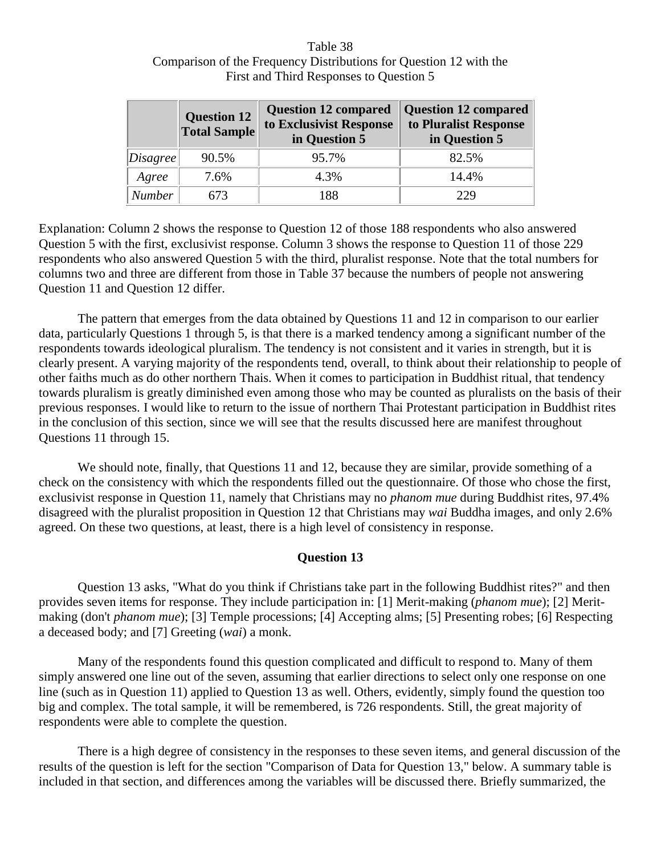# Table 38 Comparison of the Frequency Distributions for Question 12 with the First and Third Responses to Question 5

|               | <b>Question 12</b><br><b>Total Sample</b> | <b>Question 12 compared</b><br>to Exclusivist Response<br>in Question 5 | <b>Question 12 compared</b><br>to Pluralist Response<br>in Question 5 |
|---------------|-------------------------------------------|-------------------------------------------------------------------------|-----------------------------------------------------------------------|
| Disagree      | 90.5%                                     | 95.7%                                                                   | 82.5%                                                                 |
| Agree         | 7.6%                                      | 4.3%                                                                    | 14.4%                                                                 |
| <b>Number</b> | 673                                       | 188                                                                     | 229                                                                   |

Explanation: Column 2 shows the response to Question 12 of those 188 respondents who also answered Question 5 with the first, exclusivist response. Column 3 shows the response to Question 11 of those 229 respondents who also answered Question 5 with the third, pluralist response. Note that the total numbers for columns two and three are different from those in Table 37 because the numbers of people not answering Question 11 and Question 12 differ.

The pattern that emerges from the data obtained by Questions 11 and 12 in comparison to our earlier data, particularly Questions 1 through 5, is that there is a marked tendency among a significant number of the respondents towards ideological pluralism. The tendency is not consistent and it varies in strength, but it is clearly present. A varying majority of the respondents tend, overall, to think about their relationship to people of other faiths much as do other northern Thais. When it comes to participation in Buddhist ritual, that tendency towards pluralism is greatly diminished even among those who may be counted as pluralists on the basis of their previous responses. I would like to return to the issue of northern Thai Protestant participation in Buddhist rites in the conclusion of this section, since we will see that the results discussed here are manifest throughout Questions 11 through 15.

We should note, finally, that Questions 11 and 12, because they are similar, provide something of a check on the consistency with which the respondents filled out the questionnaire. Of those who chose the first, exclusivist response in Question 11, namely that Christians may no *phanom mue* during Buddhist rites, 97.4% disagreed with the pluralist proposition in Question 12 that Christians may *wai* Buddha images, and only 2.6% agreed. On these two questions, at least, there is a high level of consistency in response.

# **Question 13**

Question 13 asks, "What do you think if Christians take part in the following Buddhist rites?" and then provides seven items for response. They include participation in: [1] Merit-making (*phanom mue*); [2] Meritmaking (don't *phanom mue*); [3] Temple processions; [4] Accepting alms; [5] Presenting robes; [6] Respecting a deceased body; and [7] Greeting (*wai*) a monk.

Many of the respondents found this question complicated and difficult to respond to. Many of them simply answered one line out of the seven, assuming that earlier directions to select only one response on one line (such as in Question 11) applied to Question 13 as well. Others, evidently, simply found the question too big and complex. The total sample, it will be remembered, is 726 respondents. Still, the great majority of respondents were able to complete the question.

There is a high degree of consistency in the responses to these seven items, and general discussion of the results of the question is left for the section "Comparison of Data for Question 13," below. A summary table is included in that section, and differences among the variables will be discussed there. Briefly summarized, the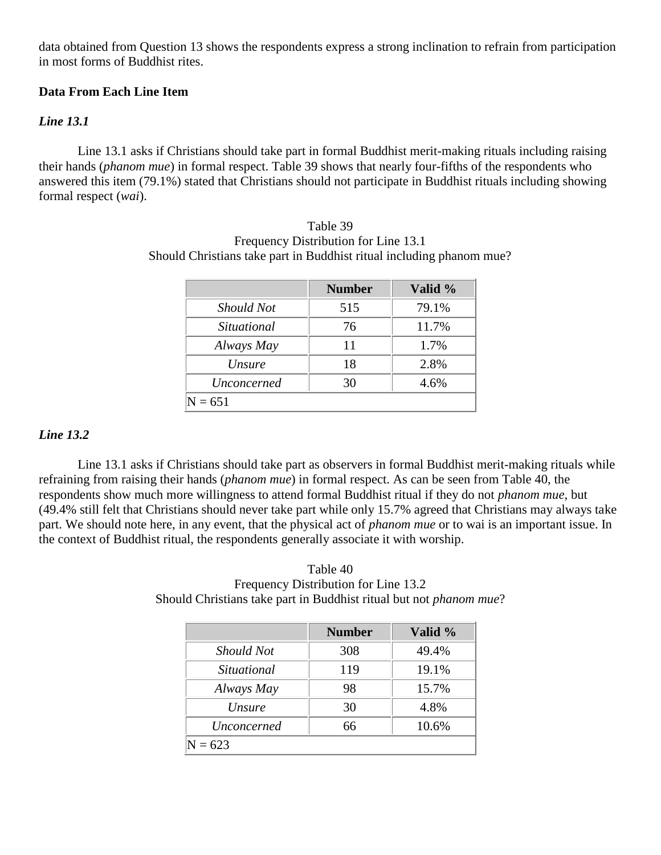data obtained from Question 13 shows the respondents express a strong inclination to refrain from participation in most forms of Buddhist rites.

# **Data From Each Line Item**

# *Line 13.1*

Line 13.1 asks if Christians should take part in formal Buddhist merit-making rituals including raising their hands (*phanom mue*) in formal respect. Table 39 shows that nearly four-fifths of the respondents who answered this item (79.1%) stated that Christians should not participate in Buddhist rituals including showing formal respect (*wai*).

|               | <b>Number</b> | Valid % |  |
|---------------|---------------|---------|--|
| Should Not    | 515           | 79.1%   |  |
| Situational   | 76            | 11.7%   |  |
| Always May    | 11            | 1.7%    |  |
| <i>Unsure</i> | 18            | 2.8%    |  |
| Unconcerned   | 30            | 4.6%    |  |
| $N = 651$     |               |         |  |

Table 39 Frequency Distribution for Line 13.1 Should Christians take part in Buddhist ritual including phanom mue?

# *Line 13.2*

Line 13.1 asks if Christians should take part as observers in formal Buddhist merit-making rituals while refraining from raising their hands (*phanom mue*) in formal respect. As can be seen from Table 40, the respondents show much more willingness to attend formal Buddhist ritual if they do not *phanom mue*, but (49.4% still felt that Christians should never take part while only 15.7% agreed that Christians may always take part. We should note here, in any event, that the physical act of *phanom mue* or to wai is an important issue. In the context of Buddhist ritual, the respondents generally associate it with worship.

| Table 40                                                                   |
|----------------------------------------------------------------------------|
| Frequency Distribution for Line 13.2                                       |
| Should Christians take part in Buddhist ritual but not <i>phanom mue</i> ? |

|                    | <b>Number</b> | Valid % |  |  |
|--------------------|---------------|---------|--|--|
| Should Not         | 308           | 49.4%   |  |  |
| Situational        | 119           | 19.1%   |  |  |
| Always May         | 98            | 15.7%   |  |  |
| <i>Unsure</i>      | 30            | 4.8%    |  |  |
| <i>Unconcerned</i> | 66            | 10.6%   |  |  |
| $N = 623$          |               |         |  |  |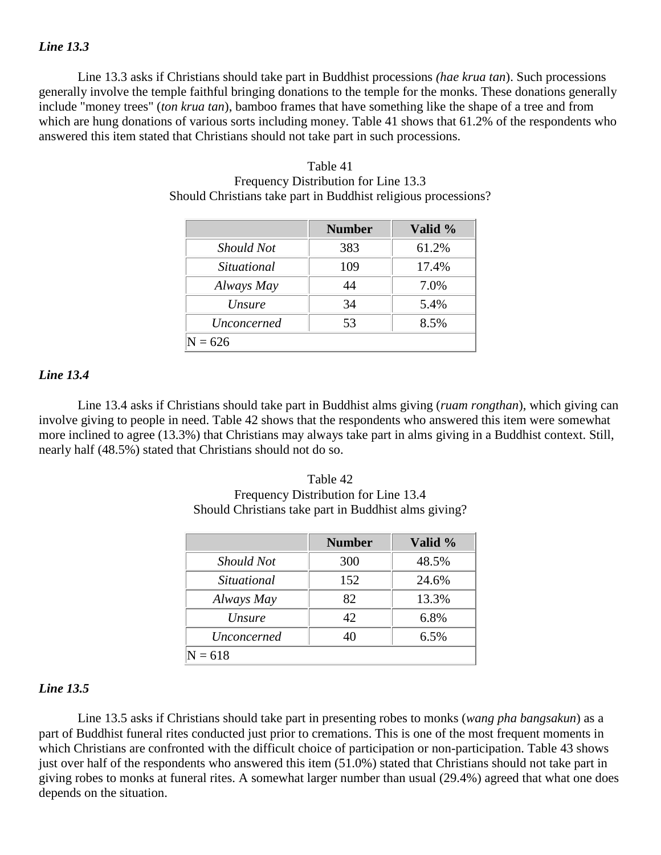#### *Line 13.3*

Line 13.3 asks if Christians should take part in Buddhist processions *(hae krua tan*). Such processions generally involve the temple faithful bringing donations to the temple for the monks. These donations generally include "money trees" (*ton krua tan*), bamboo frames that have something like the shape of a tree and from which are hung donations of various sorts including money. Table 41 shows that 61.2% of the respondents who answered this item stated that Christians should not take part in such processions.

|                    | <b>Number</b> | Valid % |  |
|--------------------|---------------|---------|--|
| Should Not         | 383           | 61.2%   |  |
| Situational        | 109           | 17.4%   |  |
| Always May         | 44            | 7.0%    |  |
| <i>Unsure</i>      | 34            | 5.4%    |  |
| <i>Unconcerned</i> | 53            | 8.5%    |  |
| $= 626$            |               |         |  |

| Table 41                                                       |
|----------------------------------------------------------------|
| Frequency Distribution for Line 13.3                           |
| Should Christians take part in Buddhist religious processions? |

#### *Line 13.4*

Line 13.4 asks if Christians should take part in Buddhist alms giving (*ruam rongthan*), which giving can involve giving to people in need. Table 42 shows that the respondents who answered this item were somewhat more inclined to agree (13.3%) that Christians may always take part in alms giving in a Buddhist context. Still, nearly half (48.5%) stated that Christians should not do so.

| Table 42                                             |  |
|------------------------------------------------------|--|
| Frequency Distribution for Line 13.4                 |  |
| Should Christians take part in Buddhist alms giving? |  |

|             | <b>Number</b> | Valid % |  |  |
|-------------|---------------|---------|--|--|
| Should Not  | 300           | 48.5%   |  |  |
| Situational | 152           | 24.6%   |  |  |
| Always May  | 82            | 13.3%   |  |  |
| Unsure      | 42            | 6.8%    |  |  |
| Unconcerned | 40            | 6.5%    |  |  |
| $N = 618$   |               |         |  |  |

#### *Line 13.5*

Line 13.5 asks if Christians should take part in presenting robes to monks (*wang pha bangsakun*) as a part of Buddhist funeral rites conducted just prior to cremations. This is one of the most frequent moments in which Christians are confronted with the difficult choice of participation or non-participation. Table 43 shows just over half of the respondents who answered this item (51.0%) stated that Christians should not take part in giving robes to monks at funeral rites. A somewhat larger number than usual (29.4%) agreed that what one does depends on the situation.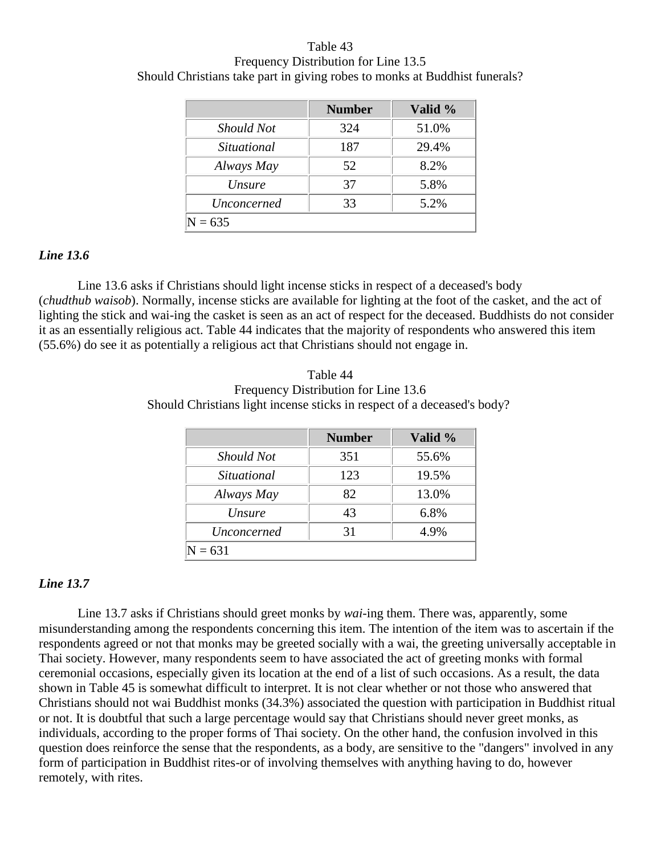# Table 43 Frequency Distribution for Line 13.5 Should Christians take part in giving robes to monks at Buddhist funerals?

|                    | <b>Number</b> | Valid % |  |
|--------------------|---------------|---------|--|
| Should Not         | 324           | 51.0%   |  |
| Situational        | 187           | 29.4%   |  |
| Always May         | 52            | 8.2%    |  |
| <i>Unsure</i>      | 37            | 5.8%    |  |
| <i>Unconcerned</i> | 33            | 5.2%    |  |
| $N = 635$          |               |         |  |

# *Line 13.6*

Line 13.6 asks if Christians should light incense sticks in respect of a deceased's body (*chudthub waisob*). Normally, incense sticks are available for lighting at the foot of the casket, and the act of lighting the stick and wai-ing the casket is seen as an act of respect for the deceased. Buddhists do not consider it as an essentially religious act. Table 44 indicates that the majority of respondents who answered this item (55.6%) do see it as potentially a religious act that Christians should not engage in.

Table 44 Frequency Distribution for Line 13.6 Should Christians light incense sticks in respect of a deceased's body?

|               | <b>Number</b> | Valid % |  |  |
|---------------|---------------|---------|--|--|
| Should Not    | 351           | 55.6%   |  |  |
| Situational   | 123           | 19.5%   |  |  |
| Always May    | 82            | 13.0%   |  |  |
| <i>Unsure</i> | 43            | 6.8%    |  |  |
| Unconcerned   | 31            | 4.9%    |  |  |
| $N = 631$     |               |         |  |  |

#### *Line 13.7*

Line 13.7 asks if Christians should greet monks by *wai*-ing them. There was, apparently, some misunderstanding among the respondents concerning this item. The intention of the item was to ascertain if the respondents agreed or not that monks may be greeted socially with a wai, the greeting universally acceptable in Thai society. However, many respondents seem to have associated the act of greeting monks with formal ceremonial occasions, especially given its location at the end of a list of such occasions. As a result, the data shown in Table 45 is somewhat difficult to interpret. It is not clear whether or not those who answered that Christians should not wai Buddhist monks (34.3%) associated the question with participation in Buddhist ritual or not. It is doubtful that such a large percentage would say that Christians should never greet monks, as individuals, according to the proper forms of Thai society. On the other hand, the confusion involved in this question does reinforce the sense that the respondents, as a body, are sensitive to the "dangers" involved in any form of participation in Buddhist rites-or of involving themselves with anything having to do, however remotely, with rites.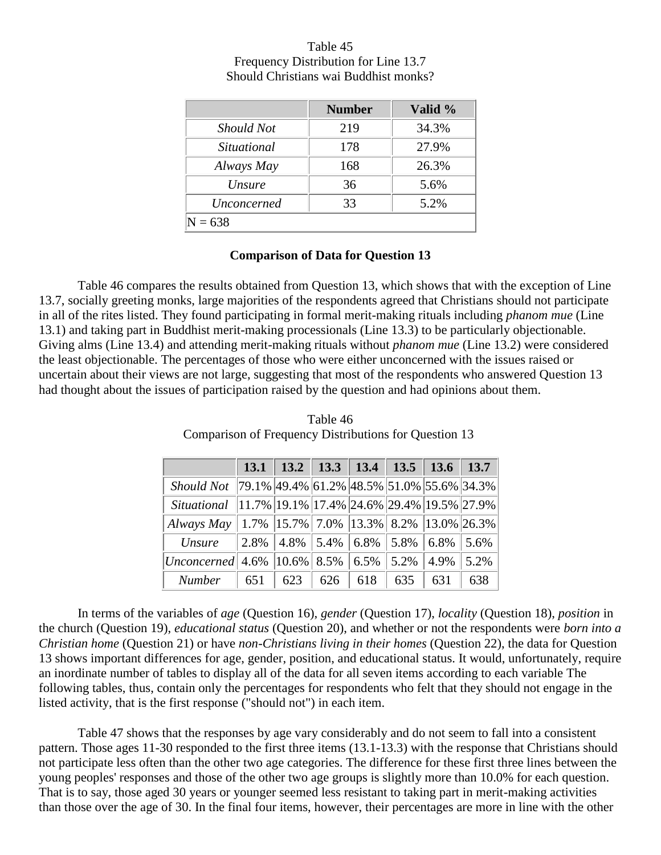|                    | <b>Number</b> | Valid % |  |  |  |
|--------------------|---------------|---------|--|--|--|
| Should Not         | 219           | 34.3%   |  |  |  |
| Situational        | 178           | 27.9%   |  |  |  |
| Always May         | 168           | 26.3%   |  |  |  |
| <i>Unsure</i>      | 36            | 5.6%    |  |  |  |
| <i>Unconcerned</i> | 33            | 5.2%    |  |  |  |
| $N = 638$          |               |         |  |  |  |

Table 45 Frequency Distribution for Line 13.7 Should Christians wai Buddhist monks?

#### **Comparison of Data for Question 13**

Table 46 compares the results obtained from Question 13, which shows that with the exception of Line 13.7, socially greeting monks, large majorities of the respondents agreed that Christians should not participate in all of the rites listed. They found participating in formal merit-making rituals including *phanom mue* (Line 13.1) and taking part in Buddhist merit-making processionals (Line 13.3) to be particularly objectionable. Giving alms (Line 13.4) and attending merit-making rituals without *phanom mue* (Line 13.2) were considered the least objectionable. The percentages of those who were either unconcerned with the issues raised or uncertain about their views are not large, suggesting that most of the respondents who answered Question 13 had thought about the issues of participation raised by the question and had opinions about them.

|                                                                            |  |  | 13.1   13.2   13.3   13.4   13.5   13.6   13.7            |     |
|----------------------------------------------------------------------------|--|--|-----------------------------------------------------------|-----|
| Should Not 79.1% 49.4% 61.2% 48.5% 51.0% 55.6% 34.3%                       |  |  |                                                           |     |
| <i>Situational</i>   11.7%   19.1%   17.4%   24.6%   29.4%   19.5%   27.9% |  |  |                                                           |     |
| Always May   1.7%   15.7%   7.0%   13.3%   8.2%   13.0%   26.3%            |  |  |                                                           |     |
| <i><b>Unsure</b></i>                                                       |  |  | $\ 2.8\% \ 4.8\% \ 5.4\% \ 6.8\% \ 5.8\% \ 6.8\% \ 5.6\%$ |     |
| Unconcerned 4.6%   10.6%   8.5%   6.5%   5.2%   4.9%   5.2%                |  |  |                                                           |     |
| Number   651   623   626   618   635   631                                 |  |  |                                                           | 638 |

Table 46 Comparison of Frequency Distributions for Question 13

In terms of the variables of *age* (Question 16), *gender* (Question 17), *locality* (Question 18), *position* in the church (Question 19), *educational status* (Question 20), and whether or not the respondents were *born into a Christian home* (Question 21) or have *non-Christians living in their homes* (Question 22), the data for Question 13 shows important differences for age, gender, position, and educational status. It would, unfortunately, require an inordinate number of tables to display all of the data for all seven items according to each variable The following tables, thus, contain only the percentages for respondents who felt that they should not engage in the listed activity, that is the first response ("should not") in each item.

Table 47 shows that the responses by age vary considerably and do not seem to fall into a consistent pattern. Those ages 11-30 responded to the first three items (13.1-13.3) with the response that Christians should not participate less often than the other two age categories. The difference for these first three lines between the young peoples' responses and those of the other two age groups is slightly more than 10.0% for each question. That is to say, those aged 30 years or younger seemed less resistant to taking part in merit-making activities than those over the age of 30. In the final four items, however, their percentages are more in line with the other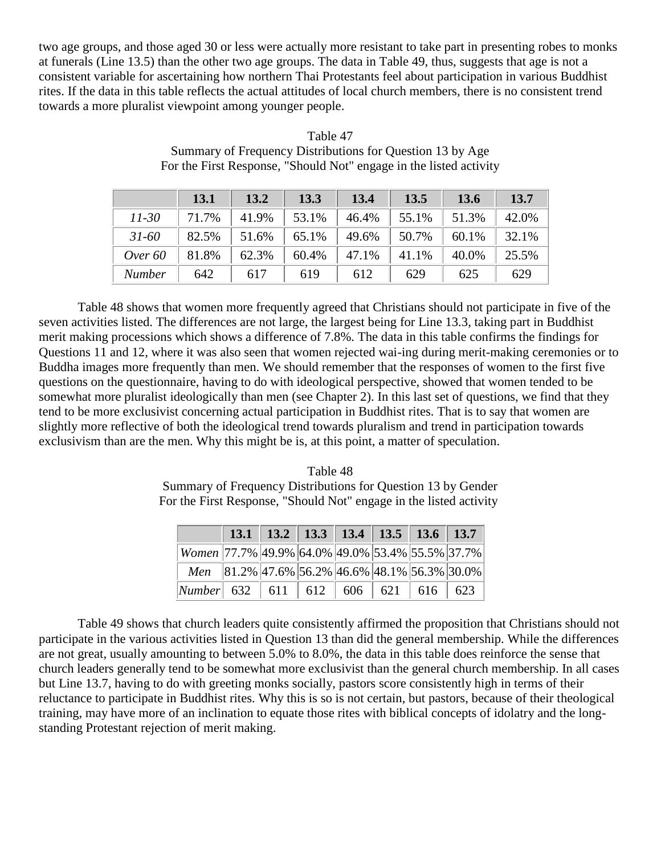two age groups, and those aged 30 or less were actually more resistant to take part in presenting robes to monks at funerals (Line 13.5) than the other two age groups. The data in Table 49, thus, suggests that age is not a consistent variable for ascertaining how northern Thai Protestants feel about participation in various Buddhist rites. If the data in this table reflects the actual attitudes of local church members, there is no consistent trend towards a more pluralist viewpoint among younger people.

|               | 13.1  | 13.2  | 13.3  | 13.4  | 13.5  | 13.6  | 13.7  |
|---------------|-------|-------|-------|-------|-------|-------|-------|
| $11 - 30$     | 71.7% | 41.9% | 53.1% | 46.4% | 55.1% | 51.3% | 42.0% |
| $31 - 60$     | 82.5% | 51.6% | 65.1% | 49.6% | 50.7% | 60.1% | 32.1% |
| Over $60$     | 81.8% | 62.3% | 60.4% | 47.1% | 41.1% | 40.0% | 25.5% |
| <b>Number</b> | 642   | 617   | 619   | 612   | 629   | 625   | 629   |

Table 47 Summary of Frequency Distributions for Question 13 by Age For the First Response, "Should Not" engage in the listed activity

Table 48 shows that women more frequently agreed that Christians should not participate in five of the seven activities listed. The differences are not large, the largest being for Line 13.3, taking part in Buddhist merit making processions which shows a difference of 7.8%. The data in this table confirms the findings for Questions 11 and 12, where it was also seen that women rejected wai-ing during merit-making ceremonies or to Buddha images more frequently than men. We should remember that the responses of women to the first five questions on the questionnaire, having to do with ideological perspective, showed that women tended to be somewhat more pluralist ideologically than men (see Chapter 2). In this last set of questions, we find that they tend to be more exclusivist concerning actual participation in Buddhist rites. That is to say that women are slightly more reflective of both the ideological trend towards pluralism and trend in participation towards exclusivism than are the men. Why this might be is, at this point, a matter of speculation.

Table 48 Summary of Frequency Distributions for Question 13 by Gender For the First Response, "Should Not" engage in the listed activity

|                                                               |                                               |  | 13.1   13.2   13.3   13.4   13.5   13.6   13.7 |  |  |
|---------------------------------------------------------------|-----------------------------------------------|--|------------------------------------------------|--|--|
| Women   77.7%   49.9%   64.0%   49.0%   53.4%   55.5%   37.7% |                                               |  |                                                |  |  |
|                                                               | Men 81.2% 47.6% 56.2% 46.6% 48.1% 56.3% 30.0% |  |                                                |  |  |
| <i>Number</i> 632 611 612 606 621 616 623                     |                                               |  |                                                |  |  |

Table 49 shows that church leaders quite consistently affirmed the proposition that Christians should not participate in the various activities listed in Question 13 than did the general membership. While the differences are not great, usually amounting to between 5.0% to 8.0%, the data in this table does reinforce the sense that church leaders generally tend to be somewhat more exclusivist than the general church membership. In all cases but Line 13.7, having to do with greeting monks socially, pastors score consistently high in terms of their reluctance to participate in Buddhist rites. Why this is so is not certain, but pastors, because of their theological training, may have more of an inclination to equate those rites with biblical concepts of idolatry and the longstanding Protestant rejection of merit making.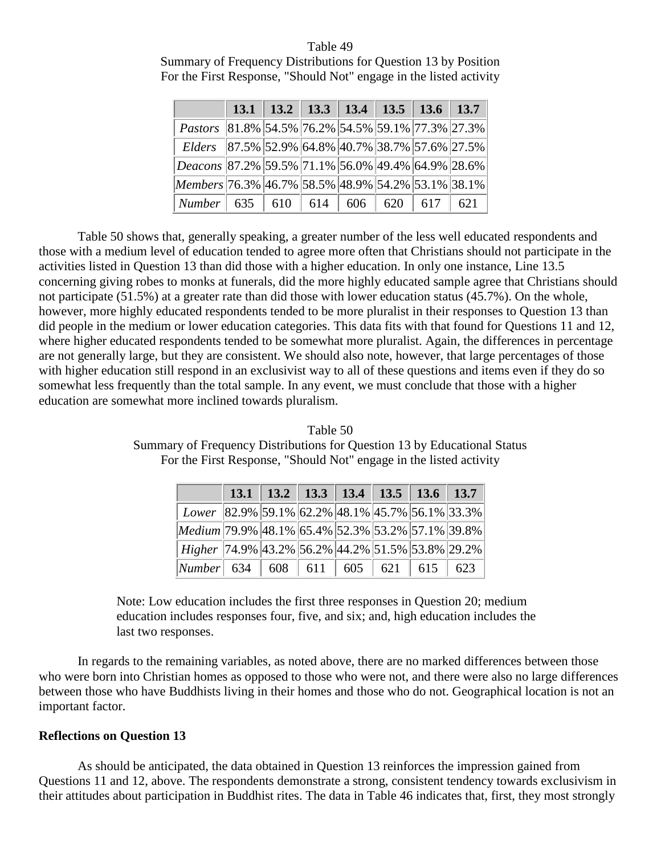# Table 49 Summary of Frequency Distributions for Question 13 by Position For the First Response, "Should Not" engage in the listed activity

|                                                   |  | 13.1   13.2   13.3   13.4   13.5   13.6   13.7 |  |  |
|---------------------------------------------------|--|------------------------------------------------|--|--|
| Pastors 81.8% 54.5% 76.2% 54.5% 59.1% 77.3% 27.3% |  |                                                |  |  |
| Elders 87.5% 52.9% 64.8% 40.7% 38.7% 57.6% 27.5%  |  |                                                |  |  |
| Deacons 87.2% 59.5% 71.1% 56.0% 49.4% 64.9% 28.6% |  |                                                |  |  |
| Members 76.3% 46.7% 58.5% 48.9% 54.2% 53.1% 38.1% |  |                                                |  |  |
| Number   635   610   614   606   620   617   621  |  |                                                |  |  |

Table 50 shows that, generally speaking, a greater number of the less well educated respondents and those with a medium level of education tended to agree more often that Christians should not participate in the activities listed in Question 13 than did those with a higher education. In only one instance, Line 13.5 concerning giving robes to monks at funerals, did the more highly educated sample agree that Christians should not participate (51.5%) at a greater rate than did those with lower education status (45.7%). On the whole, however, more highly educated respondents tended to be more pluralist in their responses to Question 13 than did people in the medium or lower education categories. This data fits with that found for Questions 11 and 12, where higher educated respondents tended to be somewhat more pluralist. Again, the differences in percentage are not generally large, but they are consistent. We should also note, however, that large percentages of those with higher education still respond in an exclusivist way to all of these questions and items even if they do so somewhat less frequently than the total sample. In any event, we must conclude that those with a higher education are somewhat more inclined towards pluralism.

Table 50 Summary of Frequency Distributions for Question 13 by Educational Status For the First Response, "Should Not" engage in the listed activity

|                                                                |  | 13.1   13.2   13.3   13.4   13.5   13.6   13.7 |  |  |
|----------------------------------------------------------------|--|------------------------------------------------|--|--|
| Lower   82.9%   59.1%   62.2%   48.1%   45.7%   56.1%   33.3%  |  |                                                |  |  |
| Medium 79.9% 48.1% 65.4% 52.3% 53.2% 57.1% 39.8%               |  |                                                |  |  |
| Higher   74.9%   43.2%   56.2%   44.2%   51.5%   53.8%   29.2% |  |                                                |  |  |
| Number  634   608   611   605   621   615   623                |  |                                                |  |  |

Note: Low education includes the first three responses in Question 20; medium education includes responses four, five, and six; and, high education includes the last two responses.

In regards to the remaining variables, as noted above, there are no marked differences between those who were born into Christian homes as opposed to those who were not, and there were also no large differences between those who have Buddhists living in their homes and those who do not. Geographical location is not an important factor.

# **Reflections on Question 13**

As should be anticipated, the data obtained in Question 13 reinforces the impression gained from Questions 11 and 12, above. The respondents demonstrate a strong, consistent tendency towards exclusivism in their attitudes about participation in Buddhist rites. The data in Table 46 indicates that, first, they most strongly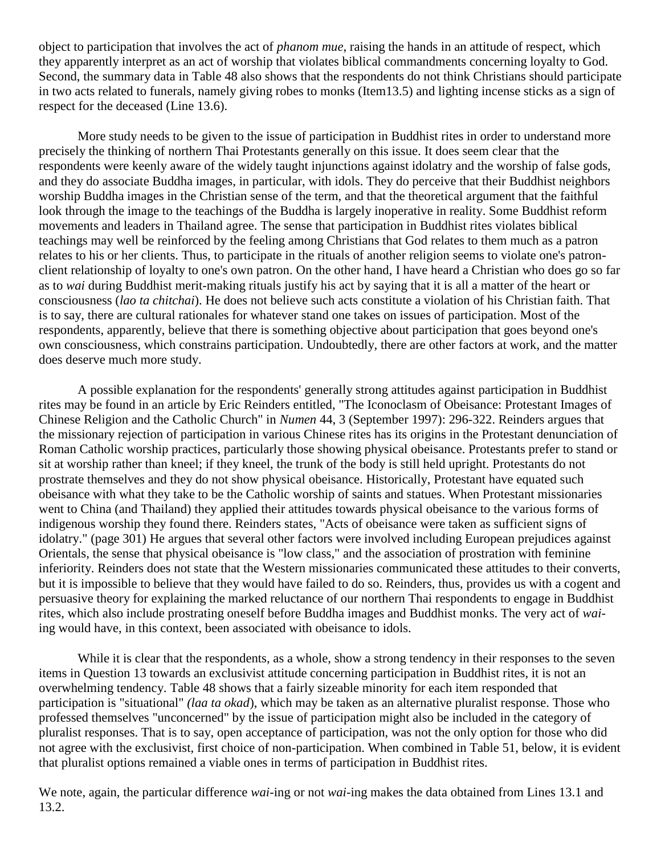object to participation that involves the act of *phanom mue*, raising the hands in an attitude of respect, which they apparently interpret as an act of worship that violates biblical commandments concerning loyalty to God. Second, the summary data in Table 48 also shows that the respondents do not think Christians should participate in two acts related to funerals, namely giving robes to monks (Item13.5) and lighting incense sticks as a sign of respect for the deceased (Line 13.6).

More study needs to be given to the issue of participation in Buddhist rites in order to understand more precisely the thinking of northern Thai Protestants generally on this issue. It does seem clear that the respondents were keenly aware of the widely taught injunctions against idolatry and the worship of false gods, and they do associate Buddha images, in particular, with idols. They do perceive that their Buddhist neighbors worship Buddha images in the Christian sense of the term, and that the theoretical argument that the faithful look through the image to the teachings of the Buddha is largely inoperative in reality. Some Buddhist reform movements and leaders in Thailand agree. The sense that participation in Buddhist rites violates biblical teachings may well be reinforced by the feeling among Christians that God relates to them much as a patron relates to his or her clients. Thus, to participate in the rituals of another religion seems to violate one's patronclient relationship of loyalty to one's own patron. On the other hand, I have heard a Christian who does go so far as to *wai* during Buddhist merit-making rituals justify his act by saying that it is all a matter of the heart or consciousness (*lao ta chitchai*). He does not believe such acts constitute a violation of his Christian faith. That is to say, there are cultural rationales for whatever stand one takes on issues of participation. Most of the respondents, apparently, believe that there is something objective about participation that goes beyond one's own consciousness, which constrains participation. Undoubtedly, there are other factors at work, and the matter does deserve much more study.

A possible explanation for the respondents' generally strong attitudes against participation in Buddhist rites may be found in an article by Eric Reinders entitled, "The Iconoclasm of Obeisance: Protestant Images of Chinese Religion and the Catholic Church" in *Numen* 44, 3 (September 1997): 296-322. Reinders argues that the missionary rejection of participation in various Chinese rites has its origins in the Protestant denunciation of Roman Catholic worship practices, particularly those showing physical obeisance. Protestants prefer to stand or sit at worship rather than kneel; if they kneel, the trunk of the body is still held upright. Protestants do not prostrate themselves and they do not show physical obeisance. Historically, Protestant have equated such obeisance with what they take to be the Catholic worship of saints and statues. When Protestant missionaries went to China (and Thailand) they applied their attitudes towards physical obeisance to the various forms of indigenous worship they found there. Reinders states, "Acts of obeisance were taken as sufficient signs of idolatry." (page 301) He argues that several other factors were involved including European prejudices against Orientals, the sense that physical obeisance is "low class," and the association of prostration with feminine inferiority. Reinders does not state that the Western missionaries communicated these attitudes to their converts, but it is impossible to believe that they would have failed to do so. Reinders, thus, provides us with a cogent and persuasive theory for explaining the marked reluctance of our northern Thai respondents to engage in Buddhist rites, which also include prostrating oneself before Buddha images and Buddhist monks. The very act of *wai*ing would have, in this context, been associated with obeisance to idols.

While it is clear that the respondents, as a whole, show a strong tendency in their responses to the seven items in Question 13 towards an exclusivist attitude concerning participation in Buddhist rites, it is not an overwhelming tendency. Table 48 shows that a fairly sizeable minority for each item responded that participation is "situational" *(laa ta okad*), which may be taken as an alternative pluralist response. Those who professed themselves "unconcerned" by the issue of participation might also be included in the category of pluralist responses. That is to say, open acceptance of participation, was not the only option for those who did not agree with the exclusivist, first choice of non-participation. When combined in Table 51, below, it is evident that pluralist options remained a viable ones in terms of participation in Buddhist rites.

We note, again, the particular difference *wai*-ing or not *wai*-ing makes the data obtained from Lines 13.1 and 13.2.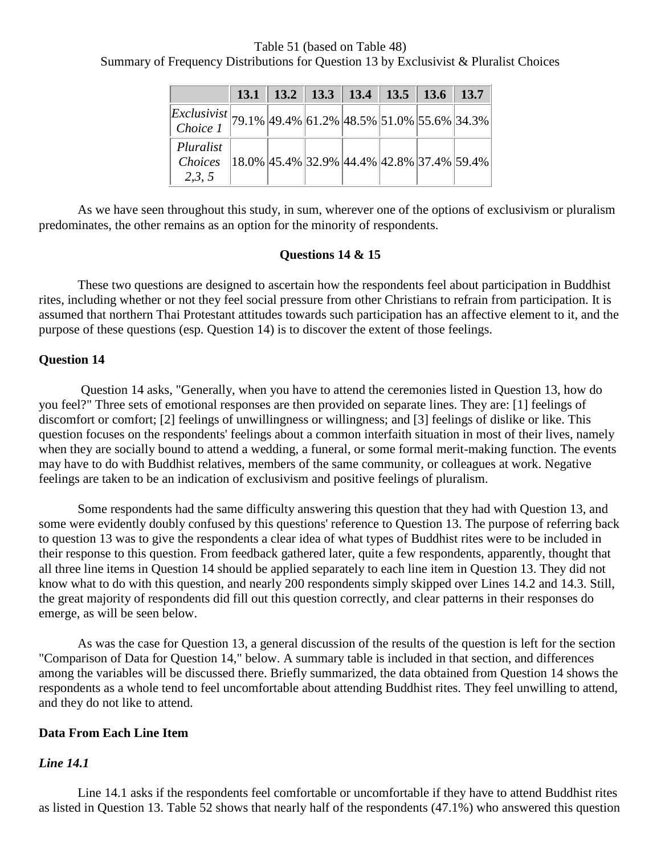Table 51 (based on Table 48) Summary of Frequency Distributions for Question 13 by Exclusivist & Pluralist Choices

|                                                                          |  | 13.1   13.2   13.3   13.4   13.5   13.6   13.7 |  |                                              |
|--------------------------------------------------------------------------|--|------------------------------------------------|--|----------------------------------------------|
| $\frac{Exclusivist}{Choice 1}$ 79.1% 49.4% 61.2% 48.5% 51.0% 55.6% 34.3% |  |                                                |  |                                              |
| Pluralist<br>Choices<br>2,3,5                                            |  |                                                |  | $18.0\%$ 45.4% 32.9% 44.4% 42.8% 37.4% 59.4% |

As we have seen throughout this study, in sum, wherever one of the options of exclusivism or pluralism predominates, the other remains as an option for the minority of respondents.

#### **Questions 14 & 15**

These two questions are designed to ascertain how the respondents feel about participation in Buddhist rites, including whether or not they feel social pressure from other Christians to refrain from participation. It is assumed that northern Thai Protestant attitudes towards such participation has an affective element to it, and the purpose of these questions (esp. Question 14) is to discover the extent of those feelings.

#### **Question 14**

Question 14 asks, "Generally, when you have to attend the ceremonies listed in Question 13, how do you feel?" Three sets of emotional responses are then provided on separate lines. They are: [1] feelings of discomfort or comfort; [2] feelings of unwillingness or willingness; and [3] feelings of dislike or like. This question focuses on the respondents' feelings about a common interfaith situation in most of their lives, namely when they are socially bound to attend a wedding, a funeral, or some formal merit-making function. The events may have to do with Buddhist relatives, members of the same community, or colleagues at work. Negative feelings are taken to be an indication of exclusivism and positive feelings of pluralism.

Some respondents had the same difficulty answering this question that they had with Question 13, and some were evidently doubly confused by this questions' reference to Question 13. The purpose of referring back to question 13 was to give the respondents a clear idea of what types of Buddhist rites were to be included in their response to this question. From feedback gathered later, quite a few respondents, apparently, thought that all three line items in Question 14 should be applied separately to each line item in Question 13. They did not know what to do with this question, and nearly 200 respondents simply skipped over Lines 14.2 and 14.3. Still, the great majority of respondents did fill out this question correctly, and clear patterns in their responses do emerge, as will be seen below.

As was the case for Question 13, a general discussion of the results of the question is left for the section "Comparison of Data for Question 14," below. A summary table is included in that section, and differences among the variables will be discussed there. Briefly summarized, the data obtained from Question 14 shows the respondents as a whole tend to feel uncomfortable about attending Buddhist rites. They feel unwilling to attend, and they do not like to attend.

#### **Data From Each Line Item**

## *Line 14.1*

Line 14.1 asks if the respondents feel comfortable or uncomfortable if they have to attend Buddhist rites as listed in Question 13. Table 52 shows that nearly half of the respondents (47.1%) who answered this question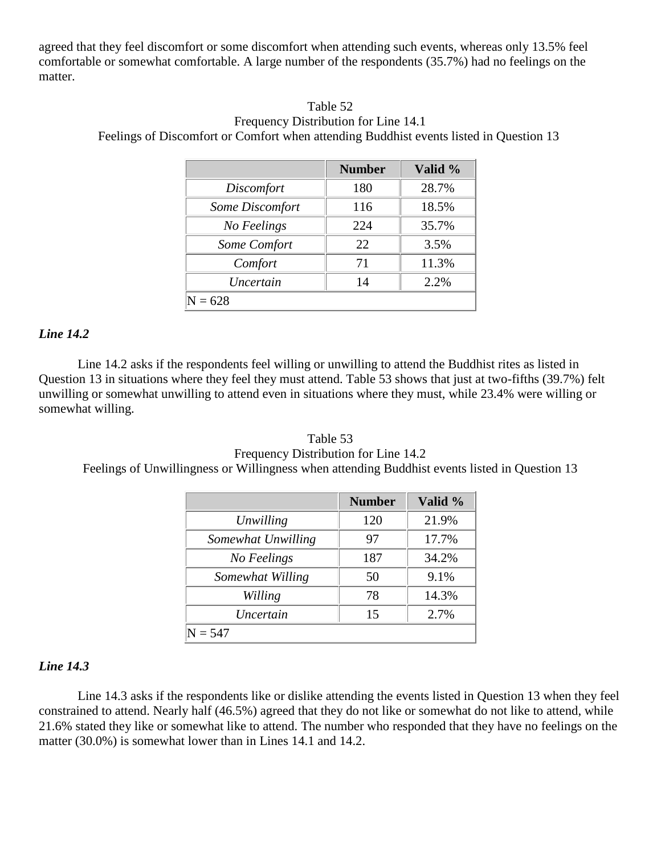agreed that they feel discomfort or some discomfort when attending such events, whereas only 13.5% feel comfortable or somewhat comfortable. A large number of the respondents (35.7%) had no feelings on the matter.

## Table 52 Frequency Distribution for Line 14.1 Feelings of Discomfort or Comfort when attending Buddhist events listed in Question 13

|                        | <b>Number</b> | Valid % |
|------------------------|---------------|---------|
| Discomfort             | 180           | 28.7%   |
| <b>Some Discomfort</b> | 116           | 18.5%   |
| No Feelings            | 224           | 35.7%   |
| Some Comfort           | 22            | 3.5%    |
| Comfort                | 71            | 11.3%   |
| Uncertain              | 14            | 2.2%    |
| $\mathrm{N}=628$       |               |         |

#### *Line 14.2*

Line 14.2 asks if the respondents feel willing or unwilling to attend the Buddhist rites as listed in Question 13 in situations where they feel they must attend. Table 53 shows that just at two-fifths (39.7%) felt unwilling or somewhat unwilling to attend even in situations where they must, while 23.4% were willing or somewhat willing.

# Table 53 Frequency Distribution for Line 14.2 Feelings of Unwillingness or Willingness when attending Buddhist events listed in Question 13

|                    | <b>Number</b> | Valid % |  |  |  |
|--------------------|---------------|---------|--|--|--|
| Unwilling          | 120           | 21.9%   |  |  |  |
| Somewhat Unwilling | 97            | 17.7%   |  |  |  |
| No Feelings        | 187           | 34.2%   |  |  |  |
| Somewhat Willing   | 50            | 9.1%    |  |  |  |
| Willing            | 78            | 14.3%   |  |  |  |
| Uncertain          | 15            | 2.7%    |  |  |  |
| $N = 547$          |               |         |  |  |  |

# *Line 14.3*

Line 14.3 asks if the respondents like or dislike attending the events listed in Question 13 when they feel constrained to attend. Nearly half (46.5%) agreed that they do not like or somewhat do not like to attend, while 21.6% stated they like or somewhat like to attend. The number who responded that they have no feelings on the matter (30.0%) is somewhat lower than in Lines 14.1 and 14.2.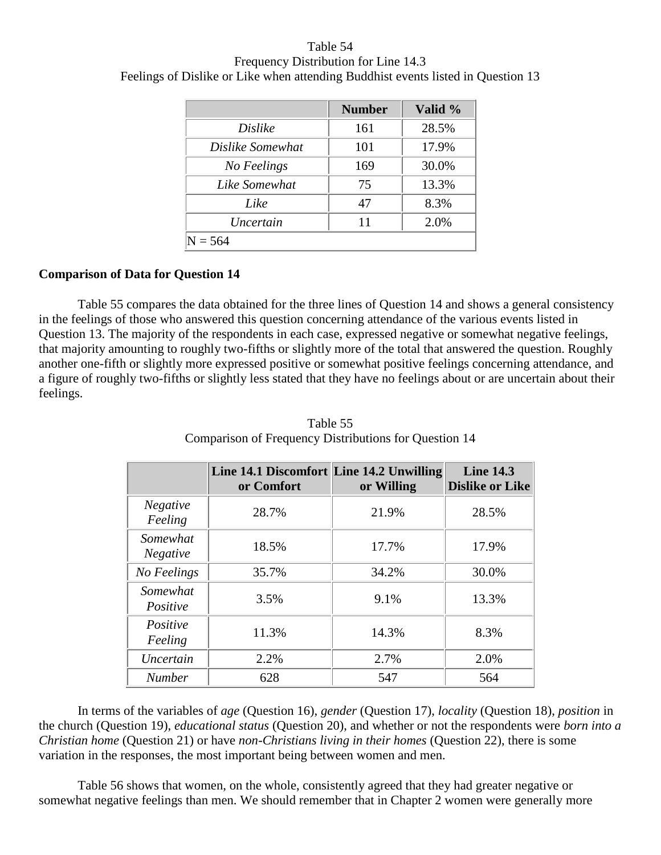Table 54 Frequency Distribution for Line 14.3 Feelings of Dislike or Like when attending Buddhist events listed in Question 13

|                  | <b>Number</b> | Valid % |  |  |  |
|------------------|---------------|---------|--|--|--|
| Dislike          | 161           | 28.5%   |  |  |  |
| Dislike Somewhat | 101           | 17.9%   |  |  |  |
| No Feelings      | 169           | 30.0%   |  |  |  |
| Like Somewhat    | 75            | 13.3%   |  |  |  |
| Like             | 47            | 8.3%    |  |  |  |
| Uncertain        | 11            | 2.0%    |  |  |  |
| $= 564$          |               |         |  |  |  |

#### **Comparison of Data for Question 14**

Table 55 compares the data obtained for the three lines of Question 14 and shows a general consistency in the feelings of those who answered this question concerning attendance of the various events listed in Question 13. The majority of the respondents in each case, expressed negative or somewhat negative feelings, that majority amounting to roughly two-fifths or slightly more of the total that answered the question. Roughly another one-fifth or slightly more expressed positive or somewhat positive feelings concerning attendance, and a figure of roughly two-fifths or slightly less stated that they have no feelings about or are uncertain about their feelings.

|                             | Line 14.1 Discomfort Line 14.2 Unwilling<br>or Comfort | or Willing | <b>Line 14.3</b><br><b>Dislike or Like</b> |
|-----------------------------|--------------------------------------------------------|------------|--------------------------------------------|
| <b>Negative</b><br>Feeling  | 28.7%                                                  | 21.9%      | 28.5%                                      |
| Somewhat<br><b>Negative</b> | 18.5%                                                  | 17.7%      | 17.9%                                      |
| No Feelings                 | 35.7%                                                  | 34.2%      | 30.0%                                      |
| Somewhat<br>Positive        | 3.5%                                                   | 9.1%       | 13.3%                                      |
| Positive<br>Feeling         | 11.3%                                                  | 14.3%      | 8.3%                                       |
| Uncertain                   | 2.2%                                                   | 2.7%       | 2.0%                                       |
| <b>Number</b>               | 628                                                    | 547        | 564                                        |

Table 55 Comparison of Frequency Distributions for Question 14

In terms of the variables of *age* (Question 16), *gender* (Question 17), *locality* (Question 18), *position* in the church (Question 19), *educational status* (Question 20), and whether or not the respondents were *born into a Christian home* (Question 21) or have *non-Christians living in their homes* (Question 22), there is some variation in the responses, the most important being between women and men.

Table 56 shows that women, on the whole, consistently agreed that they had greater negative or somewhat negative feelings than men. We should remember that in Chapter 2 women were generally more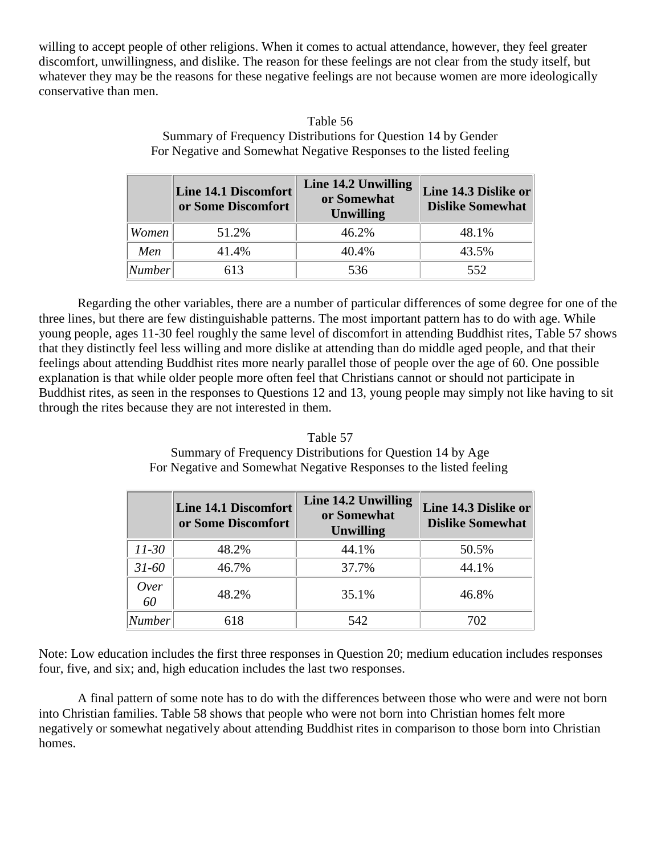willing to accept people of other religions. When it comes to actual attendance, however, they feel greater discomfort, unwillingness, and dislike. The reason for these feelings are not clear from the study itself, but whatever they may be the reasons for these negative feelings are not because women are more ideologically conservative than men.

|                    | <b>Line 14.1 Discomfort</b><br>or Some Discomfort | Line 14.2 Unwilling<br>or Somewhat<br><b>Unwilling</b> | Line 14.3 Dislike or<br><b>Dislike Somewhat</b> |
|--------------------|---------------------------------------------------|--------------------------------------------------------|-------------------------------------------------|
| Women              | 51.2%                                             | 46.2%                                                  | 48.1%                                           |
| Men                | 41.4%                                             | 40.4%                                                  | 43.5%                                           |
| <sup>I</sup> umber | 613                                               | 536                                                    | 552                                             |

Table 56 Summary of Frequency Distributions for Question 14 by Gender For Negative and Somewhat Negative Responses to the listed feeling

Regarding the other variables, there are a number of particular differences of some degree for one of the three lines, but there are few distinguishable patterns. The most important pattern has to do with age. While young people, ages 11-30 feel roughly the same level of discomfort in attending Buddhist rites, Table 57 shows that they distinctly feel less willing and more dislike at attending than do middle aged people, and that their feelings about attending Buddhist rites more nearly parallel those of people over the age of 60. One possible explanation is that while older people more often feel that Christians cannot or should not participate in Buddhist rites, as seen in the responses to Questions 12 and 13, young people may simply not like having to sit through the rites because they are not interested in them.

# Table 57 Summary of Frequency Distributions for Question 14 by Age For Negative and Somewhat Negative Responses to the listed feeling

|            | Line 14.1 Discomfort<br>or Some Discomfort | Line 14.2 Unwilling<br>or Somewhat<br><b>Unwilling</b> | Line 14.3 Dislike or<br><b>Dislike Somewhat</b> |
|------------|--------------------------------------------|--------------------------------------------------------|-------------------------------------------------|
| $11 - 30$  | 48.2%                                      | 44.1%                                                  | 50.5%                                           |
| $31 - 60$  | 46.7%                                      | 37.7%                                                  | 44.1%                                           |
| Over<br>60 | 48.2%                                      | 35.1%                                                  | 46.8%                                           |
| Number     | 618                                        | 542                                                    | 702                                             |

Note: Low education includes the first three responses in Question 20; medium education includes responses four, five, and six; and, high education includes the last two responses.

A final pattern of some note has to do with the differences between those who were and were not born into Christian families. Table 58 shows that people who were not born into Christian homes felt more negatively or somewhat negatively about attending Buddhist rites in comparison to those born into Christian homes.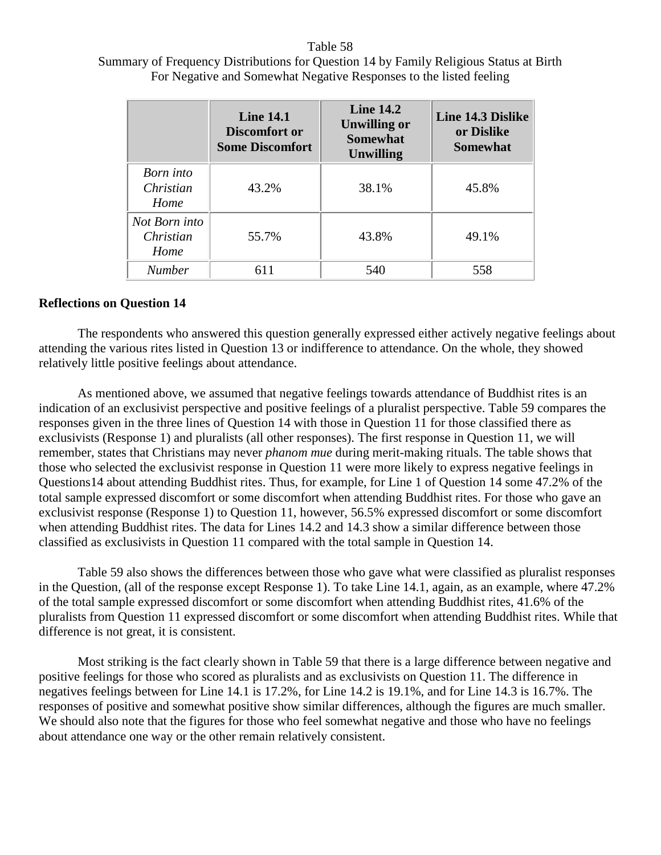#### Table 58

# Summary of Frequency Distributions for Question 14 by Family Religious Status at Birth For Negative and Somewhat Negative Responses to the listed feeling

|                                    | <b>Line 14.1</b><br>Discomfort or<br><b>Some Discomfort</b> | <b>Line 14.2</b><br><b>Unwilling or</b><br><b>Somewhat</b><br><b>Unwilling</b> | Line 14.3 Dislike<br>or Dislike<br><b>Somewhat</b> |
|------------------------------------|-------------------------------------------------------------|--------------------------------------------------------------------------------|----------------------------------------------------|
| Born into<br>Christian<br>Home     | 43.2%                                                       | 38.1%                                                                          | 45.8%                                              |
| Not Born into<br>Christian<br>Home | 55.7%                                                       | 43.8%                                                                          | 49.1%                                              |
| <b>Number</b>                      | 611                                                         | 540                                                                            | 558                                                |

# **Reflections on Question 14**

The respondents who answered this question generally expressed either actively negative feelings about attending the various rites listed in Question 13 or indifference to attendance. On the whole, they showed relatively little positive feelings about attendance.

As mentioned above, we assumed that negative feelings towards attendance of Buddhist rites is an indication of an exclusivist perspective and positive feelings of a pluralist perspective. Table 59 compares the responses given in the three lines of Question 14 with those in Question 11 for those classified there as exclusivists (Response 1) and pluralists (all other responses). The first response in Question 11, we will remember, states that Christians may never *phanom mue* during merit-making rituals. The table shows that those who selected the exclusivist response in Question 11 were more likely to express negative feelings in Questions14 about attending Buddhist rites. Thus, for example, for Line 1 of Question 14 some 47.2% of the total sample expressed discomfort or some discomfort when attending Buddhist rites. For those who gave an exclusivist response (Response 1) to Question 11, however, 56.5% expressed discomfort or some discomfort when attending Buddhist rites. The data for Lines 14.2 and 14.3 show a similar difference between those classified as exclusivists in Question 11 compared with the total sample in Question 14.

Table 59 also shows the differences between those who gave what were classified as pluralist responses in the Question, (all of the response except Response 1). To take Line 14.1, again, as an example, where 47.2% of the total sample expressed discomfort or some discomfort when attending Buddhist rites, 41.6% of the pluralists from Question 11 expressed discomfort or some discomfort when attending Buddhist rites. While that difference is not great, it is consistent.

Most striking is the fact clearly shown in Table 59 that there is a large difference between negative and positive feelings for those who scored as pluralists and as exclusivists on Question 11. The difference in negatives feelings between for Line 14.1 is 17.2%, for Line 14.2 is 19.1%, and for Line 14.3 is 16.7%. The responses of positive and somewhat positive show similar differences, although the figures are much smaller. We should also note that the figures for those who feel somewhat negative and those who have no feelings about attendance one way or the other remain relatively consistent.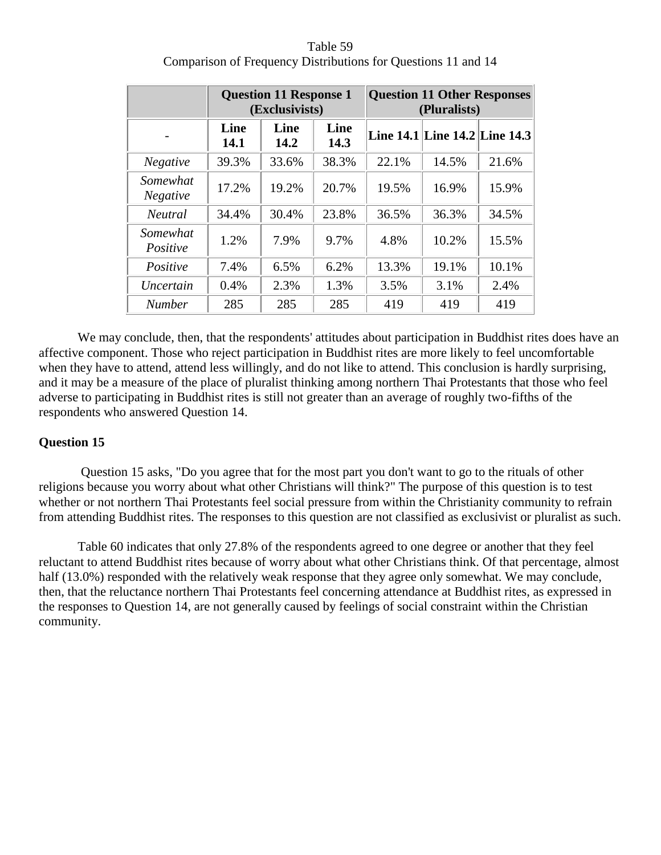|                             |              | <b>Question 11 Response 1</b><br>(Exclusivists) |              |       | <b>Question 11 Other Responses</b><br>(Pluralists) |       |  |
|-----------------------------|--------------|-------------------------------------------------|--------------|-------|----------------------------------------------------|-------|--|
|                             | Line<br>14.1 | Line<br>14.2                                    | Line<br>14.3 |       | Line 14.1 Line 14.2 Line 14.3                      |       |  |
| <b>Negative</b>             | 39.3%        | 33.6%                                           | 38.3%        | 22.1% | 14.5%                                              | 21.6% |  |
| Somewhat<br><b>Negative</b> | 17.2%        | 19.2%                                           | 20.7%        | 19.5% | 16.9%                                              | 15.9% |  |
| <b>Neutral</b>              | 34.4%        | 30.4%                                           | 23.8%        | 36.5% | 36.3%                                              | 34.5% |  |
| Somewhat<br>Positive        | 1.2%         | 7.9%                                            | 9.7%         | 4.8%  | 10.2%                                              | 15.5% |  |
| Positive                    | 7.4%         | 6.5%                                            | 6.2%         | 13.3% | 19.1%                                              | 10.1% |  |
| Uncertain                   | 0.4%         | 2.3%                                            | 1.3%         | 3.5%  | 3.1%                                               | 2.4%  |  |
| <b>Number</b>               | 285          | 285                                             | 285          | 419   | 419                                                | 419   |  |

Table 59 Comparison of Frequency Distributions for Questions 11 and 14

We may conclude, then, that the respondents' attitudes about participation in Buddhist rites does have an affective component. Those who reject participation in Buddhist rites are more likely to feel uncomfortable when they have to attend, attend less willingly, and do not like to attend. This conclusion is hardly surprising, and it may be a measure of the place of pluralist thinking among northern Thai Protestants that those who feel adverse to participating in Buddhist rites is still not greater than an average of roughly two-fifths of the respondents who answered Question 14.

# **Question 15**

Question 15 asks, "Do you agree that for the most part you don't want to go to the rituals of other religions because you worry about what other Christians will think?" The purpose of this question is to test whether or not northern Thai Protestants feel social pressure from within the Christianity community to refrain from attending Buddhist rites. The responses to this question are not classified as exclusivist or pluralist as such.

Table 60 indicates that only 27.8% of the respondents agreed to one degree or another that they feel reluctant to attend Buddhist rites because of worry about what other Christians think. Of that percentage, almost half (13.0%) responded with the relatively weak response that they agree only somewhat. We may conclude, then, that the reluctance northern Thai Protestants feel concerning attendance at Buddhist rites, as expressed in the responses to Question 14, are not generally caused by feelings of social constraint within the Christian community.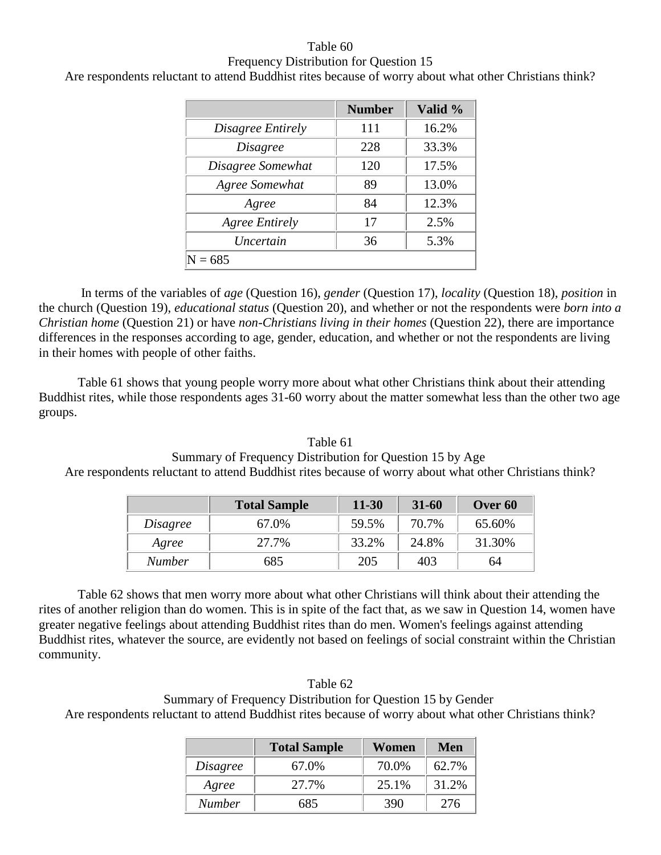# Table 60 Frequency Distribution for Question 15

Are respondents reluctant to attend Buddhist rites because of worry about what other Christians think?

|                       | <b>Number</b> | Valid % |
|-----------------------|---------------|---------|
| Disagree Entirely     | 111           | 16.2%   |
| <i>Disagree</i>       | 228           | 33.3%   |
| Disagree Somewhat     | 120           | 17.5%   |
| Agree Somewhat        | 89            | 13.0%   |
| Agree                 | 84            | 12.3%   |
| <b>Agree Entirely</b> | 17            | 2.5%    |
| Uncertain             | 36            | 5.3%    |
| 685                   |               |         |

In terms of the variables of *age* (Question 16), *gender* (Question 17), *locality* (Question 18), *position* in the church (Question 19), *educational status* (Question 20), and whether or not the respondents were *born into a Christian home* (Question 21) or have *non-Christians living in their homes* (Question 22), there are importance differences in the responses according to age, gender, education, and whether or not the respondents are living in their homes with people of other faiths.

Table 61 shows that young people worry more about what other Christians think about their attending Buddhist rites, while those respondents ages 31-60 worry about the matter somewhat less than the other two age groups.

| Table 61                                                                                               |
|--------------------------------------------------------------------------------------------------------|
| Summary of Frequency Distribution for Question 15 by Age                                               |
| Are respondents reluctant to attend Buddhist rites because of worry about what other Christians think? |

|          | <b>Total Sample</b> | $11 - 30$ | $31 - 60$ | Over 60 |
|----------|---------------------|-----------|-----------|---------|
| Disagree | 67.0%               | 59.5%     | 70.7%     | 65.60%  |
| Agree    | 27.7%               | 33.2%     | 24.8%     | 31.30%  |
| Number   | 685                 | 205       | 403       | 64      |

Table 62 shows that men worry more about what other Christians will think about their attending the rites of another religion than do women. This is in spite of the fact that, as we saw in Question 14, women have greater negative feelings about attending Buddhist rites than do men. Women's feelings against attending Buddhist rites, whatever the source, are evidently not based on feelings of social constraint within the Christian community.

# Table 62 Summary of Frequency Distribution for Question 15 by Gender Are respondents reluctant to attend Buddhist rites because of worry about what other Christians think?

|               | <b>Total Sample</b> | Women | Men   |
|---------------|---------------------|-------|-------|
| Disagree      | 67.0%               | 70.0% | 62.7% |
| Agree         | 27.7%               | 25.1% | 31.2% |
| <b>Number</b> | 685                 | 390   | 276   |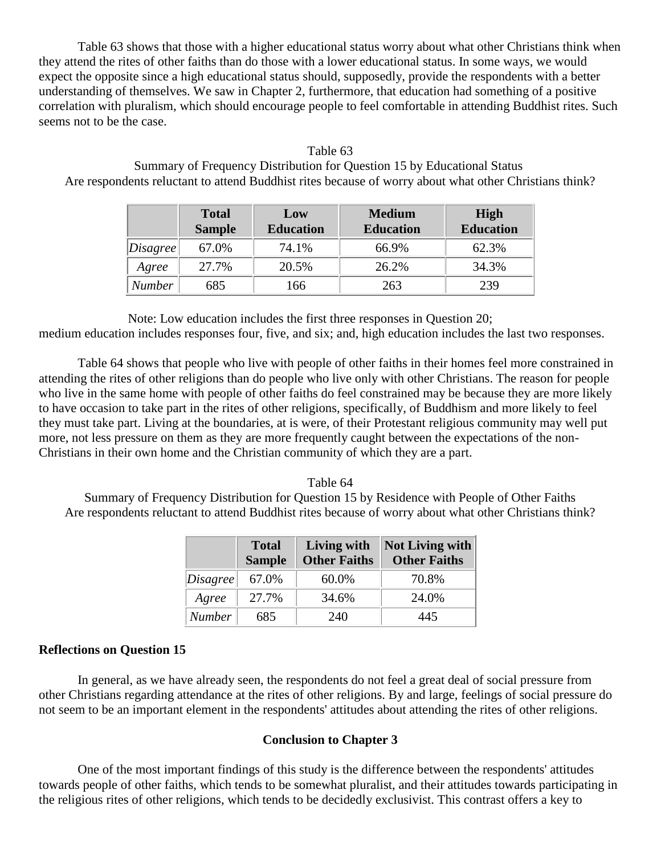Table 63 shows that those with a higher educational status worry about what other Christians think when they attend the rites of other faiths than do those with a lower educational status. In some ways, we would expect the opposite since a high educational status should, supposedly, provide the respondents with a better understanding of themselves. We saw in Chapter 2, furthermore, that education had something of a positive correlation with pluralism, which should encourage people to feel comfortable in attending Buddhist rites. Such seems not to be the case.

Table 63 Summary of Frequency Distribution for Question 15 by Educational Status Are respondents reluctant to attend Buddhist rites because of worry about what other Christians think?

|          | <b>Total</b><br><b>Sample</b> | Low<br><b>Education</b> | <b>Medium</b><br><b>Education</b> | High<br><b>Education</b> |
|----------|-------------------------------|-------------------------|-----------------------------------|--------------------------|
| Disagree | 67.0%                         | 74.1%                   | 66.9%                             | 62.3%                    |
| Agree    | 27.7%                         | 20.5%                   | 26.2%                             | 34.3%                    |
| Number   | 685                           | 166                     | 263                               | 239                      |

Note: Low education includes the first three responses in Question 20;

medium education includes responses four, five, and six; and, high education includes the last two responses.

Table 64 shows that people who live with people of other faiths in their homes feel more constrained in attending the rites of other religions than do people who live only with other Christians. The reason for people who live in the same home with people of other faiths do feel constrained may be because they are more likely to have occasion to take part in the rites of other religions, specifically, of Buddhism and more likely to feel they must take part. Living at the boundaries, at is were, of their Protestant religious community may well put more, not less pressure on them as they are more frequently caught between the expectations of the non-Christians in their own home and the Christian community of which they are a part.

#### Table 64

Summary of Frequency Distribution for Question 15 by Residence with People of Other Faiths Are respondents reluctant to attend Buddhist rites because of worry about what other Christians think?

|                        | <b>Total</b><br><b>Sample</b> | Living with<br><b>Other Faiths</b> | <b>Not Living with</b><br><b>Other Faiths</b> |
|------------------------|-------------------------------|------------------------------------|-----------------------------------------------|
| $\vert Disagree \vert$ | 67.0%                         | 60.0%                              | 70.8%                                         |
| Agree                  | 27.7%                         | 34.6%                              | 24.0%                                         |
| <b>Number</b>          | 685                           | 240                                | 445                                           |

#### **Reflections on Question 15**

In general, as we have already seen, the respondents do not feel a great deal of social pressure from other Christians regarding attendance at the rites of other religions. By and large, feelings of social pressure do not seem to be an important element in the respondents' attitudes about attending the rites of other religions.

#### **Conclusion to Chapter 3**

One of the most important findings of this study is the difference between the respondents' attitudes towards people of other faiths, which tends to be somewhat pluralist, and their attitudes towards participating in the religious rites of other religions, which tends to be decidedly exclusivist. This contrast offers a key to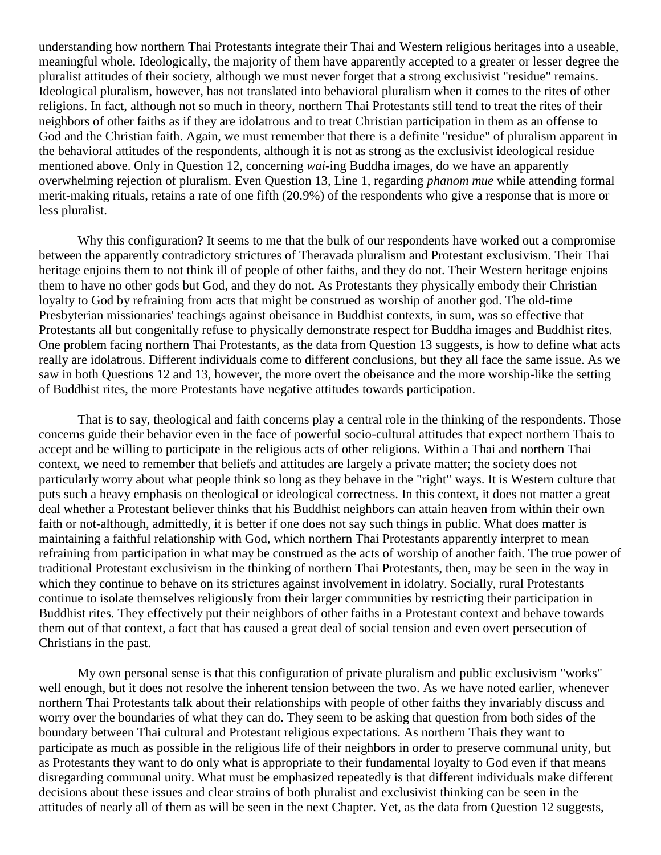understanding how northern Thai Protestants integrate their Thai and Western religious heritages into a useable, meaningful whole. Ideologically, the majority of them have apparently accepted to a greater or lesser degree the pluralist attitudes of their society, although we must never forget that a strong exclusivist "residue" remains. Ideological pluralism, however, has not translated into behavioral pluralism when it comes to the rites of other religions. In fact, although not so much in theory, northern Thai Protestants still tend to treat the rites of their neighbors of other faiths as if they are idolatrous and to treat Christian participation in them as an offense to God and the Christian faith. Again, we must remember that there is a definite "residue" of pluralism apparent in the behavioral attitudes of the respondents, although it is not as strong as the exclusivist ideological residue mentioned above. Only in Question 12, concerning *wai*-ing Buddha images, do we have an apparently overwhelming rejection of pluralism. Even Question 13, Line 1, regarding *phanom mue* while attending formal merit-making rituals, retains a rate of one fifth (20.9%) of the respondents who give a response that is more or less pluralist.

Why this configuration? It seems to me that the bulk of our respondents have worked out a compromise between the apparently contradictory strictures of Theravada pluralism and Protestant exclusivism. Their Thai heritage enjoins them to not think ill of people of other faiths, and they do not. Their Western heritage enjoins them to have no other gods but God, and they do not. As Protestants they physically embody their Christian loyalty to God by refraining from acts that might be construed as worship of another god. The old-time Presbyterian missionaries' teachings against obeisance in Buddhist contexts, in sum, was so effective that Protestants all but congenitally refuse to physically demonstrate respect for Buddha images and Buddhist rites. One problem facing northern Thai Protestants, as the data from Question 13 suggests, is how to define what acts really are idolatrous. Different individuals come to different conclusions, but they all face the same issue. As we saw in both Questions 12 and 13, however, the more overt the obeisance and the more worship-like the setting of Buddhist rites, the more Protestants have negative attitudes towards participation.

That is to say, theological and faith concerns play a central role in the thinking of the respondents. Those concerns guide their behavior even in the face of powerful socio-cultural attitudes that expect northern Thais to accept and be willing to participate in the religious acts of other religions. Within a Thai and northern Thai context, we need to remember that beliefs and attitudes are largely a private matter; the society does not particularly worry about what people think so long as they behave in the "right" ways. It is Western culture that puts such a heavy emphasis on theological or ideological correctness. In this context, it does not matter a great deal whether a Protestant believer thinks that his Buddhist neighbors can attain heaven from within their own faith or not-although, admittedly, it is better if one does not say such things in public. What does matter is maintaining a faithful relationship with God, which northern Thai Protestants apparently interpret to mean refraining from participation in what may be construed as the acts of worship of another faith. The true power of traditional Protestant exclusivism in the thinking of northern Thai Protestants, then, may be seen in the way in which they continue to behave on its strictures against involvement in idolatry. Socially, rural Protestants continue to isolate themselves religiously from their larger communities by restricting their participation in Buddhist rites. They effectively put their neighbors of other faiths in a Protestant context and behave towards them out of that context, a fact that has caused a great deal of social tension and even overt persecution of Christians in the past.

My own personal sense is that this configuration of private pluralism and public exclusivism "works" well enough, but it does not resolve the inherent tension between the two. As we have noted earlier, whenever northern Thai Protestants talk about their relationships with people of other faiths they invariably discuss and worry over the boundaries of what they can do. They seem to be asking that question from both sides of the boundary between Thai cultural and Protestant religious expectations. As northern Thais they want to participate as much as possible in the religious life of their neighbors in order to preserve communal unity, but as Protestants they want to do only what is appropriate to their fundamental loyalty to God even if that means disregarding communal unity. What must be emphasized repeatedly is that different individuals make different decisions about these issues and clear strains of both pluralist and exclusivist thinking can be seen in the attitudes of nearly all of them as will be seen in the next Chapter. Yet, as the data from Question 12 suggests,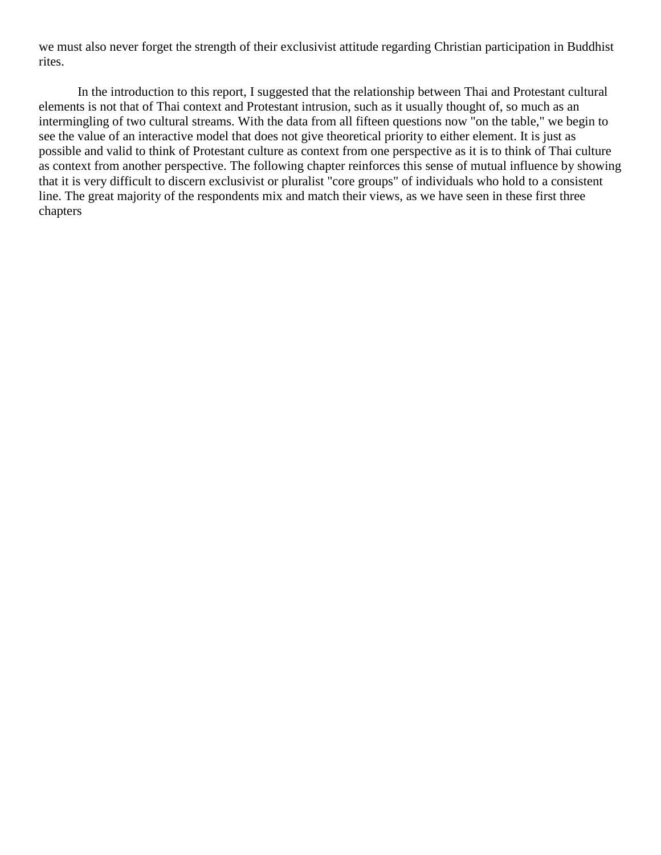we must also never forget the strength of their exclusivist attitude regarding Christian participation in Buddhist rites.

In the introduction to this report, I suggested that the relationship between Thai and Protestant cultural elements is not that of Thai context and Protestant intrusion, such as it usually thought of, so much as an intermingling of two cultural streams. With the data from all fifteen questions now "on the table," we begin to see the value of an interactive model that does not give theoretical priority to either element. It is just as possible and valid to think of Protestant culture as context from one perspective as it is to think of Thai culture as context from another perspective. The following chapter reinforces this sense of mutual influence by showing that it is very difficult to discern exclusivist or pluralist "core groups" of individuals who hold to a consistent line. The great majority of the respondents mix and match their views, as we have seen in these first three chapters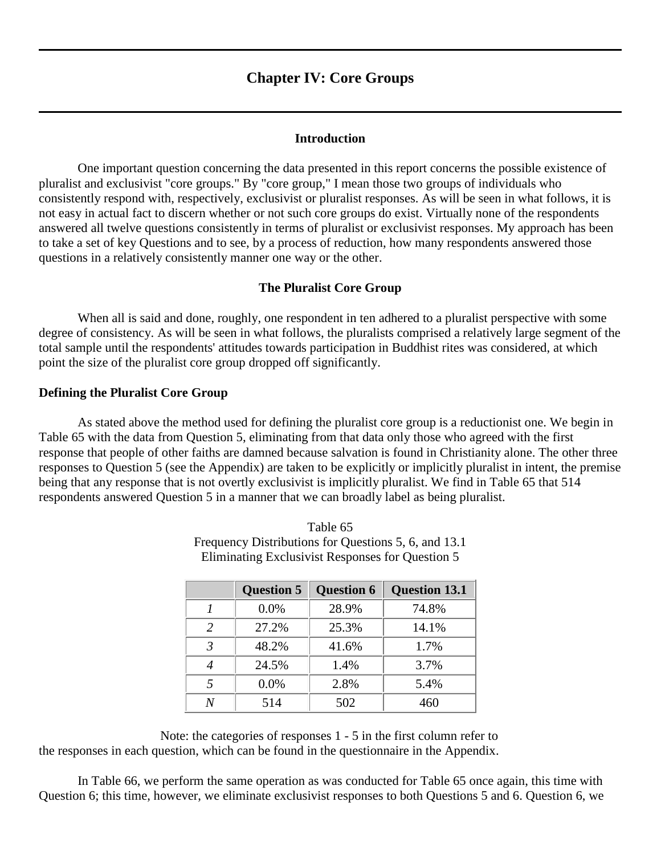# **Chapter IV: Core Groups**

#### **Introduction**

One important question concerning the data presented in this report concerns the possible existence of pluralist and exclusivist "core groups." By "core group," I mean those two groups of individuals who consistently respond with, respectively, exclusivist or pluralist responses. As will be seen in what follows, it is not easy in actual fact to discern whether or not such core groups do exist. Virtually none of the respondents answered all twelve questions consistently in terms of pluralist or exclusivist responses. My approach has been to take a set of key Questions and to see, by a process of reduction, how many respondents answered those questions in a relatively consistently manner one way or the other.

#### **The Pluralist Core Group**

When all is said and done, roughly, one respondent in ten adhered to a pluralist perspective with some degree of consistency. As will be seen in what follows, the pluralists comprised a relatively large segment of the total sample until the respondents' attitudes towards participation in Buddhist rites was considered, at which point the size of the pluralist core group dropped off significantly.

#### **Defining the Pluralist Core Group**

As stated above the method used for defining the pluralist core group is a reductionist one. We begin in Table 65 with the data from Question 5, eliminating from that data only those who agreed with the first response that people of other faiths are damned because salvation is found in Christianity alone. The other three responses to Question 5 (see the Appendix) are taken to be explicitly or implicitly pluralist in intent, the premise being that any response that is not overtly exclusivist is implicitly pluralist. We find in Table 65 that 514 respondents answered Question 5 in a manner that we can broadly label as being pluralist.

|                          | <b>Question 5</b> | <b>Question 6</b> | <b>Question 13.1</b> |
|--------------------------|-------------------|-------------------|----------------------|
|                          | 0.0%              | 28.9%             | 74.8%                |
| 2                        | 27.2%             | 25.3%             | 14.1%                |
| $\mathcal{R}$            | 48.2%             | 41.6%             | 1.7%                 |
|                          | 24.5%             | 1.4%              | 3.7%                 |
| $\overline{\mathcal{L}}$ | 0.0%              | 2.8%              | 5.4%                 |
|                          | 514               | 502               | 460                  |

Table 65 Frequency Distributions for Questions 5, 6, and 13.1 Eliminating Exclusivist Responses for Question 5

Note: the categories of responses 1 - 5 in the first column refer to the responses in each question, which can be found in the questionnaire in the Appendix.

In Table 66, we perform the same operation as was conducted for Table 65 once again, this time with Question 6; this time, however, we eliminate exclusivist responses to both Questions 5 and 6. Question 6, we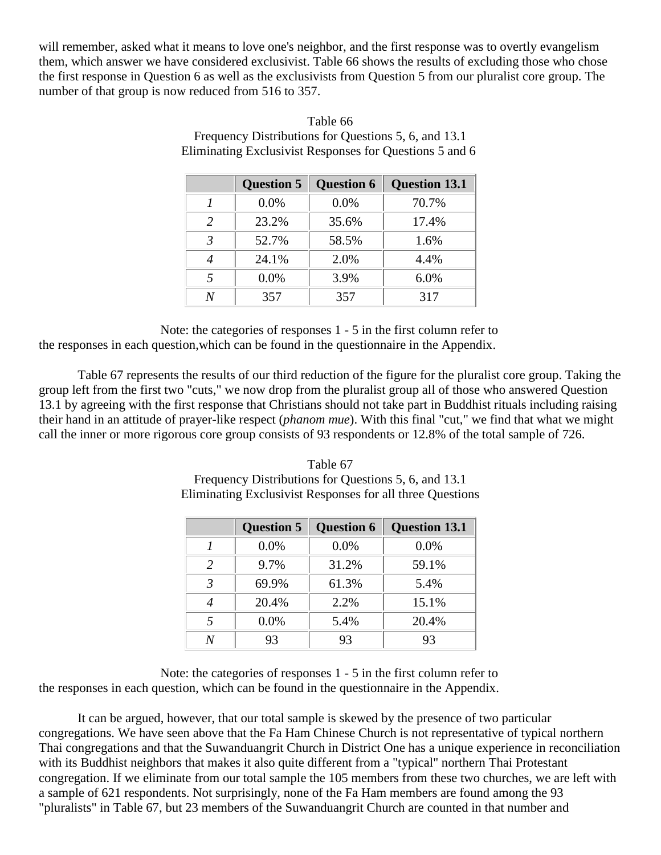will remember, asked what it means to love one's neighbor, and the first response was to overtly evangelism them, which answer we have considered exclusivist. Table 66 shows the results of excluding those who chose the first response in Question 6 as well as the exclusivists from Question 5 from our pluralist core group. The number of that group is now reduced from 516 to 357.

|                | <b>Question 5</b> | <b>Question 6</b> | <b>Question 13.1</b> |
|----------------|-------------------|-------------------|----------------------|
|                | 0.0%              | 0.0%              | 70.7%                |
| $\mathcal{L}$  | 23.2%             | 35.6%             | 17.4%                |
| 3              | 52.7%             | 58.5%             | 1.6%                 |
|                | 24.1%             | 2.0%              | 4.4%                 |
| $\overline{5}$ | 0.0%              | 3.9%              | 6.0%                 |
|                | 357               | 357               | 317                  |

Table 66 Frequency Distributions for Questions 5, 6, and 13.1 Eliminating Exclusivist Responses for Questions 5 and 6

Note: the categories of responses 1 - 5 in the first column refer to the responses in each question,which can be found in the questionnaire in the Appendix.

Table 67 represents the results of our third reduction of the figure for the pluralist core group. Taking the group left from the first two "cuts," we now drop from the pluralist group all of those who answered Question 13.1 by agreeing with the first response that Christians should not take part in Buddhist rituals including raising their hand in an attitude of prayer-like respect (*phanom mue*). With this final "cut," we find that what we might call the inner or more rigorous core group consists of 93 respondents or 12.8% of the total sample of 726.

# Table 67 Frequency Distributions for Questions 5, 6, and 13.1 Eliminating Exclusivist Responses for all three Questions

|               | <b>Question 5</b> | <b>Question 6</b> | <b>Question 13.1</b> |
|---------------|-------------------|-------------------|----------------------|
|               | 0.0%              | 0.0%              | 0.0%                 |
| $\mathcal{L}$ | 9.7%              | 31.2%             | 59.1%                |
| $\mathcal{R}$ | 69.9%             | 61.3%             | 5.4%                 |
|               | 20.4%             | 2.2%              | 15.1%                |
| 5             | 0.0%              | 5.4%              | 20.4%                |
| ٨             | 93                | 93                | 93                   |

Note: the categories of responses 1 - 5 in the first column refer to the responses in each question, which can be found in the questionnaire in the Appendix.

It can be argued, however, that our total sample is skewed by the presence of two particular congregations. We have seen above that the Fa Ham Chinese Church is not representative of typical northern Thai congregations and that the Suwanduangrit Church in District One has a unique experience in reconciliation with its Buddhist neighbors that makes it also quite different from a "typical" northern Thai Protestant congregation. If we eliminate from our total sample the 105 members from these two churches, we are left with a sample of 621 respondents. Not surprisingly, none of the Fa Ham members are found among the 93 "pluralists" in Table 67, but 23 members of the Suwanduangrit Church are counted in that number and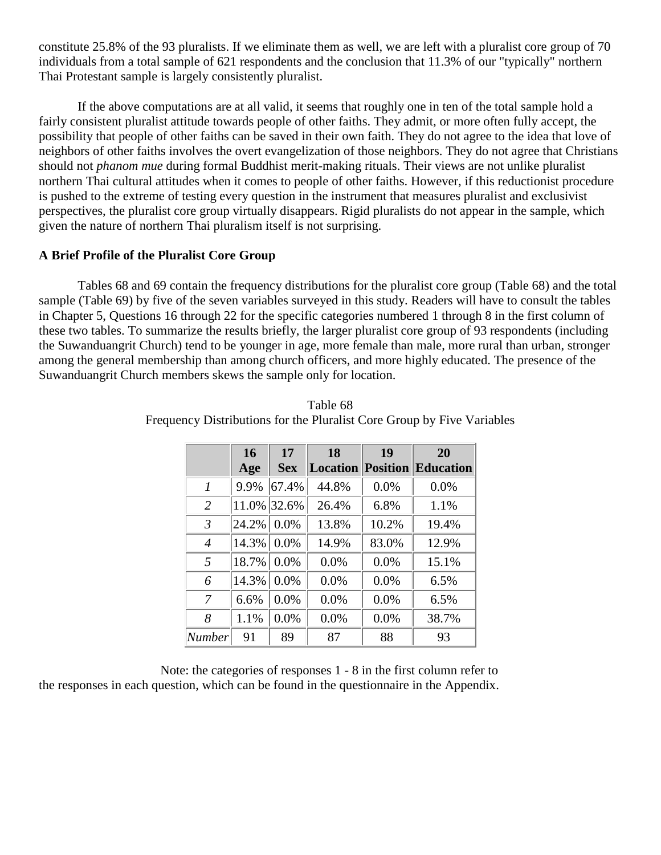constitute 25.8% of the 93 pluralists. If we eliminate them as well, we are left with a pluralist core group of 70 individuals from a total sample of 621 respondents and the conclusion that 11.3% of our "typically" northern Thai Protestant sample is largely consistently pluralist.

If the above computations are at all valid, it seems that roughly one in ten of the total sample hold a fairly consistent pluralist attitude towards people of other faiths. They admit, or more often fully accept, the possibility that people of other faiths can be saved in their own faith. They do not agree to the idea that love of neighbors of other faiths involves the overt evangelization of those neighbors. They do not agree that Christians should not *phanom mue* during formal Buddhist merit-making rituals. Their views are not unlike pluralist northern Thai cultural attitudes when it comes to people of other faiths. However, if this reductionist procedure is pushed to the extreme of testing every question in the instrument that measures pluralist and exclusivist perspectives, the pluralist core group virtually disappears. Rigid pluralists do not appear in the sample, which given the nature of northern Thai pluralism itself is not surprising.

## **A Brief Profile of the Pluralist Core Group**

Tables 68 and 69 contain the frequency distributions for the pluralist core group (Table 68) and the total sample (Table 69) by five of the seven variables surveyed in this study. Readers will have to consult the tables in Chapter 5, Questions 16 through 22 for the specific categories numbered 1 through 8 in the first column of these two tables. To summarize the results briefly, the larger pluralist core group of 93 respondents (including the Suwanduangrit Church) tend to be younger in age, more female than male, more rural than urban, stronger among the general membership than among church officers, and more highly educated. The presence of the Suwanduangrit Church members skews the sample only for location.

|                  | 16            | 17            | 18    | 19    | 20                                 |
|------------------|---------------|---------------|-------|-------|------------------------------------|
|                  | Age           | <b>Sex</b>    |       |       | <b>Location Position Education</b> |
| $\boldsymbol{l}$ | 9.9%          | 67.4%         | 44.8% | 0.0%  | 0.0%                               |
| $\overline{2}$   | 11.0% 32.6%   |               | 26.4% | 6.8%  | 1.1%                               |
| $\mathfrak{Z}$   | 24.2%         | $\vert 0.0\%$ | 13.8% | 10.2% | 19.4%                              |
| $\overline{4}$   | $14.3\%$ 0.0% |               | 14.9% | 83.0% | 12.9%                              |
| 5                | 18.7%         | $0.0\%$       | 0.0%  | 0.0%  | 15.1%                              |
| 6                | 14.3%         | 0.0%          | 0.0%  | 0.0%  | 6.5%                               |
| 7                | 6.6%          | 0.0%          | 0.0%  | 0.0%  | 6.5%                               |
| 8                | 1.1%          | 0.0%          | 0.0%  | 0.0%  | 38.7%                              |
| Number           | 91            | 89            | 87    | 88    | 93                                 |

Table 68 Frequency Distributions for the Pluralist Core Group by Five Variables

Note: the categories of responses 1 - 8 in the first column refer to the responses in each question, which can be found in the questionnaire in the Appendix.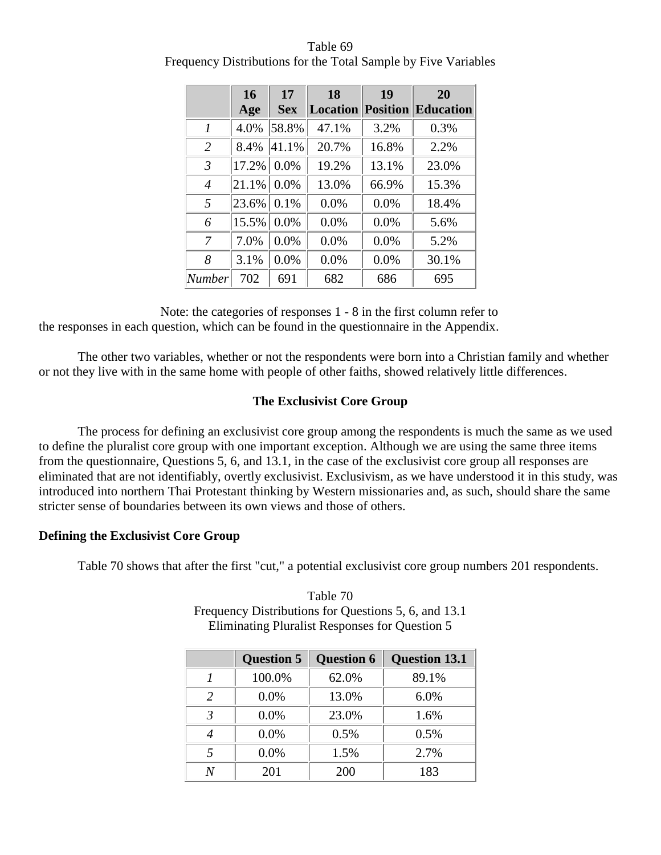|                  | 16    | 17         | 18    | 19    | 20                                 |
|------------------|-------|------------|-------|-------|------------------------------------|
|                  | Age   | <b>Sex</b> |       |       | <b>Location Position Education</b> |
| $\boldsymbol{l}$ | 4.0%  | 58.8%      | 47.1% | 3.2%  | 0.3%                               |
| $\overline{2}$   | 8.4%  | 41.1%      | 20.7% | 16.8% | 2.2%                               |
| $\mathfrak{Z}$   | 17.2% | 0.0%       | 19.2% | 13.1% | 23.0%                              |
| $\overline{4}$   | 21.1% | 0.0%       | 13.0% | 66.9% | 15.3%                              |
| 5                | 23.6% | 0.1%       | 0.0%  | 0.0%  | 18.4%                              |
| 6                | 15.5% | 0.0%       | 0.0%  | 0.0%  | 5.6%                               |
| 7                | 7.0%  | 0.0%       | 0.0%  | 0.0%  | 5.2%                               |
| 8                | 3.1%  | 0.0%       | 0.0%  | 0.0%  | 30.1%                              |
| Number           | 702   | 691        | 682   | 686   | 695                                |

Table 69 Frequency Distributions for the Total Sample by Five Variables

Note: the categories of responses 1 - 8 in the first column refer to the responses in each question, which can be found in the questionnaire in the Appendix.

The other two variables, whether or not the respondents were born into a Christian family and whether or not they live with in the same home with people of other faiths, showed relatively little differences.

# **The Exclusivist Core Group**

The process for defining an exclusivist core group among the respondents is much the same as we used to define the pluralist core group with one important exception. Although we are using the same three items from the questionnaire, Questions 5, 6, and 13.1, in the case of the exclusivist core group all responses are eliminated that are not identifiably, overtly exclusivist. Exclusivism, as we have understood it in this study, was introduced into northern Thai Protestant thinking by Western missionaries and, as such, should share the same stricter sense of boundaries between its own views and those of others.

# **Defining the Exclusivist Core Group**

Table 70 shows that after the first "cut," a potential exclusivist core group numbers 201 respondents.

|                | <b>Question 5</b> | <b>Question 6</b> | <b>Question 13.1</b> |
|----------------|-------------------|-------------------|----------------------|
|                | 100.0%            | 62.0%             | 89.1%                |
| $\mathfrak{D}$ | 0.0%              | 13.0%             | 6.0%                 |
| $\mathcal{R}$  | 0.0%              | 23.0%             | 1.6%                 |
|                | 0.0%              | 0.5%              | 0.5%                 |
| $\overline{5}$ | 0.0%              | 1.5%              | 2.7%                 |
|                | 201               | 200               | 183                  |

Table 70 Frequency Distributions for Questions 5, 6, and 13.1 Eliminating Pluralist Responses for Question 5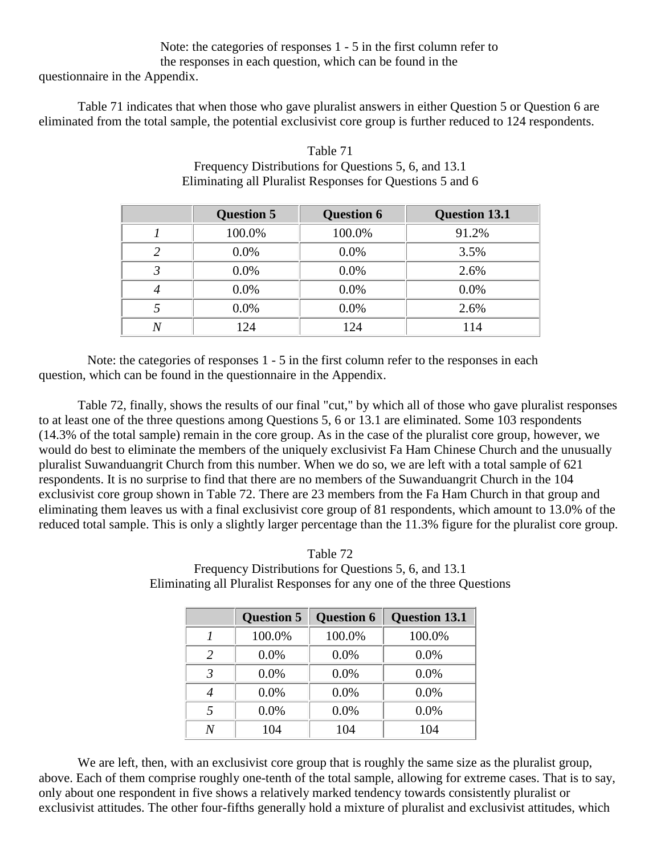# Note: the categories of responses 1 - 5 in the first column refer to the responses in each question, which can be found in the

questionnaire in the Appendix.

Table 71 indicates that when those who gave pluralist answers in either Question 5 or Question 6 are eliminated from the total sample, the potential exclusivist core group is further reduced to 124 respondents.

|   | <b>Question 5</b> | <b>Question 6</b> | <b>Question 13.1</b> |
|---|-------------------|-------------------|----------------------|
|   | 100.0%            | 100.0%            | 91.2%                |
| 2 | 0.0%              | 0.0%              | 3.5%                 |
| 3 | $0.0\%$           | $0.0\%$           | 2.6%                 |
| 4 | 0.0%              | $0.0\%$           | 0.0%                 |
|   | 0.0%              | 0.0%              | 2.6%                 |
| N | 124               | 124               | 114                  |

| Table 71                                                  |
|-----------------------------------------------------------|
| Frequency Distributions for Questions 5, 6, and 13.1      |
| Eliminating all Pluralist Responses for Questions 5 and 6 |

Note: the categories of responses 1 - 5 in the first column refer to the responses in each question, which can be found in the questionnaire in the Appendix.

Table 72, finally, shows the results of our final "cut," by which all of those who gave pluralist responses to at least one of the three questions among Questions 5, 6 or 13.1 are eliminated. Some 103 respondents (14.3% of the total sample) remain in the core group. As in the case of the pluralist core group, however, we would do best to eliminate the members of the uniquely exclusivist Fa Ham Chinese Church and the unusually pluralist Suwanduangrit Church from this number. When we do so, we are left with a total sample of 621 respondents. It is no surprise to find that there are no members of the Suwanduangrit Church in the 104 exclusivist core group shown in Table 72. There are 23 members from the Fa Ham Church in that group and eliminating them leaves us with a final exclusivist core group of 81 respondents, which amount to 13.0% of the reduced total sample. This is only a slightly larger percentage than the 11.3% figure for the pluralist core group.

| Table 72                                                               |
|------------------------------------------------------------------------|
| Frequency Distributions for Questions 5, 6, and 13.1                   |
| Eliminating all Pluralist Responses for any one of the three Questions |

|                | <b>Question 5</b> | <b>Question 6</b> | <b>Question 13.1</b> |
|----------------|-------------------|-------------------|----------------------|
|                | 100.0%            | 100.0%            | 100.0%               |
| 2              | 0.0%              | 0.0%              | 0.0%                 |
| 3              | 0.0%              | 0.0%              | 0.0%                 |
|                | 0.0%              | 0.0%              | 0.0%                 |
| $\overline{5}$ | 0.0%              | 0.0%              | 0.0%                 |
| N              | 104               | 104               | 104                  |

We are left, then, with an exclusivist core group that is roughly the same size as the pluralist group, above. Each of them comprise roughly one-tenth of the total sample, allowing for extreme cases. That is to say, only about one respondent in five shows a relatively marked tendency towards consistently pluralist or exclusivist attitudes. The other four-fifths generally hold a mixture of pluralist and exclusivist attitudes, which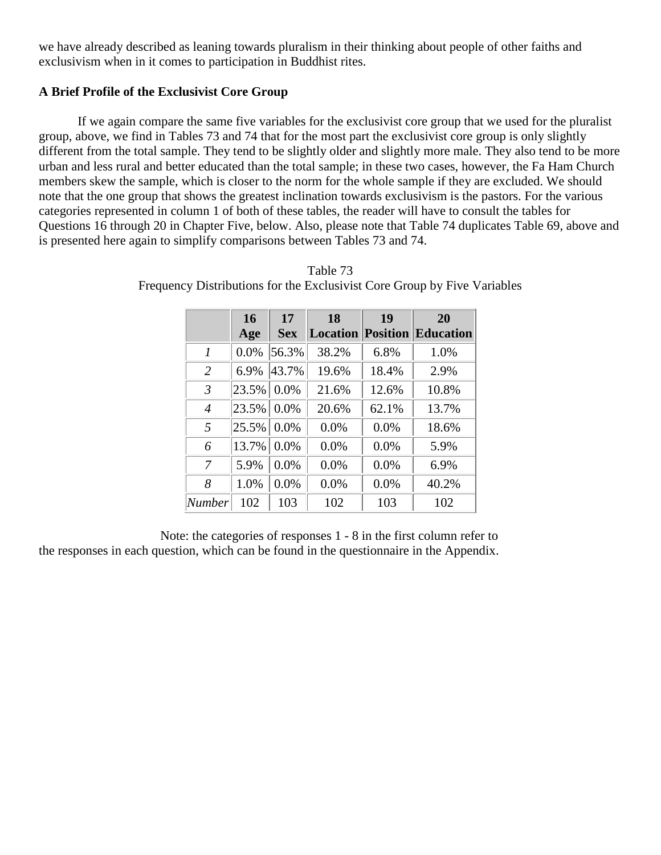we have already described as leaning towards pluralism in their thinking about people of other faiths and exclusivism when in it comes to participation in Buddhist rites.

# **A Brief Profile of the Exclusivist Core Group**

If we again compare the same five variables for the exclusivist core group that we used for the pluralist group, above, we find in Tables 73 and 74 that for the most part the exclusivist core group is only slightly different from the total sample. They tend to be slightly older and slightly more male. They also tend to be more urban and less rural and better educated than the total sample; in these two cases, however, the Fa Ham Church members skew the sample, which is closer to the norm for the whole sample if they are excluded. We should note that the one group that shows the greatest inclination towards exclusivism is the pastors. For the various categories represented in column 1 of both of these tables, the reader will have to consult the tables for Questions 16 through 20 in Chapter Five, below. Also, please note that Table 74 duplicates Table 69, above and is presented here again to simplify comparisons between Tables 73 and 74.

|                | 16         | 17         | 18    | 19    | 20                                 |
|----------------|------------|------------|-------|-------|------------------------------------|
|                | Age        | <b>Sex</b> |       |       | <b>Location Position Education</b> |
| $\mathcal{I}$  | 0.0%       | 56.3%      | 38.2% | 6.8%  | 1.0%                               |
| $\overline{2}$ | 6.9%       | 43.7%      | 19.6% | 18.4% | 2.9%                               |
| $\mathfrak{Z}$ | $23.5\%$   | 0.0%       | 21.6% | 12.6% | 10.8%                              |
| $\overline{4}$ | 23.5% 0.0% |            | 20.6% | 62.1% | 13.7%                              |
| 5              | 25.5%      | 0.0%       | 0.0%  | 0.0%  | 18.6%                              |
| 6              | $13.7\%$   | 0.0%       | 0.0%  | 0.0%  | 5.9%                               |
| 7              | 5.9%       | 0.0%       | 0.0%  | 0.0%  | 6.9%                               |
| 8              | 1.0%       | 0.0%       | 0.0%  | 0.0%  | 40.2%                              |
| Number         | 102        | 103        | 102   | 103   | 102                                |

Table 73 Frequency Distributions for the Exclusivist Core Group by Five Variables

Note: the categories of responses 1 - 8 in the first column refer to the responses in each question, which can be found in the questionnaire in the Appendix.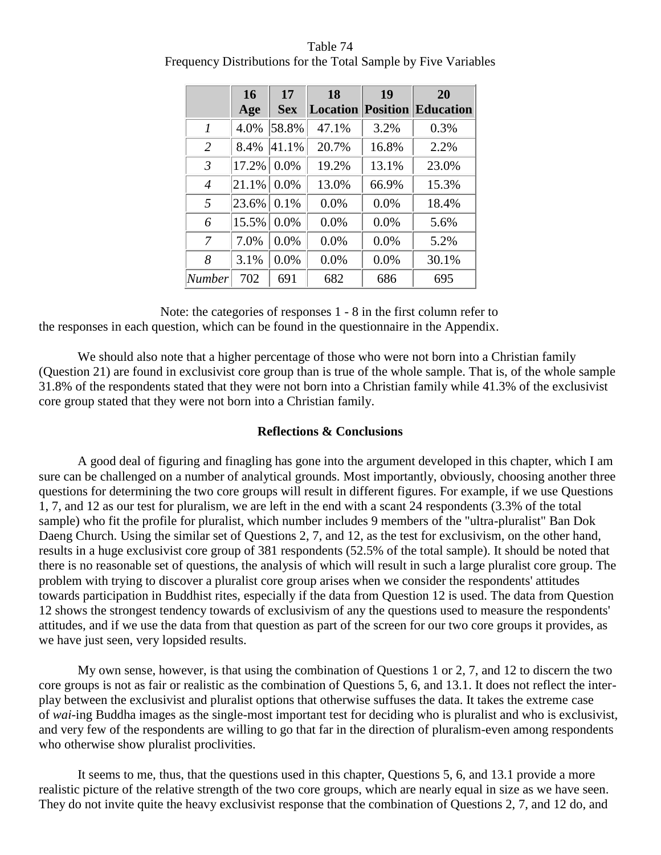|                | 16            | 17         | 18    | 19    | 20                                 |
|----------------|---------------|------------|-------|-------|------------------------------------|
|                | Age           | <b>Sex</b> |       |       | <b>Location Position Education</b> |
| 1              | 4.0%          | 58.8%      | 47.1% | 3.2%  | 0.3%                               |
| $\overline{2}$ | 8.4%          | 41.1%      | 20.7% | 16.8% | 2.2%                               |
| $\mathfrak{Z}$ | $17.2\%$ 0.0% |            | 19.2% | 13.1% | 23.0%                              |
| $\overline{4}$ | $21.1\%$ 0.0% |            | 13.0% | 66.9% | 15.3%                              |
| .5             | 23.6% 0.1%    |            | 0.0%  | 0.0%  | 18.4%                              |
| 6              | 15.5%         | 0.0%       | 0.0%  | 0.0%  | 5.6%                               |
| 7              | 7.0%          | 0.0%       | 0.0%  | 0.0%  | 5.2%                               |
| 8              | 3.1%          | 0.0%       | 0.0%  | 0.0%  | 30.1%                              |
| Number         | 702           | 691        | 682   | 686   | 695                                |

Table 74 Frequency Distributions for the Total Sample by Five Variables

Note: the categories of responses 1 - 8 in the first column refer to the responses in each question, which can be found in the questionnaire in the Appendix.

We should also note that a higher percentage of those who were not born into a Christian family (Question 21) are found in exclusivist core group than is true of the whole sample. That is, of the whole sample 31.8% of the respondents stated that they were not born into a Christian family while 41.3% of the exclusivist core group stated that they were not born into a Christian family.

# **Reflections & Conclusions**

A good deal of figuring and finagling has gone into the argument developed in this chapter, which I am sure can be challenged on a number of analytical grounds. Most importantly, obviously, choosing another three questions for determining the two core groups will result in different figures. For example, if we use Questions 1, 7, and 12 as our test for pluralism, we are left in the end with a scant 24 respondents (3.3% of the total sample) who fit the profile for pluralist, which number includes 9 members of the "ultra-pluralist" Ban Dok Daeng Church. Using the similar set of Questions 2, 7, and 12, as the test for exclusivism, on the other hand, results in a huge exclusivist core group of 381 respondents (52.5% of the total sample). It should be noted that there is no reasonable set of questions, the analysis of which will result in such a large pluralist core group. The problem with trying to discover a pluralist core group arises when we consider the respondents' attitudes towards participation in Buddhist rites, especially if the data from Question 12 is used. The data from Question 12 shows the strongest tendency towards of exclusivism of any the questions used to measure the respondents' attitudes, and if we use the data from that question as part of the screen for our two core groups it provides, as we have just seen, very lopsided results.

My own sense, however, is that using the combination of Questions 1 or 2, 7, and 12 to discern the two core groups is not as fair or realistic as the combination of Questions 5, 6, and 13.1. It does not reflect the interplay between the exclusivist and pluralist options that otherwise suffuses the data. It takes the extreme case of *wai*-ing Buddha images as the single-most important test for deciding who is pluralist and who is exclusivist, and very few of the respondents are willing to go that far in the direction of pluralism-even among respondents who otherwise show pluralist proclivities.

It seems to me, thus, that the questions used in this chapter, Questions 5, 6, and 13.1 provide a more realistic picture of the relative strength of the two core groups, which are nearly equal in size as we have seen. They do not invite quite the heavy exclusivist response that the combination of Questions 2, 7, and 12 do, and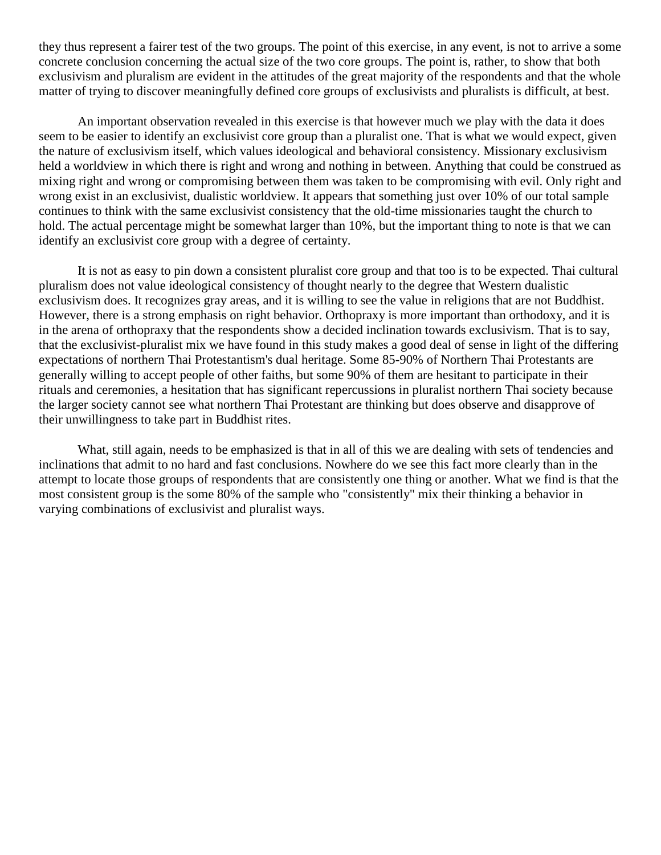they thus represent a fairer test of the two groups. The point of this exercise, in any event, is not to arrive a some concrete conclusion concerning the actual size of the two core groups. The point is, rather, to show that both exclusivism and pluralism are evident in the attitudes of the great majority of the respondents and that the whole matter of trying to discover meaningfully defined core groups of exclusivists and pluralists is difficult, at best.

An important observation revealed in this exercise is that however much we play with the data it does seem to be easier to identify an exclusivist core group than a pluralist one. That is what we would expect, given the nature of exclusivism itself, which values ideological and behavioral consistency. Missionary exclusivism held a worldview in which there is right and wrong and nothing in between. Anything that could be construed as mixing right and wrong or compromising between them was taken to be compromising with evil. Only right and wrong exist in an exclusivist, dualistic worldview. It appears that something just over 10% of our total sample continues to think with the same exclusivist consistency that the old-time missionaries taught the church to hold. The actual percentage might be somewhat larger than 10%, but the important thing to note is that we can identify an exclusivist core group with a degree of certainty.

It is not as easy to pin down a consistent pluralist core group and that too is to be expected. Thai cultural pluralism does not value ideological consistency of thought nearly to the degree that Western dualistic exclusivism does. It recognizes gray areas, and it is willing to see the value in religions that are not Buddhist. However, there is a strong emphasis on right behavior. Orthopraxy is more important than orthodoxy, and it is in the arena of orthopraxy that the respondents show a decided inclination towards exclusivism. That is to say, that the exclusivist-pluralist mix we have found in this study makes a good deal of sense in light of the differing expectations of northern Thai Protestantism's dual heritage. Some 85-90% of Northern Thai Protestants are generally willing to accept people of other faiths, but some 90% of them are hesitant to participate in their rituals and ceremonies, a hesitation that has significant repercussions in pluralist northern Thai society because the larger society cannot see what northern Thai Protestant are thinking but does observe and disapprove of their unwillingness to take part in Buddhist rites.

What, still again, needs to be emphasized is that in all of this we are dealing with sets of tendencies and inclinations that admit to no hard and fast conclusions. Nowhere do we see this fact more clearly than in the attempt to locate those groups of respondents that are consistently one thing or another. What we find is that the most consistent group is the some 80% of the sample who "consistently" mix their thinking a behavior in varying combinations of exclusivist and pluralist ways.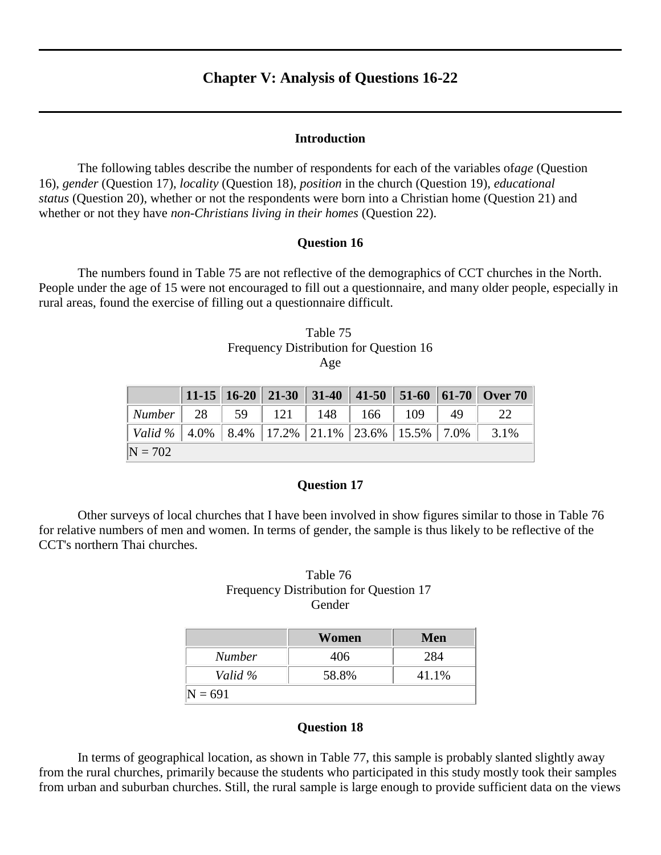# **Chapter V: Analysis of Questions 16-22**

#### **Introduction**

The following tables describe the number of respondents for each of the variables of*age* (Question 16), *gender* (Question 17), *locality* (Question 18), *position* in the church (Question 19), *educational status* (Question 20), whether or not the respondents were born into a Christian home (Question 21) and whether or not they have *non-Christians living in their homes* (Question 22).

#### **Question 16**

The numbers found in Table 75 are not reflective of the demographics of CCT churches in the North. People under the age of 15 were not encouraged to fill out a questionnaire, and many older people, especially in rural areas, found the exercise of filling out a questionnaire difficult.

| Table 75                               |
|----------------------------------------|
| Frequency Distribution for Question 16 |
| Age                                    |

|                                                                     |  |  |  | 11-15   16-20   21-30   31-40   41-50   51-60   61-70   Over 70 |
|---------------------------------------------------------------------|--|--|--|-----------------------------------------------------------------|
| Number   28   59   121   148   166   109   49                       |  |  |  | -22                                                             |
| Valid %   4.0%   8.4%   17.2%   21.1%   23.6%   15.5%   7.0%   3.1% |  |  |  |                                                                 |
| $N = 702$                                                           |  |  |  |                                                                 |

#### **Question 17**

Other surveys of local churches that I have been involved in show figures similar to those in Table 76 for relative numbers of men and women. In terms of gender, the sample is thus likely to be reflective of the CCT's northern Thai churches.

# Table 76 Frequency Distribution for Question 17 Gender

|           | Women | Men   |  |  |
|-----------|-------|-------|--|--|
| Number    | 406   | 284   |  |  |
| Valid %   | 58.8% | 41.1% |  |  |
| $N = 691$ |       |       |  |  |

#### **Question 18**

In terms of geographical location, as shown in Table 77, this sample is probably slanted slightly away from the rural churches, primarily because the students who participated in this study mostly took their samples from urban and suburban churches. Still, the rural sample is large enough to provide sufficient data on the views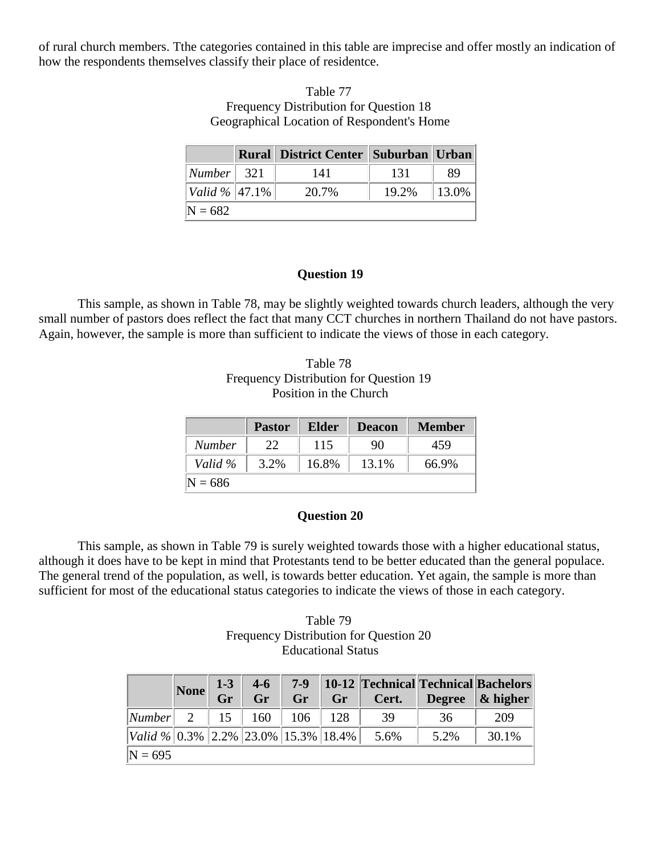of rural church members. Tthe categories contained in this table are imprecise and offer mostly an indication of how the respondents themselves classify their place of residentce.

# Table 77 Frequency Distribution for Question 18 Geographical Location of Respondent's Home

|                            | <b>Rural District Center   Suburban   Urban</b> |       |           |
|----------------------------|-------------------------------------------------|-------|-----------|
| $\vert$ Number $\vert$ 321 | 141                                             | 131   | 89        |
| Valid %   47.1%            | 20.7%                                           | 19.2% | $ 13.0\%$ |
| $N = 682$                  |                                                 |       |           |

# **Question 19**

This sample, as shown in Table 78, may be slightly weighted towards church leaders, although the very small number of pastors does reflect the fact that many CCT churches in northern Thailand do not have pastors. Again, however, the sample is more than sufficient to indicate the views of those in each category.

Table 78 Frequency Distribution for Question 19 Position in the Church

|               | <b>Pastor</b> | Elder | <b>Deacon</b> | <b>Member</b> |
|---------------|---------------|-------|---------------|---------------|
| <b>Number</b> | 22            | 115   | 90            | 459           |
| Valid %       | 3.2%          | 16.8% | 13.1%         | 66.9%         |
| $N = 686$     |               |       |               |               |

# **Question 20**

This sample, as shown in Table 79 is surely weighted towards those with a higher educational status, although it does have to be kept in mind that Protestants tend to be better educated than the general populace. The general trend of the population, as well, is towards better education. Yet again, the sample is more than sufficient for most of the educational status categories to indicate the views of those in each category.

| Table 79                               |
|----------------------------------------|
| Frequency Distribution for Question 20 |
| <b>Educational Status</b>              |

|                                 |  |  |                                                  |                     | None 1-3 4-6 7-9 10-12 Technical Technical Bachelors<br>Gr Gr Gr Cert. Degree & higher |
|---------------------------------|--|--|--------------------------------------------------|---------------------|----------------------------------------------------------------------------------------|
|                                 |  |  |                                                  |                     |                                                                                        |
| $\vert$ Number 2 15 160 106 128 |  |  | 39                                               | 36                  | 209                                                                                    |
|                                 |  |  | $\vert$ Valid % 0.3% 2.2% 23.0% 15.3% 18.4% 5.6% | $\vert 5.2\% \vert$ | $\vert 30.1\% \vert$                                                                   |
| $N = 695$                       |  |  |                                                  |                     |                                                                                        |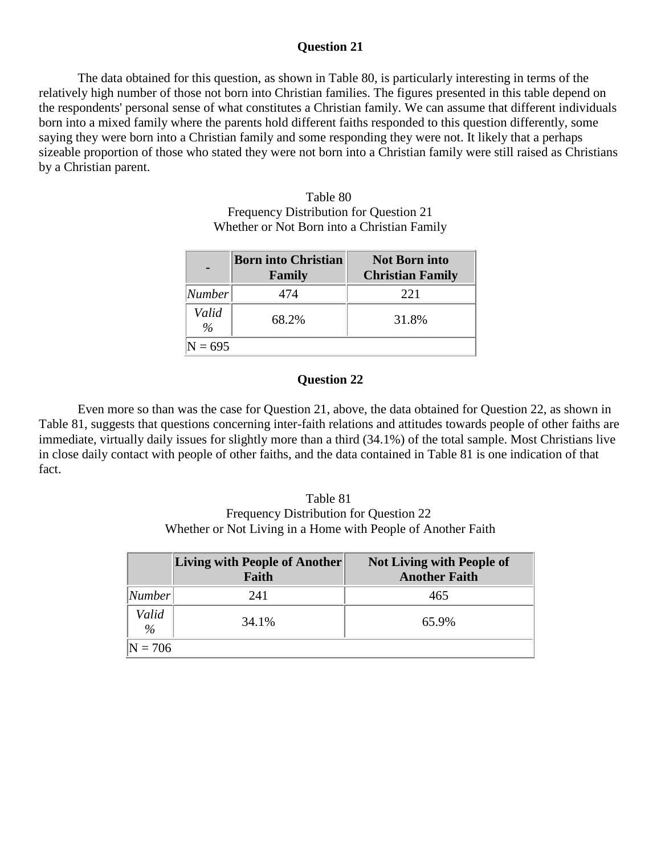#### **Question 21**

The data obtained for this question, as shown in Table 80, is particularly interesting in terms of the relatively high number of those not born into Christian families. The figures presented in this table depend on the respondents' personal sense of what constitutes a Christian family. We can assume that different individuals born into a mixed family where the parents hold different faiths responded to this question differently, some saying they were born into a Christian family and some responding they were not. It likely that a perhaps sizeable proportion of those who stated they were not born into a Christian family were still raised as Christians by a Christian parent.

> Table 80 Frequency Distribution for Question 21 Whether or Not Born into a Christian Family

|                        | <b>Born into Christian</b><br>Family | <b>Not Born into</b><br><b>Christian Family</b> |
|------------------------|--------------------------------------|-------------------------------------------------|
| Number                 | 474                                  | 22.1                                            |
| Valid<br>$\frac{9}{6}$ | 68.2%                                | 31.8%                                           |
| $N = 695$              |                                      |                                                 |

#### **Question 22**

Even more so than was the case for Question 21, above, the data obtained for Question 22, as shown in Table 81, suggests that questions concerning inter-faith relations and attitudes towards people of other faiths are immediate, virtually daily issues for slightly more than a third (34.1%) of the total sample. Most Christians live in close daily contact with people of other faiths, and the data contained in Table 81 is one indication of that fact.

Table 81 Frequency Distribution for Question 22 Whether or Not Living in a Home with People of Another Faith

|                        | Living with People of Another<br>Faith | <b>Not Living with People of</b><br><b>Another Faith</b> |
|------------------------|----------------------------------------|----------------------------------------------------------|
| Number                 | 241                                    | 465                                                      |
| Valid<br>$\frac{9}{6}$ | 34.1%                                  | 65.9%                                                    |
| $N = 706$              |                                        |                                                          |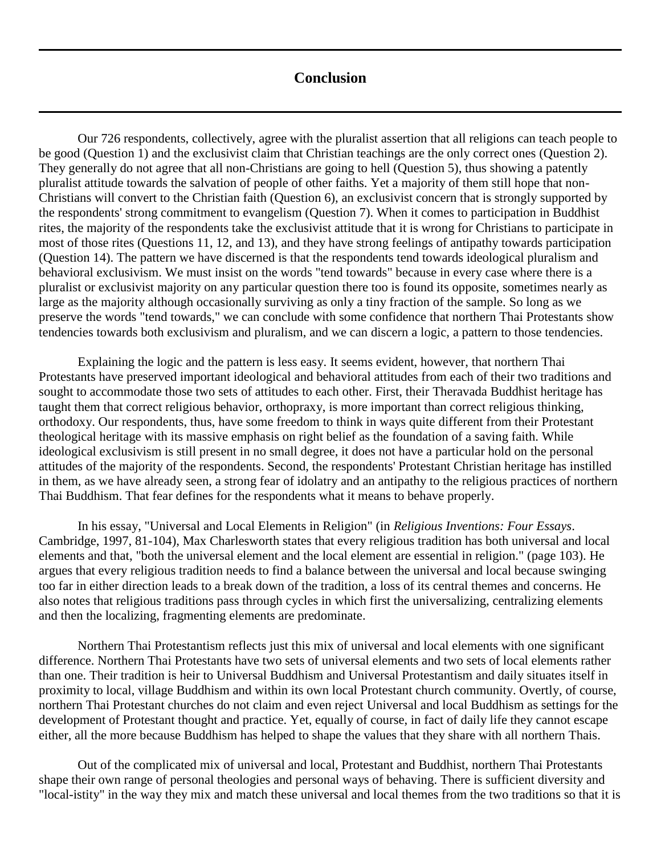# **Conclusion**

Our 726 respondents, collectively, agree with the pluralist assertion that all religions can teach people to be good (Question 1) and the exclusivist claim that Christian teachings are the only correct ones (Question 2). They generally do not agree that all non-Christians are going to hell (Question 5), thus showing a patently pluralist attitude towards the salvation of people of other faiths. Yet a majority of them still hope that non-Christians will convert to the Christian faith (Question 6), an exclusivist concern that is strongly supported by the respondents' strong commitment to evangelism (Question 7). When it comes to participation in Buddhist rites, the majority of the respondents take the exclusivist attitude that it is wrong for Christians to participate in most of those rites (Questions 11, 12, and 13), and they have strong feelings of antipathy towards participation (Question 14). The pattern we have discerned is that the respondents tend towards ideological pluralism and behavioral exclusivism. We must insist on the words "tend towards" because in every case where there is a pluralist or exclusivist majority on any particular question there too is found its opposite, sometimes nearly as large as the majority although occasionally surviving as only a tiny fraction of the sample. So long as we preserve the words "tend towards," we can conclude with some confidence that northern Thai Protestants show tendencies towards both exclusivism and pluralism, and we can discern a logic, a pattern to those tendencies.

Explaining the logic and the pattern is less easy. It seems evident, however, that northern Thai Protestants have preserved important ideological and behavioral attitudes from each of their two traditions and sought to accommodate those two sets of attitudes to each other. First, their Theravada Buddhist heritage has taught them that correct religious behavior, orthopraxy, is more important than correct religious thinking, orthodoxy. Our respondents, thus, have some freedom to think in ways quite different from their Protestant theological heritage with its massive emphasis on right belief as the foundation of a saving faith. While ideological exclusivism is still present in no small degree, it does not have a particular hold on the personal attitudes of the majority of the respondents. Second, the respondents' Protestant Christian heritage has instilled in them, as we have already seen, a strong fear of idolatry and an antipathy to the religious practices of northern Thai Buddhism. That fear defines for the respondents what it means to behave properly.

In his essay, "Universal and Local Elements in Religion" (in *Religious Inventions: Four Essays*. Cambridge, 1997, 81-104), Max Charlesworth states that every religious tradition has both universal and local elements and that, "both the universal element and the local element are essential in religion." (page 103). He argues that every religious tradition needs to find a balance between the universal and local because swinging too far in either direction leads to a break down of the tradition, a loss of its central themes and concerns. He also notes that religious traditions pass through cycles in which first the universalizing, centralizing elements and then the localizing, fragmenting elements are predominate.

Northern Thai Protestantism reflects just this mix of universal and local elements with one significant difference. Northern Thai Protestants have two sets of universal elements and two sets of local elements rather than one. Their tradition is heir to Universal Buddhism and Universal Protestantism and daily situates itself in proximity to local, village Buddhism and within its own local Protestant church community. Overtly, of course, northern Thai Protestant churches do not claim and even reject Universal and local Buddhism as settings for the development of Protestant thought and practice. Yet, equally of course, in fact of daily life they cannot escape either, all the more because Buddhism has helped to shape the values that they share with all northern Thais.

Out of the complicated mix of universal and local, Protestant and Buddhist, northern Thai Protestants shape their own range of personal theologies and personal ways of behaving. There is sufficient diversity and "local-istity" in the way they mix and match these universal and local themes from the two traditions so that it is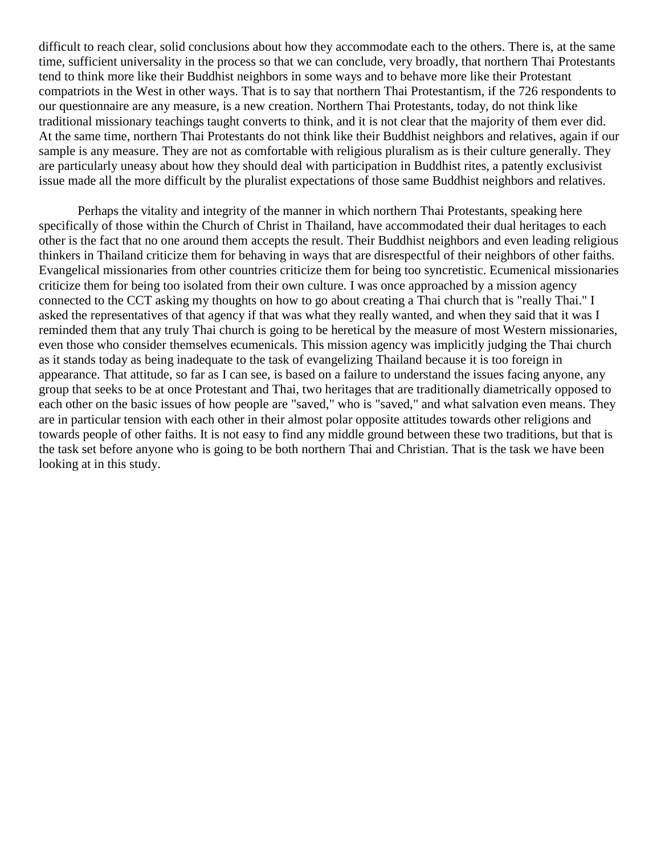difficult to reach clear, solid conclusions about how they accommodate each to the others. There is, at the same time, sufficient universality in the process so that we can conclude, very broadly, that northern Thai Protestants tend to think more like their Buddhist neighbors in some ways and to behave more like their Protestant compatriots in the West in other ways. That is to say that northern Thai Protestantism, if the 726 respondents to our questionnaire are any measure, is a new creation. Northern Thai Protestants, today, do not think like traditional missionary teachings taught converts to think, and it is not clear that the majority of them ever did. At the same time, northern Thai Protestants do not think like their Buddhist neighbors and relatives, again if our sample is any measure. They are not as comfortable with religious pluralism as is their culture generally. They are particularly uneasy about how they should deal with participation in Buddhist rites, a patently exclusivist issue made all the more difficult by the pluralist expectations of those same Buddhist neighbors and relatives.

Perhaps the vitality and integrity of the manner in which northern Thai Protestants, speaking here specifically of those within the Church of Christ in Thailand, have accommodated their dual heritages to each other is the fact that no one around them accepts the result. Their Buddhist neighbors and even leading religious thinkers in Thailand criticize them for behaving in ways that are disrespectful of their neighbors of other faiths. Evangelical missionaries from other countries criticize them for being too syncretistic. Ecumenical missionaries criticize them for being too isolated from their own culture. I was once approached by a mission agency connected to the CCT asking my thoughts on how to go about creating a Thai church that is "really Thai." I asked the representatives of that agency if that was what they really wanted, and when they said that it was I reminded them that any truly Thai church is going to be heretical by the measure of most Western missionaries, even those who consider themselves ecumenicals. This mission agency was implicitly judging the Thai church as it stands today as being inadequate to the task of evangelizing Thailand because it is too foreign in appearance. That attitude, so far as I can see, is based on a failure to understand the issues facing anyone, any group that seeks to be at once Protestant and Thai, two heritages that are traditionally diametrically opposed to each other on the basic issues of how people are "saved," who is "saved," and what salvation even means. They are in particular tension with each other in their almost polar opposite attitudes towards other religions and towards people of other faiths. It is not easy to find any middle ground between these two traditions, but that is the task set before anyone who is going to be both northern Thai and Christian. That is the task we have been looking at in this study.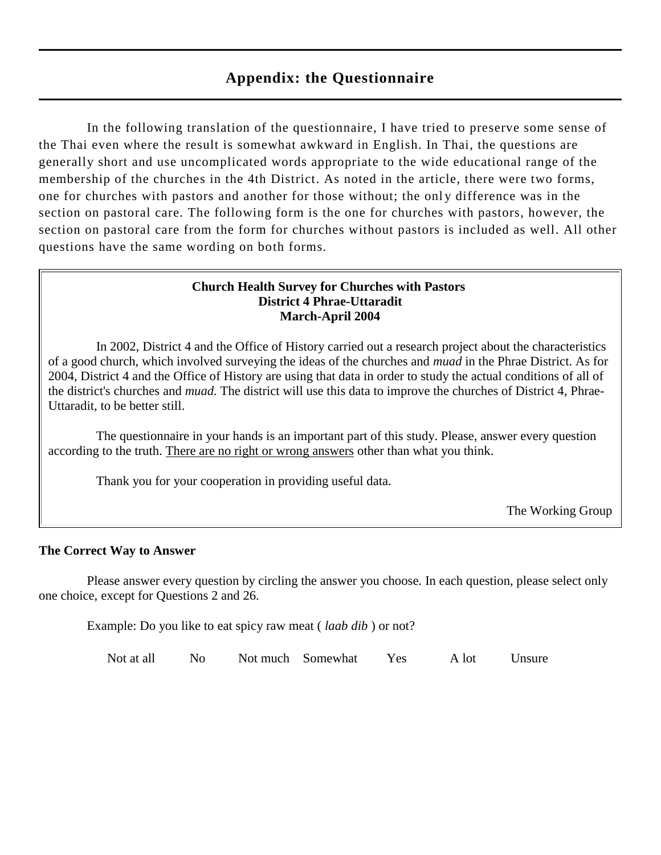# **Appendix: the Questionnaire**

In the following translation of the questionnaire, I have tried to preserve some sense of the Thai even where the result is somewhat awkward in English. In Thai, the questions are generally short and use uncomplicated words appropriate to the wide educational range of the membership of the churches in the 4th District. As noted in the article, there were two forms, one for churches with pastors and another for those without; the onl y difference was in the section on pastoral care. The following form is the one for churches with pastors, however, the section on pastoral care from the form for churches without pastors is included as well. All other questions have the same wording on both forms.

# **Church Health Survey for Churches with Pastors District 4 Phrae-Uttaradit March-April 2004**

In 2002, District 4 and the Office of History carried out a research project about the characteristics of a good church, which involved surveying the ideas of the churches and *muad* in the Phrae District. As for 2004, District 4 and the Office of History are using that data in order to study the actual conditions of all of the district's churches and *muad.* The district will use this data to improve the churches of District 4, Phrae-Uttaradit, to be better still.

The questionnaire in your hands is an important part of this study. Please, answer every question according to the truth. There are no right or wrong answers other than what you think.

Thank you for your cooperation in providing useful data.

The Working Group

# **The Correct Way to Answer**

Please answer every question by circling the answer you choose. In each question, please select only one choice, except for Questions 2 and 26.

Example: Do you like to eat spicy raw meat ( *laab dib* ) or not?

Not at all No Not much Somewhat Yes A lot Unsure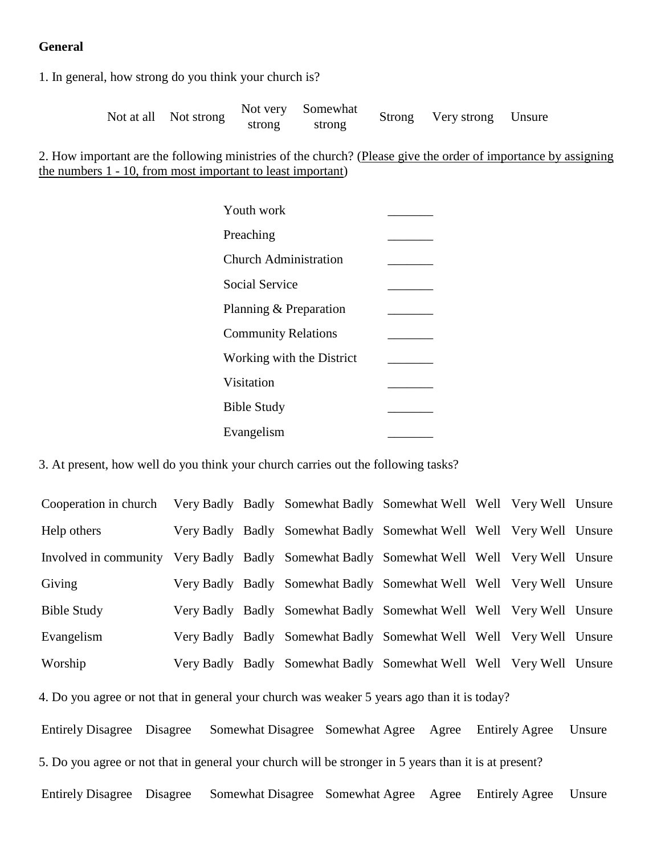# **General**

1. In general, how strong do you think your church is?

Not at all Not strong Not very strong Somewhat strong Strong Very strong Unsure

2. How important are the following ministries of the church? (Please give the order of importance by assigning the numbers 1 - 10, from most important to least important)

| Youth work                   |  |
|------------------------------|--|
| Preaching                    |  |
| <b>Church Administration</b> |  |
| <b>Social Service</b>        |  |
| Planning & Preparation       |  |
| <b>Community Relations</b>   |  |
| Working with the District    |  |
| Visitation                   |  |
| <b>Bible Study</b>           |  |
| Evangelism                   |  |

3. At present, how well do you think your church carries out the following tasks?

Cooperation in church Very Badly Badly Somewhat Badly Somewhat Well Well Very Well Unsure Help others Very Badly Badly Somewhat Badly Somewhat Well Well Very Well Unsure Involved in community Very Badly Badly Somewhat Badly Somewhat Well Well Very Well Unsure Giving Very Badly Badly Somewhat Badly Somewhat Well Well Very Well Unsure Bible Study Very Badly Badly Somewhat Badly Somewhat Well Well Very Well Unsure Evangelism Very Badly Badly Somewhat Badly Somewhat Well Well Very Well Unsure Worship Very Badly Badly Somewhat Badly Somewhat Well Well Very Well Unsure

4. Do you agree or not that in general your church was weaker 5 years ago than it is today?

Entirely Disagree Disagree Somewhat Disagree Somewhat Agree Agree Entirely Agree Unsure 5. Do you agree or not that in general your church will be stronger in 5 years than it is at present?

Entirely Disagree Disagree Somewhat Disagree Somewhat Agree Agree Entirely Agree Unsure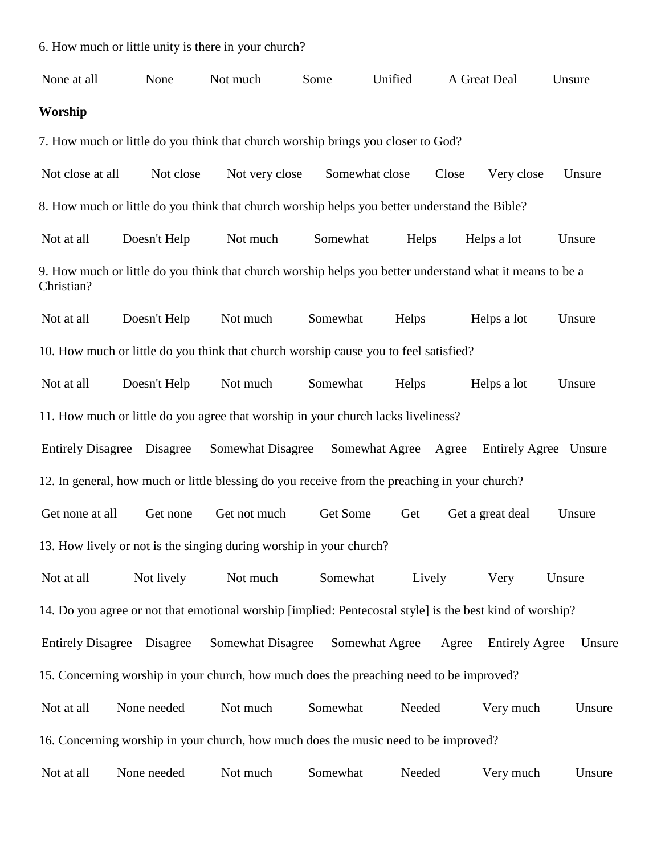6. How much or little unity is there in your church?

None at all None Not much Some Unified A Great Deal Unsure **Worship**

7. How much or little do you think that church worship brings you closer to God?

Not close at all Not close Not very close Somewhat close Close Very close Unsure 8. How much or little do you think that church worship helps you better understand the Bible?

Not at all Doesn't Help Not much Somewhat Helps Helps a lot Unsure 9. How much or little do you think that church worship helps you better understand what it means to be a Christian?

Not at all Doesn't Help Not much Somewhat Helps Helps a lot Unsure 10. How much or little do you think that church worship cause you to feel satisfied?

Not at all Doesn't Help Not much Somewhat Helps Helps a lot Unsure 11. How much or little do you agree that worship in your church lacks liveliness?

Entirely Disagree Disagree Somewhat Disagree Somewhat Agree Agree Entirely Agree Unsure 12. In general, how much or little blessing do you receive from the preaching in your church?

Get none at all Get none Get not much Get Some Get Get a great deal Unsure 13. How lively or not is the singing during worship in your church?

Not at all Mot lively Not much Somewhat Lively Very Unsure 14. Do you agree or not that emotional worship [implied: Pentecostal style] is the best kind of worship?

Entirely Disagree Disagree Somewhat Disagree Somewhat Agree Agree Entirely Agree Unsure 15. Concerning worship in your church, how much does the preaching need to be improved?

Not at all None needed Not much Somewhat Needed Very much Unsure 16. Concerning worship in your church, how much does the music need to be improved?

Not at all Mone needed Not much Somewhat Needed Very much Unsure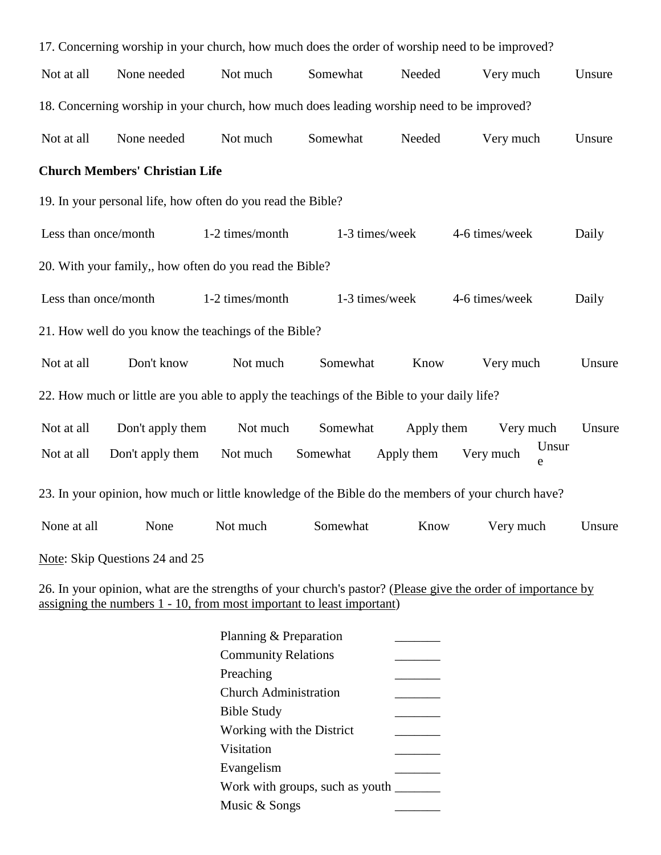|                      | 17. Concerning worship in your church, how much does the order of worship need to be improved? |                 |                |            |                                                                                                    |        |
|----------------------|------------------------------------------------------------------------------------------------|-----------------|----------------|------------|----------------------------------------------------------------------------------------------------|--------|
| Not at all           | None needed                                                                                    | Not much        | Somewhat       | Needed     | Very much                                                                                          | Unsure |
|                      | 18. Concerning worship in your church, how much does leading worship need to be improved?      |                 |                |            |                                                                                                    |        |
| Not at all           | None needed                                                                                    | Not much        | Somewhat       | Needed     | Very much                                                                                          | Unsure |
|                      | <b>Church Members' Christian Life</b>                                                          |                 |                |            |                                                                                                    |        |
|                      | 19. In your personal life, how often do you read the Bible?                                    |                 |                |            |                                                                                                    |        |
| Less than once/month |                                                                                                | 1-2 times/month | 1-3 times/week |            | 4-6 times/week                                                                                     | Daily  |
|                      | 20. With your family,, how often do you read the Bible?                                        |                 |                |            |                                                                                                    |        |
| Less than once/month |                                                                                                | 1-2 times/month | 1-3 times/week |            | 4-6 times/week                                                                                     | Daily  |
|                      | 21. How well do you know the teachings of the Bible?                                           |                 |                |            |                                                                                                    |        |
| Not at all           | Don't know                                                                                     | Not much        | Somewhat       | Know       | Very much                                                                                          | Unsure |
|                      | 22. How much or little are you able to apply the teachings of the Bible to your daily life?    |                 |                |            |                                                                                                    |        |
| Not at all           | Don't apply them                                                                               | Not much        | Somewhat       | Apply them | Very much                                                                                          | Unsure |
| Not at all           | Don't apply them                                                                               | Not much        | Somewhat       | Apply them | Unsur<br>Very much<br>e                                                                            |        |
|                      |                                                                                                |                 |                |            | 23. In your opinion, how much or little knowledge of the Bible do the members of your church have? |        |
| None at all          | None                                                                                           | Not much        | Somewhat       | Know       | Very much                                                                                          | Unsure |
|                      | Note: Skip Questions 24 and 25                                                                 |                 |                |            |                                                                                                    |        |

26. In your opinion, what are the strengths of your church's pastor? (Please give the order of importance by assigning the numbers 1 - 10, from most important to least important)

| Planning & Preparation          |  |
|---------------------------------|--|
| <b>Community Relations</b>      |  |
| Preaching                       |  |
| Church Administration           |  |
| <b>Bible Study</b>              |  |
| Working with the District       |  |
| Visitation                      |  |
| Evangelism                      |  |
| Work with groups, such as youth |  |
| Music & Songs                   |  |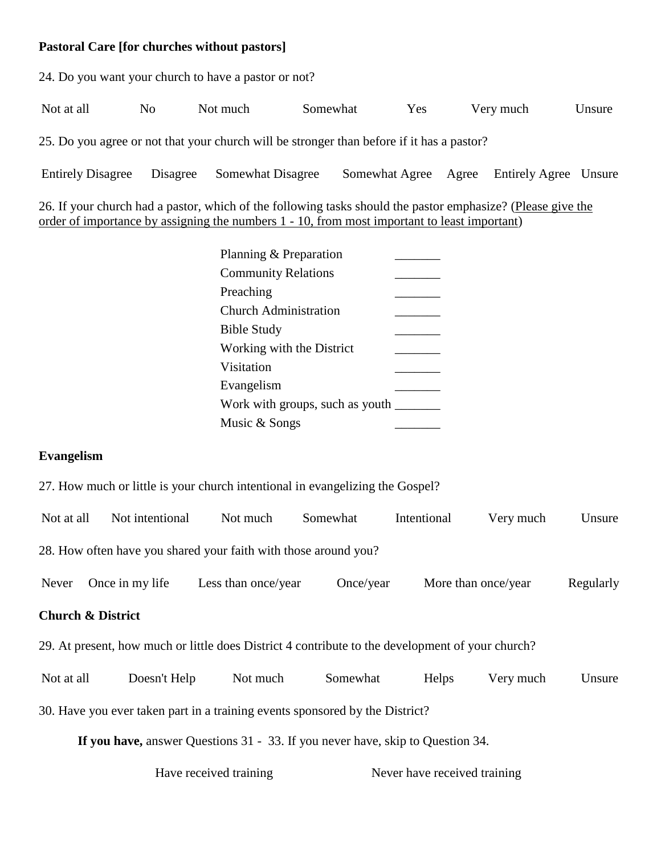# **Pastoral Care [for churches without pastors]**

24. Do you want your church to have a pastor or not?

Not at all  $\qquad$  No Not much Somewhat Yes Very much Unsure

25. Do you agree or not that your church will be stronger than before if it has a pastor?

Entirely Disagree Disagree Somewhat Disagree Somewhat Agree Agree Entirely Agree Unsure

26. If your church had a pastor, which of the following tasks should the pastor emphasize? (Please give the order of importance by assigning the numbers 1 - 10, from most important to least important)

| Planning & Preparation          |  |
|---------------------------------|--|
| <b>Community Relations</b>      |  |
| Preaching                       |  |
| Church Administration           |  |
| <b>Bible Study</b>              |  |
| Working with the District       |  |
| Visitation                      |  |
| Evangelism                      |  |
| Work with groups, such as youth |  |
| Music & Songs                   |  |
|                                 |  |

# **Evangelism**

27. How much or little is your church intentional in evangelizing the Gospel?

| Not at all                                                                                       | Not intentional                                                                | Not much            | Somewhat  | Intentional | Very much           | Unsure    |  |  |
|--------------------------------------------------------------------------------------------------|--------------------------------------------------------------------------------|---------------------|-----------|-------------|---------------------|-----------|--|--|
|                                                                                                  | 28. How often have you shared your faith with those around you?                |                     |           |             |                     |           |  |  |
| Never                                                                                            | Once in my life                                                                | Less than once/year | Once/year |             | More than once/year | Regularly |  |  |
|                                                                                                  | <b>Church &amp; District</b>                                                   |                     |           |             |                     |           |  |  |
| 29. At present, how much or little does District 4 contribute to the development of your church? |                                                                                |                     |           |             |                     |           |  |  |
| Not at all                                                                                       | Doesn't Help                                                                   | Not much            | Somewhat  | Helps       | Very much           | Unsure    |  |  |
| 30. Have you ever taken part in a training events sponsored by the District?                     |                                                                                |                     |           |             |                     |           |  |  |
|                                                                                                  | If you have answer Questions $31 - 33$ If you never have skip to Question $34$ |                     |           |             |                     |           |  |  |

**If you have,** answer Questions 31 - 33. If you never have, skip to Question 34.

Have received training Never have received training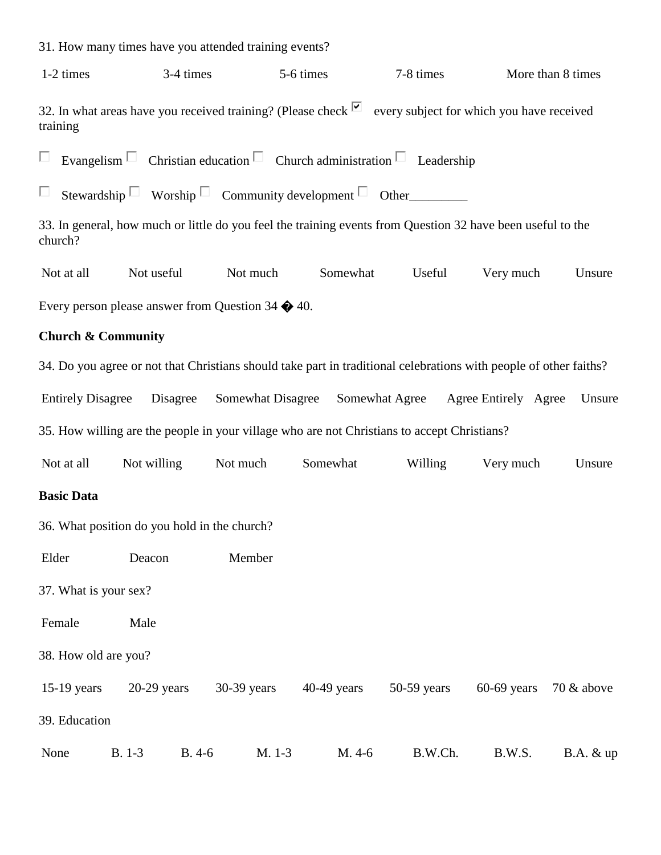31. How many times have you attended training events? 1-2 times 3-4 times 5-6 times 5-6 times 7-8 times More than 8 times 32. In what areas have you received training? (Please check  $\Box$  every subject for which you have received training П Evangelism  $\Box$  Christian education  $\Box$  Church administration  $\Box$  Leadership Stewardship Worship Community development  $\Box$  Other П 33. In general, how much or little do you feel the training events from Question 32 have been useful to the church? Not at all Mot useful Not much Somewhat Useful Very much Unsure Every person please answer from Question 34 � 40. **Church & Community** 34. Do you agree or not that Christians should take part in traditional celebrations with people of other faiths? Entirely Disagree Disagree Somewhat Disagree Somewhat Agree Agree Entirely Agree Unsure 35. How willing are the people in your village who are not Christians to accept Christians? Not at all Not willing Not much Somewhat Willing Very much Unsure **Basic Data** 36. What position do you hold in the church? Elder Deacon Member 37. What is your sex? Female Male 38. How old are you? 15-19 years 20-29 years 30-39 years 40-49 years 50-59 years 60-69 years 70 & above 39. Education None B. 1-3 B. 4-6 M. 1-3 M. 4-6 B.W.Ch. B.W.S. B.A. & up